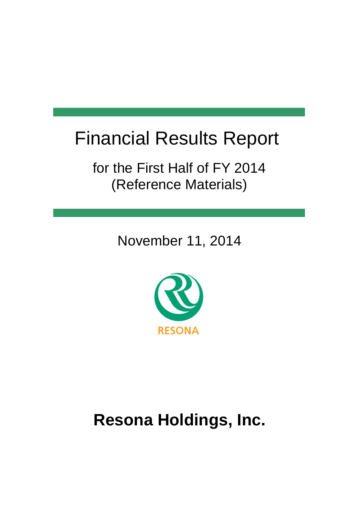# Financial Results Report

for the First Half of FY 2014 (Reference Materials)

November 11, 2014



# **Resona Holdings, Inc.**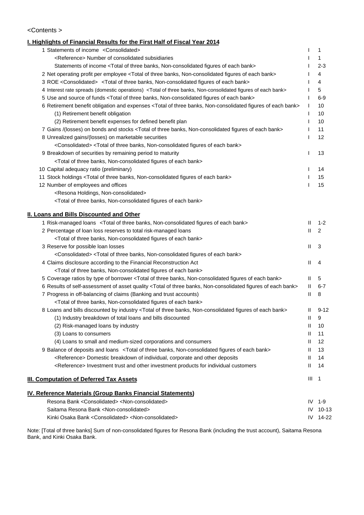#### <Contents >

### **I. Highlights of Financial Results for the First Half of Fiscal Year 2014** 1 Statements of income <Consolidated> I 1 1 keterence> Number of consolidated subsidiaries in the substantial of the substantial consolidated subsidiaries Statements of income <Total of three banks, Non-consolidated figures of each bank> I 2-3 2 Net operating profit per employee <Total of three banks, Non-consolidated figures of each bank> I 4 3 ROE <Consolidated> <Total of three banks, Non-consolidated figures of each bank> I 4 4 Interest rate spreads (domestic operations) <Total of three banks, Non-consolidated figures of each bank> 15 5 Use and source of funds <Total of three banks, Non-consolidated figures of each bank> I 6-9 6 Retirement benefit obligation and expenses <Total of three banks, Non-consolidated figures of each bank> I 10 (1) Retirement benefit obligation **I** 10 (2) Retirement benefit expenses for defined benefit plan I 10 7 Gains /(losses) on bonds and stocks <Total of three banks, Non-consolidated figures of each bank> I 11 8 Unrealized gains/(losses) on marketable securities and the securities of the securities of the securities of the securities of the securities of the securities of the securities of the securities of the securities of the <Consolidated> <Total of three banks, Non-consolidated figures of each bank> 9 Breakdown of securities by remaining period to maturity and the state of the state of the state of the 13 and 13 <Total of three banks, Non-consolidated figures of each bank> 10 Capital adequacy ratio (preliminary) **I** 14 11 Stock holdings <Total of three banks, Non-consolidated figures of each bank> I 15 12 Number of employees and offices **I 15** Number of employees and offices **I** 15 <Resona Holdings, Non-consolidated> <Total of three banks, Non-consolidated figures of each bank> **II. Loans and Bills Discounted and Other** 1 Risk-managed loans <Total of three banks, Non-consolidated figures of each bank> II 1-2 2 Percentage of loan loss reserves to total risk-managed loans **II 2** 2 <Total of three banks, Non-consolidated figures of each bank> 3 Reserve for possible loan losses II 3 <Consolidated> <Total of three banks, Non-consolidated figures of each bank> 4 Claims disclosure according to the Financial Reconstruction Act **II 1** 4 <Total of three banks, Non-consolidated figures of each bank> 5 Coverage ratios by type of borrower <Total of three banks, Non-consolidated figures of each bank> II 5 6 Results of self-assessment of asset quality <Total of three banks, Non-consolidated figures of each bank> II 6-7 7 Progress in off-balancing of claims (Banking and trust accounts) The Communication of the Communication of the B <Total of three banks, Non-consolidated figures of each bank> 8 Loans and bills discounted by industry <Total of three banks, Non-consolidated figures of each bank> II 9-12 (1) Industry breakdown of total loans and bills discounted II 9 (2) Risk-managed loans by industry II 10 (3) Loans to consumers **II** 11 (4) Loans to small and medium-sized corporations and consumers II 12 9 Balance of deposits and loans <Total of three banks, Non-consolidated figures of each bank> II 13 <Reference> Domestic breakdown of individual, corporate and other deposits II 14 kritude and the structure investment trust and other investment products for individual customers and TH 14 **III. Computation of Deferred Tax Assets III** 1 **IV. Reference Materials (Group Banks Financial Statements)** Resona Bank <Consolidated> <Non-consolidated> IV 1-9 Saitama Resona Bank <Non-consolidated> IV 10-13 Kinki Osaka Bank <Consolidated> <Non-consolidated> IV 14-22

Note: [Total of three banks] Sum of non-consolidated figures for Resona Bank (including the trust account), Saitama Resona Bank, and Kinki Osaka Bank.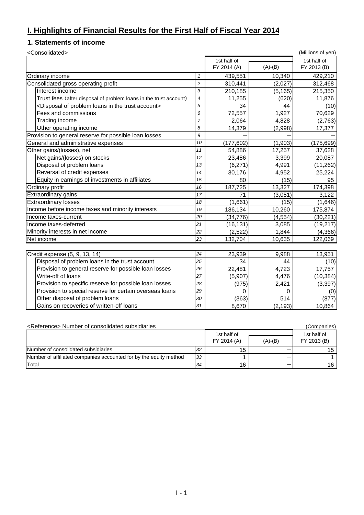### **I. Highlights of Financial Results for the First Half of Fiscal Year 2014**

## **1. Statements of income**

| <consolidated></consolidated>                                                    |                |             |           | (Millions of yen) |
|----------------------------------------------------------------------------------|----------------|-------------|-----------|-------------------|
|                                                                                  |                | 1st half of |           | 1st half of       |
|                                                                                  |                | FY 2014 (A) | $(A)-(B)$ | FY 2013 (B)       |
| Ordinary income                                                                  | $\mathbf{1}$   | 439,551     | 10,340    | 429,210           |
| Consolidated gross operating profit                                              | $\overline{c}$ | 310,441     | (2,027)   | 312,468           |
| Interest income                                                                  | 3              | 210,185     | (5, 165)  | 215,350           |
| Trust fees (after disposal of problem loans in the trust account)                | $\overline{4}$ | 11,255      | (620)     | 11,876            |
| <disposal account="" in="" loans="" of="" problem="" the="" trust=""></disposal> | 5              | 34          | 44        | (10)              |
| Fees and commissions                                                             | 6              | 72,557      | 1,927     | 70,629            |
| Trading income                                                                   | $\overline{7}$ | 2,064       | 4,828     | (2,763)           |
| Other operating income                                                           | 8              | 14,379      | (2,998)   | 17,377            |
| Provision to general reserve for possible loan losses                            | 9              |             |           |                   |
| General and administrative expenses                                              | 10             | (177, 602)  | (1,903)   | (175, 699)        |
| Other gains/(losses), net                                                        | 11             | 54,886      | 17,257    | 37,628            |
| Net gains/(losses) on stocks                                                     | 12             | 23,486      | 3,399     | 20,087            |
| Disposal of problem loans                                                        | 13             | (6, 271)    | 4,991     | (11, 262)         |
| Reversal of credit expenses                                                      | 14             | 30,176      | 4,952     | 25,224            |
| Equity in earnings of investments in affiliates                                  | 15             | 80          | (15)      | 95                |
| Ordinary profit                                                                  | 16             | 187,725     | 13,327    | 174,398           |
| Extraordinary gains                                                              | 17             | 71          | (3,051)   | 3,122             |
| <b>Extraordinary losses</b>                                                      | 18             | (1,661)     | (15)      | (1,646)           |
| Income before income taxes and minority interests                                | 19             | 186,134     | 10,260    | 175,874           |
| Income taxes-current                                                             | 20             | (34, 776)   | (4, 554)  | (30, 221)         |
| Income taxes-deferred                                                            | 21             | (16, 131)   | 3,085     | (19, 217)         |
| Minority interests in net income                                                 | 22             | (2, 522)    | 1,844     | (4,366)           |
| Net income                                                                       | 23             | 132,704     | 10,635    | 122,069           |
|                                                                                  |                |             |           |                   |
| Credit expense (5, 9, 13, 14)                                                    | 24             | 23,939      | 9,988     | 13,951            |
| Disposal of problem loans in the trust account                                   | 25             | 34          | 44        | (10)              |
| Provision to general reserve for possible loan losses                            | 26             | 22,481      | 4,723     | 17,757            |
| Write-off of loans                                                               | 27             | (5,907)     | 4,476     | (10, 384)         |
| Provision to specific reserve for possible loan losses                           | 28             | (975)       | 2,421     | (3, 397)          |
| Provision to special reserve for certain overseas loans                          | 29             | 0           | 0         | (0)               |
| Other disposal of problem loans                                                  | 30             | (363)       | 514       | (877)             |
| Gains on recoveries of written-off loans                                         | 31             | 8,670       | (2, 193)  | 10,864            |

| <reference> Number of consolidated subsidiaries</reference>       |    |                            |           | (Companies)                |
|-------------------------------------------------------------------|----|----------------------------|-----------|----------------------------|
|                                                                   |    | 1st half of<br>FY 2014 (A) | $(A)-(B)$ | 1st half of<br>FY 2013 (B) |
| Number of consolidated subsidiaries                               | 32 | 15                         |           | 15                         |
| Number of affiliated companies accounted for by the equity method | 33 |                            |           |                            |
| Total                                                             | 34 | 16                         |           | 16                         |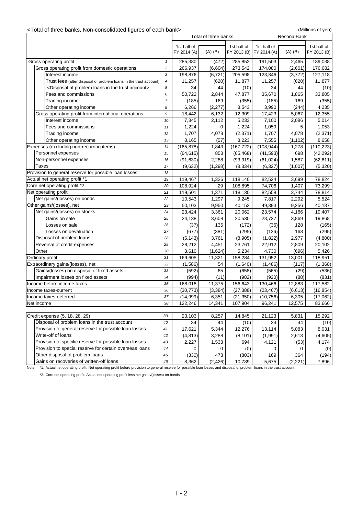| <total bank="" banks,="" each="" figures="" non-consolidated="" of="" three=""></total> |                |             |                      |             |                         |             | (Millions of yen) |
|-----------------------------------------------------------------------------------------|----------------|-------------|----------------------|-------------|-------------------------|-------------|-------------------|
|                                                                                         |                |             | Total of three banks |             |                         | Resona Bank |                   |
|                                                                                         |                | 1st half of |                      | 1st half of | 1st half of             |             | 1st half of       |
|                                                                                         |                | FY 2014 (A) | $(A)-(B)$            |             | FY 2013 (B) FY 2014 (A) | $(A)-(B)$   | FY 2013 (B)       |
| Gross operating profit                                                                  | $\mathbf{1}$   | 285,380     | (472)                | 285,852     | 191,503                 | 2,465       | 189,038           |
| Gross operating profit from domestic operations                                         | $\overline{c}$ | 266,937     | (6, 604)             | 273,542     | 174,080                 | (2,601)     | 176,682           |
| Interest income                                                                         | 3              | 198,876     | (6, 721)             | 205,598     | 123,346                 | (3,772)     | 127,118           |
| Trust fees (after disposal of problem loans in the trust account)                       | 4              | 11,257      | (620)                | 11,877      | 11,257                  | (620)       | 11,877            |
| <disposal account="" in="" loans="" of="" problem="" the="" trust=""></disposal>        | 5              | 34          | 44                   | (10)        | 34                      | 44          | (10)              |
| Fees and commissions                                                                    | 6              | 50,722      | 2,844                | 47,877      | 35,670                  | 1,865       | 33,805            |
| Trading income                                                                          | 7              | (185)       | 169                  | (355)       | (185)                   | 169         | (355)             |
| Other operating income                                                                  | 8              | 6,266       | (2, 277)             | 8,543       | 3,990                   | (244)       | 4,235             |
| Gross operating profit from international operations                                    | 9              | 18,442      | 6,132                | 12,309      | 17,423                  | 5,067       | 12,355            |
| Interest income                                                                         | 10             | 7,345       | 2,112                | 5,233       | 7,100                   | 2,086       | 5,014             |
| Fees and commissions                                                                    | 11             | 1,224       | 0                    | 1,224       | 1,059                   | 5           | 1,053             |
| Trading income                                                                          | 12             | 1,707       | 4,078                | (2, 371)    | 1,707                   | 4,078       | (2, 371)          |
| Other operating income                                                                  | 13             | 8,165       | (57)                 | 8,223       | 7,555                   | (1, 102)    | 8,658             |
| Expenses (excluding non-recurring items)                                                | 14             | (165, 878)  | 1,843                | (167, 722)  | (108, 944)              | 1,278       | (110, 223)        |
| Personnel expenses                                                                      | 15             | (64, 615)   | 853                  | (65, 468)   | (41, 593)               | 698         | (42, 292)         |
| Non-personnel expenses                                                                  | 16             | (91, 630)   | 2,288                | (93, 919)   | (61, 024)               | 1,587       | (62, 611)         |
| Taxes                                                                                   | 17             | (9,632)     | (1, 298)             | (8, 334)    | (6, 327)                | (1,007)     | (5, 320)          |
| Provision to general reserve for possible loan losses                                   | 18             |             |                      |             |                         |             |                   |
| Actual net operating profit *1                                                          | 19             | 119,467     | 1,326                | 118,140     | 82,524                  | 3,699       | 78,824            |
| Core net operating profit *2                                                            | 20             | 108,924     | 29                   | 108,895     | 74,706                  | 1,407       | 73,299            |
| Net operating profit                                                                    | 21             | 119,501     | 1,371                | 118,130     | 82,558                  | 3,744       | 78,814            |
| Net gains/(losses) on bonds                                                             | 22             | 10,543      | 1,297                | 9,245       | 7,817                   | 2,292       | 5,524             |
| Other gains/(losses), net                                                               | 23             | 50,103      | 9,950                | 40,153      | 49,393                  | 9,256       | 40,137            |
| Net gains/(losses) on stocks                                                            | 24             | 23,424      | 3,361                | 20,062      | 23,574                  | 4,166       | 19,407            |
| Gains on sale                                                                           | 25             | 24,138      | 3,608                | 20,530      | 23,737                  | 3,869       | 19,868            |
| Losses on sale                                                                          | 26             | (37)        | 135                  | (172)       | (36)                    | 128         | (165)             |
| Losses on devaluation                                                                   | 27             | (677)       | (381)                | (295)       | (126)                   | 168         | (295)             |
| Disposal of problem loans                                                               | 28             | (5, 143)    | 3,761                | (8,905)     | (1,822)                 | 2,977       | (4,800)           |
| Reversal of credit expenses                                                             | 29             | 28,212      | 4,451                | 23,761      | 22,912                  | 2,809       | 20,102            |
| Other                                                                                   | 30             | 3,610       | (1,624)              | 5,234       | 4,730                   | (696)       | 5,426             |
| Ordinary profit                                                                         | 31             | 169,605     | 11,321               | 158,284     | 131,952                 | 13,001      | 118,951           |
| Extraordinary gains/(losses), net                                                       | 32             | (1,586)     | 54                   | (1,640)     | (1,486)                 | (117)       | (1,368)           |
| Gains/(losses) on disposal of fixed assets                                              | 33             | (592)       | 65                   | (658)       | (565)                   | (29)        | (536)             |
| Impairment losses on fixed assets                                                       | 34             | (994)       | (11)                 | (982)       | (920)                   | (88)        | (831)             |
| Income before income taxes                                                              | 35             | 168,018     | 11,375               | 156,643     | 130,466                 | 12,883      | 117,582           |
| Income taxes-current                                                                    | 36             | (30, 773)   | (3, 384)             | (27, 388)   | (23, 467)               | (6, 613)    | (16, 854)         |
| Income taxes-deferred                                                                   | 37             | (14, 999)   | 6,351                | (21, 350)   | (10, 756)               | 6,305       | (17,062)          |
| Net income                                                                              | 38             | 122,246     | 14,341               | 107,904     | 96,241                  | 12,575      | 83,666            |
|                                                                                         |                |             |                      |             |                         |             |                   |
| Credit expense (5, 18, 28, 29)                                                          | 39             | 23,103      | 8,257                | 14,845      | 21,123                  | 5,831       | 15,292            |
| Disposal of problem loans in the trust account                                          | 40<br>41       | 34          | 44                   | (10)        | 34                      | 44          | (10)              |
| Provision to general reserve for possible loan losses                                   |                | 17,621      | 5,344                | 12,276      | 13,114                  | 5,083       | 8,031             |
| Write-off of loans                                                                      |                | (4, 813)    | 3,288                | (8, 101)    | (1,991)                 | 2,613       | (4,605)           |
| Provision to specific reserve for possible loan losses                                  | 43             | 2,227       | 1,533                | 694         | 4,121                   | (53)        | 4,174             |
| Provision to special reserve for certain overseas loans                                 | 44             | 0           | 0                    | (0)         | 0                       | 0           | (0)               |
| Other disposal of problem loans                                                         | 45             | (330)       | 473                  | (803)       | 169                     | 364         | (194)             |
| Gains on recoveries of written-off loans                                                | 46             | 8,362       | (2, 426)             | 10,789      | 5,675                   | (2, 221)    | 7,896             |

Note \*1. Actual net operating profit: Net operating profit before provision to general reserve for possible loan losses and disposal of problem loans in the trust account.

\*2. Core net operating profit: Actual net operating profit less net gains/(losses) on bonds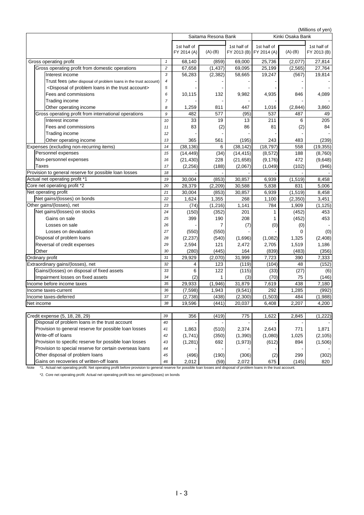|                                                                                  |                |             |                     |             |             |                  | (Millions of yen) |
|----------------------------------------------------------------------------------|----------------|-------------|---------------------|-------------|-------------|------------------|-------------------|
|                                                                                  |                |             | Saitama Resona Bank |             |             | Kinki Osaka Bank |                   |
|                                                                                  |                | 1st half of |                     | 1st half of | 1st half of |                  | 1st half of       |
|                                                                                  |                | FY 2014 (A) | $(A)-(B)$           | FY 2013 (B) | FY 2014 (A) | $(A)-(B)$        | FY 2013 (B)       |
| Gross operating profit                                                           | $\mathbf{1}$   | 68,140      | (859)               | 69,000      | 25,736      | (2,077)          | 27,814            |
| Gross operating profit from domestic operations                                  | $\overline{c}$ | 67,658      | (1, 437)            | 69,095      | 25,199      | (2, 565)         | 27,764            |
| Interest income                                                                  | 3              | 56,283      | (2, 382)            | 58,665      | 19,247      | (567)            | 19,814            |
| Trust fees (after disposal of problem loans in the trust account)                | 4              |             |                     |             |             |                  |                   |
| <disposal account="" in="" loans="" of="" problem="" the="" trust=""></disposal> | 5              |             |                     |             |             |                  |                   |
| Fees and commissions                                                             | 6              | 10,115      | 132                 | 9,982       | 4,935       | 846              | 4,089             |
| Trading income                                                                   | $\overline{7}$ |             |                     |             |             |                  |                   |
| Other operating income                                                           | 8              | 1,259       | 811                 | 447         | 1,016       | (2,844)          | 3,860             |
| Gross operating profit from international operations                             | 9              | 482         | 577                 | (95)        | 537         | 487              | 49                |
| Interest income                                                                  | 10             | 33          | 19                  | 13          | 211         | 6                | 205               |
| Fees and commissions                                                             | 11             | 83          | (2)                 | 86          | 81          | (2)              | 84                |
| Trading income                                                                   | 12             |             |                     |             |             |                  |                   |
| Other operating income                                                           | 13             | 365         | 561                 | (195)       | 243         | 483              | (239)             |
| Expenses (excluding non-recurring items)                                         | 14             | (38, 136)   | 6                   | (38, 142)   | (18, 797)   | 558              | (19, 355)         |
| Personnel expenses                                                               | 15             | (14, 449)   | (34)                | (14, 415)   | (8, 572)    | 188              | (8,760)           |
| Non-personnel expenses                                                           | 16             | (21, 430)   | 228                 | (21, 658)   | (9, 176)    | 472              | (9,648)           |
| <b>Taxes</b>                                                                     | 17             | (2, 256)    | (188)               | (2,067)     | (1,049)     | (102)            | (946)             |
| Provision to general reserve for possible loan losses                            | 18             |             |                     |             |             |                  |                   |
| Actual net operating profit *1                                                   | 19             | 30,004      | (853)               | 30,857      | 6,939       | (1, 519)         | 8,458             |
| Core net operating profit *2                                                     | 20             | 28.379      | (2, 209)            | 30,588      | 5,838       | 831              | 5,006             |
| Net operating profit                                                             | 21             | 30,004      | (853)               | 30,857      | 6,939       | (1, 519)         | 8,458             |
| Net gains/(losses) on bonds                                                      | 22             | 1,624       | 1,355               | 268         | 1,100       | (2, 350)         | 3,451             |
| Other gains/(losses), net                                                        | 23             | (74)        | (1,216)             | 1,141       | 784         | 1,909            | (1, 125)          |
| Net gains/(losses) on stocks                                                     | 24             | (150)       | (352)               | 201         | 1           | (452)            | 453               |
| Gains on sale                                                                    | 25             | 399         | 190                 | 208         |             | (452)            | 453               |
| Losses on sale                                                                   | 26             |             | 7                   | (7)         | (0)         | (0)              |                   |
| Losses on devaluation                                                            | 27             | (550)       | (550)               |             |             | 0                | (0)               |
| Disposal of problem loans                                                        | 28             | (2, 237)    | (540)               | (1,696)     | (1,082)     | 1,325            | (2, 408)          |
| Reversal of credit expenses                                                      | 29             | 2,594       | 121                 | 2,472       | 2,705       | 1,519            | 1,186             |
| Other                                                                            | 30             | (280)       | (445)               | 164         | (839)       | (483)            | (356)             |
| Ordinary profit                                                                  | 31             | 29,929      | (2,070)             | 31,999      | 7,723       | 390              | 7,333             |
| Extraordinary gains/(losses), net                                                | 32             | 4           | 123                 | (119)       | (104)       | 48               | (152)             |
| Gains/(losses) on disposal of fixed assets                                       | 33             | 6           | 122                 | (115)       | (33)        | (27)             | (6)               |
| Impairment losses on fixed assets                                                | 34             | (2)         | 1                   | (3)         | (70)        | 75               | (146)             |
| Income before income taxes                                                       | 35             | 29,933      | (1,946)             | 31,879      | 7,619       | 438              | 7,180             |
| Income taxes-current                                                             | 36             | (7, 598)    | 1,943               | (9,541)     | 292         | 1,285            | (992)             |
| Income taxes-deferred                                                            | 37             | (2,738)     | (438)               | (2,300)     | (1,503)     | 484              | (1,988)           |
| Net income                                                                       | 38             | 19,596      | (441)               | 20,037      | 6,408       | 2,207            | 4,200             |
| Credit expense (5, 18, 28, 29)                                                   | 39             | 356         | (419)               | 775         | 1,622       | 2,845            | (1, 222)          |
| Disposal of problem loans in the trust account                                   | 40             |             |                     |             |             |                  |                   |
| Provision to general reserve for possible loan losses                            | 41             | 1,863       | (510)               | 2,374       | 2,643       | 771              | 1,871             |
| Write-off of loans                                                               | 42             | (1,741)     | (350)               | (1, 390)    | (1,080)     | 1,025            | (2, 105)          |
| Provision to specific reserve for possible loan losses                           | 43             | (1, 281)    | 692                 | (1, 973)    | (612)       | 894              | (1,506)           |
| Provision to special reserve for certain overseas loans                          | 44             |             |                     |             |             |                  |                   |
| Other disposal of problem loans                                                  | 45             | (496)       | (190)               | (306)       | (2)         | 299              | (302)             |
| Gains on recoveries of written-off loans                                         | 46             | 2,012       | (59)                | 2,072       | 675         | (145)            | 820               |

Note \*1. Actual net operating profit: Net operating profit before provision to general reserve for possible loan losses and disposal of problem loans in the trust account.

\*2. Core net operating profit: Actual net operating profit less net gains/(losses) on bonds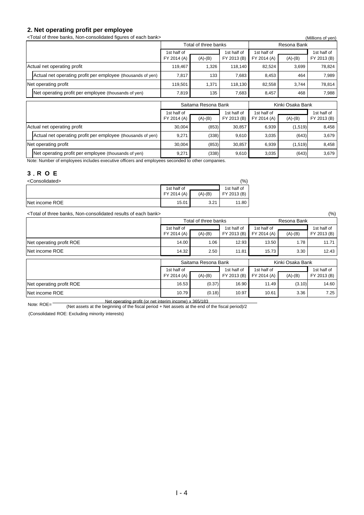## **2. Net operating profit per employee**<br>
<br> **CTotal of three banks. Non-consolidated figures of each bank**

 $T$ otal of three banks, Non-consolidated figures of each bank $\sim$ 

| <total bank="" banks,="" each="" figures="" non-consolidated="" of="" three=""></total> |                            |                      |                            |                            |             | (Millions of yen)          |  |
|-----------------------------------------------------------------------------------------|----------------------------|----------------------|----------------------------|----------------------------|-------------|----------------------------|--|
|                                                                                         |                            | Total of three banks |                            |                            | Resona Bank |                            |  |
|                                                                                         | 1st half of<br>FY 2014 (A) | $(A)-(B)$            | 1st half of<br>FY 2013 (B) | 1st half of<br>FY 2014 (A) | $(A)-(B)$   | 1st half of<br>FY 2013 (B) |  |
| Actual net operating profit                                                             | 119,467                    | 1,326                | 118,140                    | 82,524                     | 3,699       | 78,824                     |  |
| Actual net operating profit per employee (thousands of yen)                             | 7,817                      | 133                  | 7,683                      | 8,453                      | 464         | 7,989                      |  |
| Net operating profit                                                                    | 119,501                    | 1,371                | 118,130                    | 82,558                     | 3,744       | 78,814                     |  |
| Net operating profit per employee (thousands of yen)                                    | 7,819                      | 135                  | 7,683                      | 8,457                      | 468         | 7,988                      |  |
|                                                                                         |                            | Saitama Resona Bank  |                            | Kinki Osaka Bank           |             |                            |  |
|                                                                                         | 1st half of<br>FY 2014 (A) | $(A)-(B)$            | 1st half of<br>FY 2013 (B) | 1st half of<br>FY 2014 (A) | $(A)-(B)$   | 1st half of<br>FY 2013 (B) |  |
| Actual net operating profit                                                             | 30,004                     | (853)                | 30,857                     | 6,939                      | (1,519)     | 8,458                      |  |
| Actual net operating profit per employee (thousands of yen)                             | 9,271                      | (338)                | 9,610                      | 3,035                      | (643)       | 3,679                      |  |
| Net operating profit                                                                    | 30,004                     | (853)                | 30,857                     | 6,939                      | (1,519)     | 8,458                      |  |
| Net operating profit per employee (thousands of yen)                                    | 9,271                      | (338)                | 9,610                      | 3,035                      | (643)       | 3,679                      |  |

Note: Number of employees includes executive officers and employees seconded to other companies.

### **3**.**R O E**

| <consolidated></consolidated> |             |           | $\frac{10}{6}$ |
|-------------------------------|-------------|-----------|----------------|
|                               | 1st half of |           | 1st half of    |
|                               | FY 2014 (A) | $(A)-(B)$ | FY 2013 (B)    |
| Net income ROE                | 15.01       | 3.21      | 11.80          |

<Total of three banks, Non-consolidated results of each bank> (%)

|                          |                            | Total of three banks |                            |                            | Resona Bank |                            |  |
|--------------------------|----------------------------|----------------------|----------------------------|----------------------------|-------------|----------------------------|--|
|                          | 1st half of<br>FY 2014 (A) | $(A)-(B)$            | 1st half of<br>FY 2013 (B) | 1st half of<br>FY 2014 (A) | $(A)-(B)$   | 1st half of<br>FY 2013 (B) |  |
| Net operating profit ROE | 14.00                      | 1.06                 | 12.93                      | 13.50                      | 1.78        | 11.71                      |  |
| Net income ROE           | 14.32                      | 2.50                 | 11.81                      | 15.73                      | 3.30        | 12.43                      |  |
|                          |                            | Saitama Resona Bank  |                            | Kinki Osaka Bank           |             |                            |  |
|                          | 1st half of<br>FY 2014 (A) | $(A)-(B)$            | 1st half of<br>FY 2013 (B) | 1st half of<br>FY 2014 (A) | $(A)-(B)$   | 1st half of<br>FY 2013 (B) |  |
| Net operating profit ROE | 16.53                      | (0.37)               | 16.90                      | 11.49                      | (3.10)      | 14.60                      |  |
| Net income ROE           | 10.79                      | (0.18)               | 10.97                      | 10.61                      | 3.36        | 7.25                       |  |

Note: ROE= Net operating profit (or net interim income) x 365/183<br>Note: ROE= (Net operate of the beginning of the figeel period + Net operate of the and of (Net assets at the beginning of the fiscal period + Net assets at the end of the fiscal period)/2

(Consolidated ROE: Excluding minority interests)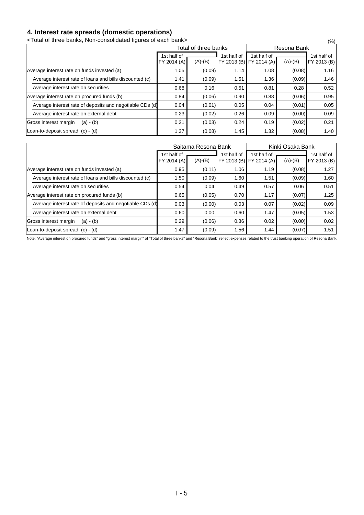### **4. Interest rate spreads (domestic operations)**

<Total of three banks, Non-consolidated figures of each bank> (%)

|                                                          |                            | Total of three banks |             | Resona Bank                            |           |                            |  |  |
|----------------------------------------------------------|----------------------------|----------------------|-------------|----------------------------------------|-----------|----------------------------|--|--|
|                                                          | 1st half of<br>FY 2014 (A) | $(A)-(B)$            | 1st half of | 1st half of<br>FY 2013 (B) FY 2014 (A) | $(A)-(B)$ | 1st half of<br>FY 2013 (B) |  |  |
| Average interest rate on funds invested (a)              | 1.05                       | (0.09)               | 1.14        | 1.08                                   | (0.08)    | 1.16                       |  |  |
| Average interest rate of loans and bills discounted (c)  | 1.41                       | (0.09)               | 1.51        | 1.36                                   | (0.09)    | 1.46                       |  |  |
| Average interest rate on securities                      | 0.68                       | 0.16                 | 0.51        | 0.81                                   | 0.28      | 0.52                       |  |  |
| Average interest rate on procured funds (b)              | 0.84                       | (0.06)               | 0.90        | 0.88                                   | (0.06)    | 0.95                       |  |  |
| Average interest rate of deposits and negotiable CDs (d) | 0.04                       | (0.01)               | 0.05        | 0.04                                   | (0.01)    | 0.05                       |  |  |
| Average interest rate on external debt                   | 0.23                       | (0.02)               | 0.26        | 0.09                                   | (0.00)    | 0.09                       |  |  |
| Gross interest margin<br>$(a) - (b)$                     | 0.21                       | (0.03)               | 0.24        | 0.19                                   | (0.02)    | 0.21                       |  |  |
| Loan-to-deposit spread (c) - (d)                         | 1.37                       | (0.08)               | 1.45        | 1.32                                   | (0.08)    | 1.40                       |  |  |

|                                                          |                            | Saitama Resona Bank |                                               |             | Kinki Osaka Bank |                            |
|----------------------------------------------------------|----------------------------|---------------------|-----------------------------------------------|-------------|------------------|----------------------------|
|                                                          | 1st half of<br>FY 2014 (A) | $(A)-(B)$           | 1st half of<br><b>FY 2013 (B) FY 2014 (A)</b> | 1st half of | $(A)-(B)$        | 1st half of<br>FY 2013 (B) |
| Average interest rate on funds invested (a)              | 0.95                       | (0.11)              | 1.06                                          | 1.19        | (0.08)           | 1.27                       |
| Average interest rate of loans and bills discounted (c)  | 1.50                       | (0.09)              | 1.60                                          | 1.51        | (0.09)           | 1.60                       |
| Average interest rate on securities                      | 0.54                       | 0.04                | 0.49                                          | 0.57        | 0.06             | 0.51                       |
| Average interest rate on procured funds (b)              | 0.65                       | (0.05)              | 0.70                                          | 1.17        | (0.07)           | 1.25                       |
| Average interest rate of deposits and negotiable CDs (d) | 0.03                       | (0.00)              | 0.03                                          | 0.07        | (0.02)           | 0.09                       |
| Average interest rate on external debt                   | 0.60                       | 0.00                | 0.60                                          | 1.47        | (0.05)           | 1.53                       |
| Gross interest margin<br>$(a) - (b)$                     | 0.29                       | (0.06)              | 0.36                                          | 0.02        | (0.00)           | 0.02                       |
| Loan-to-deposit spread (c) - (d)                         | 1.47                       | (0.09)              | 1.56                                          | 1.44        | (0.07)           | 1.51                       |

Note: "Average interest on procured funds" and "gross interest margin" of "Total of three banks" and "Resona Bank" reflect expenses related to the trust banking operation of Resona Bank.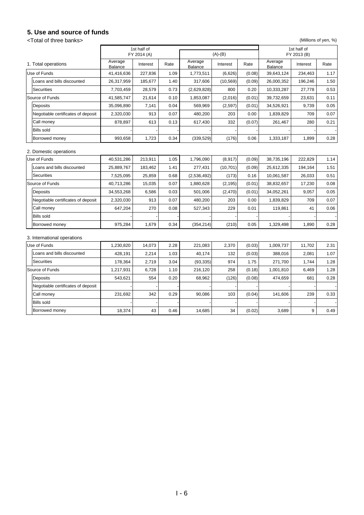### **5. Use and source of funds**

<Total of three banks> (Millions of yen, %)

|                                    |                    | 1st half of<br>FY 2014 (A) |      |                           | $(A)-(B)$ |        |                    | 1st half of<br>FY 2013 (B) |      |
|------------------------------------|--------------------|----------------------------|------|---------------------------|-----------|--------|--------------------|----------------------------|------|
| 1. Total operations                | Average<br>Balance | Interest                   | Rate | Average<br><b>Balance</b> | Interest  | Rate   | Average<br>Balance | Interest                   | Rate |
| Use of Funds                       | 41,416,636         | 227,836                    | 1.09 | 1,773,511                 | (6,626)   | (0.08) | 39,643,124         | 234,463                    | 1.17 |
| Loans and bills discounted         | 26,317,959         | 185,677                    | 1.40 | 317,606                   | (10, 569) | (0.09) | 26,000,352         | 196,246                    | 1.50 |
| Securities                         | 7,703,459          | 28,579                     | 0.73 | (2,629,828)               | 800       | 0.20   | 10,333,287         | 27,778                     | 0.53 |
| Source of Funds                    | 41,585,747         | 21,614                     | 0.10 | 1,853,087                 | (2,016)   | (0.01) | 39,732,659         | 23,631                     | 0.11 |
| Deposits                           | 35,096,890         | 7,141                      | 0.04 | 569,969                   | (2, 597)  | (0.01) | 34,526,921         | 9,739                      | 0.05 |
| Negotiable certificates of deposit | 2,320,030          | 913                        | 0.07 | 480,200                   | 203       | 0.00   | 1,839,829          | 709                        | 0.07 |
| Call money                         | 878,897            | 613                        | 0.13 | 617,430                   | 332       | (0.07) | 261,467            | 280                        | 0.21 |
| <b>Bills sold</b>                  |                    |                            |      |                           |           |        |                    |                            |      |
| Borrowed money                     | 993,658            | 1,723                      | 0.34 | (339, 529)                | (176)     | 0.06   | 1,333,187          | 1,899                      | 0.28 |
| 2. Domestic operations             |                    |                            |      |                           |           |        |                    |                            |      |
| Use of Funds                       | 40,531,286         | 213,911                    | 1.05 | 1,796,090                 | (8,917)   | (0.09) | 38,735,196         | 222,829                    | 1.14 |
| Loans and bills discounted         | 25,889,767         | 183,462                    | 1.41 | 277,431                   | (10, 701) | (0.09) | 25,612,335         | 194,164                    | 1.51 |
| Securities                         | 7,525,095          | 25,859                     | 0.68 | (2,536,492)               | (173)     | 0.16   | 10,061,587         | 26,033                     | 0.51 |
| Source of Funds                    | 40,713,286         | 15,035                     | 0.07 | 1,880,628                 | (2, 195)  | (0.01) | 38,832,657         | 17,230                     | 0.08 |
| Deposits                           | 34,553,268         | 6,586                      | 0.03 | 501,006                   | (2,470)   | (0.01) | 34,052,261         | 9,057                      | 0.05 |
| Negotiable certificates of deposit | 2,320,030          | 913                        | 0.07 | 480,200                   | 203       | 0.00   | 1,839,829          | 709                        | 0.07 |
| Call money                         | 647,204            | 270                        | 0.08 | 527,343                   | 229       | 0.01   | 119,861            | 41                         | 0.06 |
| <b>Bills sold</b>                  |                    |                            |      |                           |           |        |                    |                            |      |
| Borrowed money                     | 975,284            | 1,679                      | 0.34 | (354, 214)                | (210)     | 0.05   | 1,329,498          | 1,890                      | 0.28 |
| 3. International operations        |                    |                            |      |                           |           |        |                    |                            |      |
| Use of Funds                       | 1,230,820          | 14,073                     | 2.28 | 221,083                   | 2,370     | (0.03) | 1,009,737          | 11,702                     | 2.31 |
| Loans and bills discounted         | 428.191            | 2.214                      | 1.03 | 40.174                    | 132       | (0.03) | 388.016            | 2.081                      | 1.07 |
| Securities                         | 178.364            | 2,719                      | 3.04 | (93, 335)                 | 974       | 1.75   | 271.700            | 1.744                      | 1.28 |
| Source of Funds                    | 1,217,931          | 6,728                      | 1.10 | 216,120                   | 258       | (0.18) | 1,001,810          | 6,469                      | 1.28 |
| Deposits                           | 543,621            | 554                        | 0.20 | 68,962                    | (126)     | (0.08) | 474,659            | 681                        | 0.28 |
| Negotiable certificates of deposit |                    |                            |      |                           |           |        |                    |                            |      |
| Call money                         | 231,692            | 342                        | 0.29 | 90,086                    | 103       | (0.04) | 141,606            | 239                        | 0.33 |
| Bills sold                         |                    |                            |      |                           |           |        |                    |                            |      |
| Borrowed money                     | 18,374             | 43                         | 0.46 | 14,685                    | 34        | (0.02) | 3,689              | 9                          | 0.49 |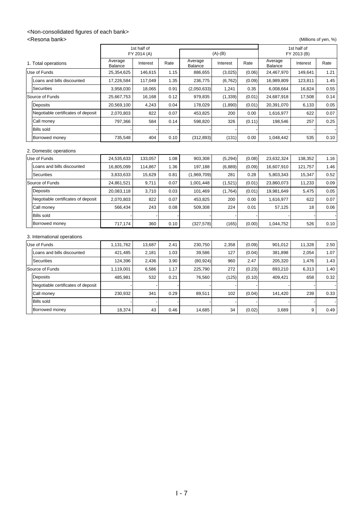### <Non-consolidated figures of each bank>

<Resona bank> (Millions of yen, %)

|                                    |                    | 1st half of<br>FY 2014 (A) |      |                    | $(A)-(B)$ |        |                    | 1st half of<br>FY 2013 (B) |      |
|------------------------------------|--------------------|----------------------------|------|--------------------|-----------|--------|--------------------|----------------------------|------|
| 1. Total operations                | Average<br>Balance | Interest                   | Rate | Average<br>Balance | Interest  | Rate   | Average<br>Balance | Interest                   | Rate |
| Use of Funds                       | 25,354,625         | 146,615                    | 1.15 | 886,655            | (3,025)   | (0.06) | 24,467,970         | 149,641                    | 1.21 |
| Loans and bills discounted         | 17,226,584         | 117,049                    | 1.35 | 236,775            | (6, 762)  | (0.09) | 16,989,809         | 123,811                    | 1.45 |
| Securities                         | 3,958,030          | 18,065                     | 0.91 | (2,050,633)        | 1,241     | 0.35   | 6,008,664          | 16,824                     | 0.55 |
| Source of Funds                    | 25,667,753         | 16,168                     | 0.12 | 979,835            | (1, 339)  | (0.01) | 24,687,918         | 17,508                     | 0.14 |
| Deposits                           | 20,569,100         | 4,243                      | 0.04 | 178,029            | (1,890)   | (0.01) | 20,391,070         | 6,133                      | 0.05 |
| Negotiable certificates of deposit | 2.070.803          | 822                        | 0.07 | 453.825            | 200       | 0.00   | 1.616.977          | 622                        | 0.07 |
| Call money                         | 797.366            | 584                        | 0.14 | 598,820            | 326       | (0.11) | 198.546            | 257                        | 0.25 |
| Bills sold                         |                    |                            |      |                    |           |        |                    |                            |      |
| Borrowed money                     | 735,548            | 404                        | 0.10 | (312, 893)         | (131)     | 0.00   | 1,048,442          | 535                        | 0.10 |
| 2. Domestic operations             |                    |                            |      |                    |           |        |                    |                            |      |
| Use of Funds                       | 24,535,633         | 133,057                    | 1.08 | 903,308            | (5, 294)  | (0.08) | 23,632,324         | 138,352                    | 1.16 |
| Loans and bills discounted         | 16,805,099         | 114,867                    | 1.36 | 197,188            | (6,889)   | (0.09) | 16,607,910         | 121,757                    | 1.46 |
| Securities                         | 3,833,633          | 15,629                     | 0.81 | (1,969,709)        | 281       | 0.28   | 5,803,343          | 15,347                     | 0.52 |
| Source of Funds                    | 24,861,521         | 9,711                      | 0.07 | 1,001,448          | (1,521)   | (0.01) | 23,860,073         | 11,233                     | 0.09 |
| Deposits                           | 20,083,118         | 3,710                      | 0.03 | 101,469            | (1,764)   | (0.01) | 19,981,649         | 5,475                      | 0.05 |
| Negotiable certificates of deposit | 2.070.803          | 822                        | 0.07 | 453.825            | 200       | 0.00   | 1,616,977          | 622                        | 0.07 |
| Call money                         | 566,434            | 243                        | 0.08 | 509,308            | 224       | 0.01   | 57,125             | 18                         | 0.06 |
| <b>Bills sold</b>                  |                    |                            |      |                    |           |        |                    |                            |      |
| Borrowed money                     | 717,174            | 360                        | 0.10 | (327, 578)         | (165)     | (0.00) | 1,044,752          | 526                        | 0.10 |
| 3. International operations        |                    |                            |      |                    |           |        |                    |                            |      |
| Use of Funds                       | 1,131,762          | 13,687                     | 2.41 | 230,750            | 2,358     | (0.09) | 901,012            | 11,328                     | 2.50 |
| Loans and bills discounted         | 421,485            | 2,181                      | 1.03 | 39,586             | 127       | (0.04) | 381,898            | 2,054                      | 1.07 |
| Securities                         | 124,396            | 2,436                      | 3.90 | (80, 924)          | 960       | 2.47   | 205,320            | 1,476                      | 1.43 |
| Source of Funds                    | 1,119,001          | 6,586                      | 1.17 | 225,790            | 272       | (0.23) | 893,210            | 6,313                      | 1.40 |
| Deposits                           | 485,981            | 532                        | 0.21 | 76,560             | (125)     | (0.10) | 409,421            | 658                        | 0.32 |
| Negotiable certificates of deposit |                    |                            |      |                    |           |        |                    |                            |      |
| Call money                         | 230,932            | 341                        | 0.29 | 89,511             | 102       | (0.04) | 141,420            | 239                        | 0.33 |
| Bills sold                         |                    |                            |      |                    |           |        |                    |                            |      |
| Borrowed money                     | 18,374             | 43                         | 0.46 | 14,685             | 34        | (0.02) | 3,689              | 9                          | 0.49 |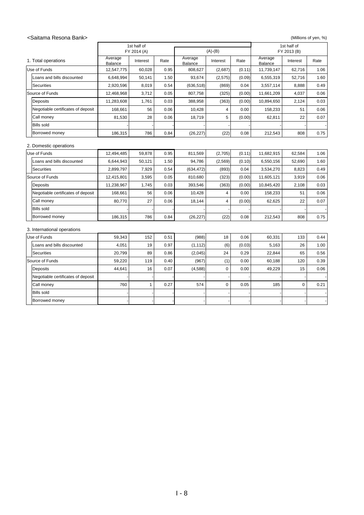#### <Saitama Resona Bank> (Millions of yen, %)

|                                    |                    | 1st half of<br>FY 2014 (A) |      |                    | $(A)-(B)$      |        |                    | 1st half of<br>FY 2013 (B) |      |
|------------------------------------|--------------------|----------------------------|------|--------------------|----------------|--------|--------------------|----------------------------|------|
| 1. Total operations                | Average<br>Balance | Interest                   | Rate | Average<br>Balance | Interest       | Rate   | Average<br>Balance | Interest                   | Rate |
| Use of Funds                       | 12,547,775         | 60,028                     | 0.95 | 808,627            | (2,687)        | (0.11) | 11,739,147         | 62,716                     | 1.06 |
| Loans and bills discounted         | 6,648,994          | 50.141                     | 1.50 | 93.674             | (2,575)        | (0.09) | 6.555.319          | 52.716                     | 1.60 |
| Securities                         | 2,920,596          | 8,019                      | 0.54 | (636, 518)         | (869)          | 0.04   | 3,557,114          | 8,888                      | 0.49 |
| Source of Funds                    | 12,468,968         | 3,712                      | 0.05 | 807,758            | (325)          | (0.00) | 11,661,209         | 4,037                      | 0.06 |
| <b>Deposits</b>                    | 11,283,608         | 1,761                      | 0.03 | 388,958            | (363)          | (0.00) | 10,894,650         | 2,124                      | 0.03 |
| Negotiable certificates of deposit | 168,661            | 56                         | 0.06 | 10,428             | $\overline{4}$ | 0.00   | 158,233            | 51                         | 0.06 |
| Call money                         | 81,530             | 28                         | 0.06 | 18,719             | 5              | (0.00) | 62,811             | 22                         | 0.07 |
| <b>Bills sold</b>                  |                    |                            |      |                    |                |        |                    |                            |      |
| Borrowed money                     | 186,315            | 786                        | 0.84 | (26, 227)          | (22)           | 0.08   | 212,543            | 808                        | 0.75 |
| 2. Domestic operations             |                    |                            |      |                    |                |        |                    |                            |      |
| Use of Funds                       | 12,494,485         | 59,878                     | 0.95 | 811,569            | (2,705)        | (0.11) | 11,682,915         | 62,584                     | 1.06 |
| Loans and bills discounted         | 6,644,943          | 50,121                     | 1.50 | 94,786             | (2, 569)       | (0.10) | 6,550,156          | 52,690                     | 1.60 |
| Securities                         | 2,899,797          | 7,929                      | 0.54 | (634, 472)         | (893)          | 0.04   | 3,534,270          | 8,823                      | 0.49 |
| Source of Funds                    | 12,415,801         | 3,595                      | 0.05 | 810,680            | (323)          | (0.00) | 11,605,121         | 3,919                      | 0.06 |
| <b>Deposits</b>                    | 11,238,967         | 1.745                      | 0.03 | 393.546            | (363)          | (0.00) | 10.845.420         | 2,108                      | 0.03 |
| Negotiable certificates of deposit | 168,661            | 56                         | 0.06 | 10,428             | $\overline{4}$ | 0.00   | 158,233            | 51                         | 0.06 |
| Call money                         | 80.770             | 27                         | 0.06 | 18,144             | $\overline{4}$ | (0.00) | 62,625             | 22                         | 0.07 |
| <b>Bills sold</b>                  |                    |                            |      |                    |                |        |                    |                            |      |
| Borrowed money                     | 186,315            | 786                        | 0.84 | (26, 227)          | (22)           | 0.08   | 212,543            | 808                        | 0.75 |
| 3. International operations        |                    |                            |      |                    |                |        |                    |                            |      |
| Use of Funds                       | 59,343             | 152                        | 0.51 | (988)              | 18             | 0.06   | 60,331             | 133                        | 0.44 |
| Loans and bills discounted         | 4,051              | 19                         | 0.97 | (1, 112)           | (6)            | (0.03) | 5,163              | 26                         | 1.00 |
| Securities                         | 20,799             | 89                         | 0.86 | (2,045)            | 24             | 0.29   | 22,844             | 65                         | 0.56 |
| Source of Funds                    | 59,220             | 119                        | 0.40 | (967)              | (1)            | 0.00   | 60,188             | 120                        | 0.39 |
| Deposits                           | 44,641             | 16                         | 0.07 | (4,588)            | $\mathbf 0$    | 0.00   | 49,229             | 15                         | 0.06 |
| Negotiable certificates of deposit |                    |                            |      |                    |                |        |                    |                            |      |
| Call money                         | 760                | $\mathbf{1}$               | 0.27 | 574                | $\mathbf 0$    | 0.05   | 185                | $\mathbf 0$                | 0.21 |
| <b>Bills sold</b>                  |                    |                            |      |                    |                |        |                    |                            |      |
| Borrowed money                     |                    |                            |      |                    |                |        |                    |                            |      |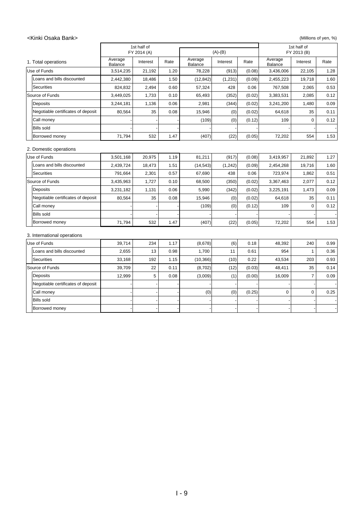#### <Kinki Osaka Bank> (Millions of yen, %)

|                                    |                           | 1st half of<br>FY 2014 (A) |      | $(A)-(B)$          |          |        | 1st half of<br>FY 2013 (B) |                |      |
|------------------------------------|---------------------------|----------------------------|------|--------------------|----------|--------|----------------------------|----------------|------|
| 1. Total operations                | Average<br><b>Balance</b> | Interest                   | Rate | Average<br>Balance | Interest | Rate   | Average<br><b>Balance</b>  | Interest       | Rate |
| Use of Funds                       | 3,514,235                 | 21,192                     | 1.20 | 78,228             | (913)    | (0.08) | 3,436,006                  | 22,105         | 1.28 |
| Loans and bills discounted         | 2,442,380                 | 18,486                     | 1.50 | (12, 842)          | (1, 231) | (0.09) | 2,455,223                  | 19,718         | 1.60 |
| Securities                         | 824,832                   | 2,494                      | 0.60 | 57,324             | 428      | 0.06   | 767,508                    | 2,065          | 0.53 |
| Source of Funds                    | 3,449,025                 | 1,733                      | 0.10 | 65,493             | (352)    | (0.02) | 3,383,531                  | 2,085          | 0.12 |
| Deposits                           | 3,244,181                 | 1,136                      | 0.06 | 2,981              | (344)    | (0.02) | 3,241,200                  | 1,480          | 0.09 |
| Negotiable certificates of deposit | 80.564                    | 35                         | 0.08 | 15,946             | (0)      | (0.02) | 64,618                     | 35             | 0.11 |
| Call money                         |                           |                            |      | (109)              | (0)      | (0.12) | 109                        | $\mathbf 0$    | 0.12 |
| <b>Bills sold</b>                  |                           |                            |      |                    |          |        |                            |                |      |
| Borrowed money                     | 71,794                    | 532                        | 1.47 | (407)              | (22)     | (0.05) | 72,202                     | 554            | 1.53 |
| 2. Domestic operations             |                           |                            |      |                    |          |        |                            |                |      |
| Use of Funds                       | 3,501,168                 | 20,975                     | 1.19 | 81,211             | (917)    | (0.08) | 3,419,957                  | 21,892         | 1.27 |
| Loans and bills discounted         | 2,439,724                 | 18,473                     | 1.51 | (14, 543)          | (1,242)  | (0.09) | 2,454,268                  | 19,716         | 1.60 |
| Securities                         | 791,664                   | 2,301                      | 0.57 | 67,690             | 438      | 0.06   | 723,974                    | 1,862          | 0.51 |
| Source of Funds                    | 3,435,963                 | 1,727                      | 0.10 | 68,500             | (350)    | (0.02) | 3,367,463                  | 2,077          | 0.12 |
| Deposits                           | 3,231,182                 | 1,131                      | 0.06 | 5,990              | (342)    | (0.02) | 3,225,191                  | 1,473          | 0.09 |
| Negotiable certificates of deposit | 80,564                    | 35                         | 0.08 | 15,946             | (0)      | (0.02) | 64,618                     | 35             | 0.11 |
| Call money                         |                           |                            |      | (109)              | (0)      | (0.12) | 109                        | $\mathbf 0$    | 0.12 |
| <b>Bills sold</b>                  |                           |                            |      |                    |          |        |                            |                |      |
| Borrowed money                     | 71,794                    | 532                        | 1.47 | (407)              | (22)     | (0.05) | 72,202                     | 554            | 1.53 |
| 3. International operations        |                           |                            |      |                    |          |        |                            |                |      |
| Use of Funds                       | 39,714                    | 234                        | 1.17 | (8,678)            | (6)      | 0.18   | 48,392                     | 240            | 0.99 |
| Loans and bills discounted         | 2,655                     | 13                         | 0.98 | 1,700              | 11       | 0.61   | 954                        | $\mathbf{1}$   | 0.36 |
| Securities                         | 33,168                    | 192                        | 1.15 | (10, 366)          | (10)     | 0.22   | 43,534                     | 203            | 0.93 |
| Source of Funds                    | 39,709                    | 22                         | 0.11 | (8,702)            | (12)     | (0.03) | 48,411                     | 35             | 0.14 |
| Deposits                           | 12,999                    | 5                          | 0.08 | (3,009)            | (1)      | (0.00) | 16,009                     | $\overline{7}$ | 0.09 |
| Negotiable certificates of deposit |                           |                            |      |                    |          |        |                            |                |      |
| Call money                         |                           |                            |      | (0)                | (0)      | (0.25) | 0                          | $\mathbf 0$    | 0.25 |
| Bills sold                         |                           |                            |      |                    |          |        |                            |                |      |
| Borrowed money                     |                           |                            |      |                    |          |        |                            |                |      |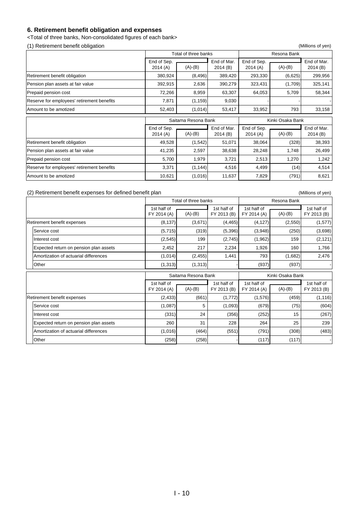### **6. Retirement benefit obligation and expenses**

<Total of three banks, Non-consolidated figures of each bank>

(1) Retirement benefit obligation (Millions of yen)

|                                            |                        | Total of three banks |                              | Resona Bank            |                        |                         |  |
|--------------------------------------------|------------------------|----------------------|------------------------------|------------------------|------------------------|-------------------------|--|
|                                            | End of Sep.<br>2014(A) | $(A)-(B)$            | End of Mar.<br>2014(B)       | End of Sep.<br>2014(A) | $(A)-(B)$              | End of Mar.<br>2014 (B) |  |
| Retirement benefit obligation              | 380,924                | (8, 496)             | 389,420                      | 293,330                | (6,625)                | 299,956                 |  |
| Pension plan assets at fair value          | 392,915                | 2,636                | 390,279                      | 323,431                | (1,709)                | 325,141                 |  |
| Prepaid pension cost                       | 72,266                 | 8,959                | 63,307                       | 64,053                 | 5,709                  | 58,344                  |  |
| Reserve for employees' retirement benefits | 7,871                  | (1, 159)             | 9,030                        |                        |                        |                         |  |
| Amount to be amotized                      | 52,403                 | (1,014)              | 53,417                       | 33,952                 | 793                    | 33,158                  |  |
|                                            |                        | Saitama Resona Bank  |                              |                        | Kinki Osaka Bank       |                         |  |
|                                            | Faal of Con-           |                      | $\Gamma_{\text{rad}}$ of Max | Fed of Con-            | $\Gamma$ and af $M$ ax |                         |  |

|                                            | End of Sep. |           | End of Mar. | End of Sep. |           | End of Mar. |  |
|--------------------------------------------|-------------|-----------|-------------|-------------|-----------|-------------|--|
|                                            | 2014(A)     | $(A)-(B)$ | 2014(B)     | 2014(A)     | $(A)-(B)$ | 2014(B)     |  |
| Retirement benefit obligation              | 49.528      | (1.542)   | 51.071      | 38.064      | (328)     | 38.393      |  |
| Pension plan assets at fair value          | 41.235      | 2.597     | 38.638      | 28.248      | 1.748     | 26.499      |  |
| Prepaid pension cost                       | 5.700       | 1.979     | 3.721       | 2.513       | 1.270     | 1.242       |  |
| Reserve for employees' retirement benefits | 3,371       | (1.144)   | 4.516       | 4.499       | (14)      | 4.514       |  |
| Amount to be amotized                      | 10,621      | (1,016)   | 11,637      | 7,829       | (791)     | 8,621       |  |

#### (2) Retirement benefit expenses for defined benefit plan (Millions of yen)

|                                        |                            | Total of three banks |                            |                            |                  |                            |  |
|----------------------------------------|----------------------------|----------------------|----------------------------|----------------------------|------------------|----------------------------|--|
|                                        | 1st half of<br>FY 2014 (A) | $(A)-(B)$            | 1st half of<br>FY 2013 (B) | 1st half of<br>FY 2014 (A) | $(A)-(B)$        | 1st half of<br>FY 2013 (B) |  |
| Retirement benefit expenses            | (8, 137)                   | (3,671)              | (4, 465)                   | (4, 127)                   | (2,550)          | (1,577)                    |  |
| Service cost                           | (5,715)                    | (319)                | (5,396)                    | (3,948)                    | (250)            | (3,698)                    |  |
| Interest cost                          | (2, 545)                   | 199                  | (2,745)                    | (1, 962)                   | 159              | (2, 121)                   |  |
| Expected return on pension plan assets | 2,452                      | 217                  | 2,234                      | 1,926                      | 160              | 1,766                      |  |
| Amortization of actuarial differences  | (1,014)                    | (2, 455)             | 1,441                      | 793                        | (1,682)          | 2,476                      |  |
| Other                                  | (1, 313)                   | (1, 313)             |                            | (937)                      | (937)            |                            |  |
|                                        |                            | Saitama Resona Bank  |                            |                            | Kinki Osaka Bank |                            |  |
|                                        | 1st half of<br>FY 2014 (A) | $(A)-(B)$            | 1st half of<br>FY 2013 (B) | 1st half of<br>FY 2014 (A) | $(A)-(B)$        | 1st half of<br>FY 2013 (B) |  |
| Retirement benefit expenses            | (2, 433)                   | (661)                | (1,772)                    | (1,576)                    | (459)            | (1, 116)                   |  |
| Service cost                           | (1,087)                    | 5                    | (1,093)                    | (679)                      | (75)             | (604)                      |  |
| Interest cost                          | (331)                      | 24                   | (356)                      | (252)                      | 15               | (267)                      |  |
| Expected return on pension plan assets | 260                        | 31                   | 228                        | 264                        | 25               | 239                        |  |
|                                        |                            |                      |                            |                            |                  |                            |  |
| Amortization of actuarial differences  | (1,016)                    | (464)                | (551)                      | (791)                      | (308)            | (483)                      |  |
| Other                                  | (258)                      | (258)                |                            | (117)                      | (117)            |                            |  |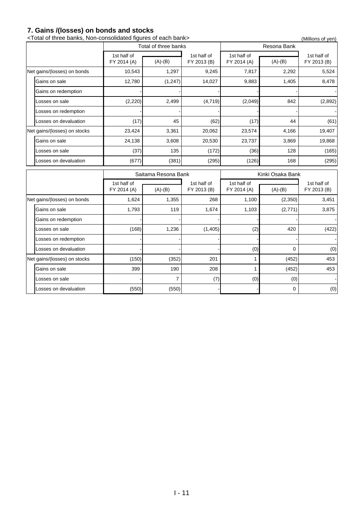### **7. Gains /(losses) on bonds and stocks**

|                              | <total bank="" banks,="" each="" figures="" non-consolidated="" of="" three=""></total> |                      |                            |                            |                  | (Millions of yen)          |
|------------------------------|-----------------------------------------------------------------------------------------|----------------------|----------------------------|----------------------------|------------------|----------------------------|
|                              |                                                                                         | Total of three banks |                            |                            | Resona Bank      |                            |
|                              | 1st half of<br>FY 2014 (A)                                                              | $(A)-(B)$            | 1st half of<br>FY 2013 (B) | 1st half of<br>FY 2014 (A) | $(A)-(B)$        | 1st half of<br>FY 2013 (B) |
| Net gains/(losses) on bonds  | 10,543                                                                                  | 1,297                | 9,245                      | 7,817                      | 2,292            | 5,524                      |
| Gains on sale                | 12.780                                                                                  | (1, 247)             | 14.027                     | 9.883                      | 1,405            | 8,478                      |
| Gains on redemption          |                                                                                         |                      |                            |                            |                  |                            |
| Losses on sale               | (2, 220)                                                                                | 2,499                | (4,719)                    | (2,049)                    | 842              | (2,892)                    |
| Losses on redemption         |                                                                                         |                      |                            |                            |                  |                            |
| Losses on devaluation        | (17)                                                                                    | 45                   | (62)                       | (17)                       | 44               | (61)                       |
| Net gains/(losses) on stocks | 23,424                                                                                  | 3,361                | 20,062                     | 23,574                     | 4,166            | 19,407                     |
| Gains on sale                | 24,138                                                                                  | 3,608                | 20,530                     | 23,737                     | 3,869            | 19,868                     |
| Losses on sale               | (37)                                                                                    | 135                  | (172)                      | (36)                       | 128              | (165)                      |
| Losses on devaluation        | (677)                                                                                   | (381)                | (295)                      | (126)                      | 168              | (295)                      |
|                              |                                                                                         | Saitama Resona Bank  |                            |                            | Kinki Osaka Bank |                            |
|                              | 1st half of                                                                             |                      | 1st half of                | 1st half of                |                  | 1st half of                |
|                              | FY 2014 (A)                                                                             | $(A)-(B)$            | FY 2013 (B)                | FY 2014 (A)                | $(A)-(B)$        | FY 2013 (B)                |
| Net gains/(losses) on bonds  | 1,624                                                                                   | 1,355                | 268                        | 1,100                      | (2,350)          | 3,451                      |
| Gains on sale                | 1,793                                                                                   | 119                  | 1,674                      | 1,103                      | (2,771)          | 3,875                      |
| Gains on redemption          |                                                                                         |                      |                            |                            |                  |                            |
| Losses on sale               | (168)                                                                                   | 1,236                | (1, 405)                   | (2)                        | 420              | (422)                      |
| Losses on redemption         |                                                                                         |                      |                            |                            |                  |                            |
| Losses on devaluation        |                                                                                         |                      |                            | (0)                        | 0                | (0)                        |
| Net gains/(losses) on stocks | (150)                                                                                   | (352)                | 201                        |                            | (452)            | 453                        |
| Gains on sale                | 399                                                                                     | 190                  | 208                        | 1                          | (452)            | 453                        |

Losses on sale  $\begin{array}{|c|c|c|c|c|c|c|c|c|} \hline \end{array}$  (7) (0) (0) (0)

Losses on devaluation  $(550)$   $(550)$   $(-850)$   $(-850)$   $(-850)$   $(-850)$   $(-850)$   $(-850)$   $(-850)$   $(-850)$   $(-850)$   $(-850)$   $(-850)$   $(-850)$   $(-850)$   $(-850)$   $(-850)$   $(-850)$   $(-850)$   $(-850)$   $(-850)$   $(-850)$   $(-850)$   $(-850)$   $(-850)$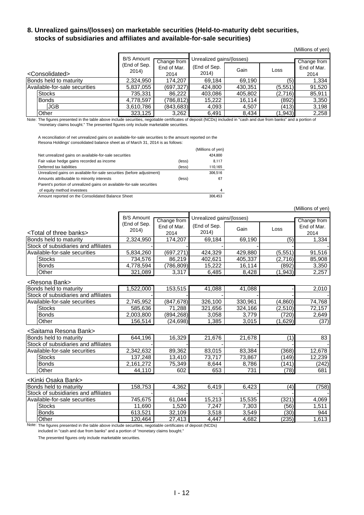### **8. Unrealized gains/(losses) on marketable securities (Held-to-maturity debt securities, stocks of subsidiaries and affiliates and available-for-sale securities)**

|                               |                       |                     |                           |         |             | (Millions of yen)   |
|-------------------------------|-----------------------|---------------------|---------------------------|---------|-------------|---------------------|
|                               | <b>B/S Amount</b>     | Change from         | Unrealized gains/(losses) |         | Change from |                     |
| <consolidated></consolidated> | (End of Sep.<br>2014) | End of Mar.<br>2014 | (End of Sep.<br>2014)     | Gain    | Loss        | End of Mar.<br>2014 |
| Bonds held to maturity        | 2,324,950             | 174,207             | 69,184                    | 69,190  | (5)         | 1,334               |
| Available-for-sale securities | 5,837,055             | (697, 327)          | 424,800                   | 430,351 | (5, 551)    | 91,520              |
| Stocks                        | 735,331               | 86,222              | 403,086                   | 405,802 | (2,716)     | 85,911              |
| <b>Bonds</b>                  | 4,778,597             | (786.812)           | 15,222                    | 16.114  | (892)       | 3,350               |
| <b>JGB</b>                    | 3,610,786             | (843, 683)          | 4,093                     | 4,507   | (413)       | 3,198               |
| Other                         | 323,125               | 3,262               | 6,491                     | 8,434   | (1, 943)    | 2,258               |

Note: The figures presented in the table above include securities, negotiable certificates of deposit (NCDs) included in "cash and due from banks" and a portion of "monetary claims bought." The presented figures only include marketable securities.

A reconciliation of net unrealized gains on available-for-sale securities to the amount reported on the Resona Holdings' consolidated balance sheet as of March 31, 2014 is as follows:

|                                                                       |        | (Millions of yen) |
|-----------------------------------------------------------------------|--------|-------------------|
| Net unrealized gains on available-for-sale securities                 |        | 424.800           |
| Fair value hedge gains recorded as income                             | (less) | 8.117             |
| Deferred tax liabilities                                              | (less) | 110.165           |
| Unrealized gains on available-for-sale securities (before adjustment) |        | 306.516           |
| Amounts attributable to minority interests                            | (less) | 67                |
| Parent's portion of unrealized gains on available-for-sale securities |        |                   |
| of equity method investees                                            |        | 4                 |
| Amount reported on the Consolidated Balance Sheet                     |        | 306.453           |

(Millions of yen) <Total of three banks> (End of Sep.  $\begin{array}{c|c}\n 2014) & \text{Gain} \\
 \end{array}$  Loss Bonds held to maturity 2,324,950 174,207 69,184 69,190 (5) 1,334 Stock of subsidiaries and affiliates<br>Available-for-sale securities <br>Available-for-sale securities 5.834.260 (697.271) 424.329 429.880 (5.551) 91.516 Available-for-sale securities Stocks 734,576 86,219 402,621 405,337 (2,716) 85,908 Bonds 4,778,594 (786,809) 15,222 16,114 (892) 3,350 Other 321,089 3,317 6,485 8,428 (1,943) 2,257 <Resona Bank> Bonds held to maturity 1,522,000 153,515 41,088 41,088 - 2,010 Stock of subsidiaries and affiliates Available-for-sale securities 2,745,952 (847,678) 326,100 330,961 (4,860) 74,768 Stocks 585,636 71,288 321,656 324,166 (2,510) 72,157 Bonds 2,003,800 (894,268) 3,058 3,779 (720) 2,649 Other 156,514 (24,698) 1,385 3,015 (1,629) (37) <Saitama Resona Bank> Bonds held to maturity **644,196** 16,329 21,676 21,678 (1) 83 Stock of subsidiaries and affiliates<br>
Available-for-sale securities
2.342.632
89.362
83.015
83.384
(368)
12.678 Available-for-sale securities 2,342,632 89,362 83,015 83,384 (368) 12,678<br>
Stocks 137,248 13,410 73,717 73,867 (149) 12,239 Stocks 137,248 13,410 73,717 73,867 (149) 12,239 Bonds 2,161,272 75,349 8,644 8,786 (141) (242) Other 44,110 602 653 731 (78) 681 <Kinki Osaka Bank> Bonds held to maturity 158,753 4,362 6,419 6,423 (4) (758) Stock of subsidiaries and affiliates Available-for-sale securities <br>
Stocks 11,690 1,520 7,247 7,303 (56) 1,511 Stocks 11,690 1,520 7,247 7,303 (56) 1,511 Bonds 613,521 32,109 3,518 3,549 (30) 944 Other 120,464 27,413 4,447 4,682 (235) 1,613 Change from End of Mar. 2014 Change from End of Mar. 2014 B/S Amount (End of Sep. 2014) Unrealized gains/(losses)

Note: The figures presented in the table above include securities, negotiable certificates of deposit (NCDs)

included in "cash and due from banks" and a portion of "monetary claims bought."

The presented figures only include marketable securities.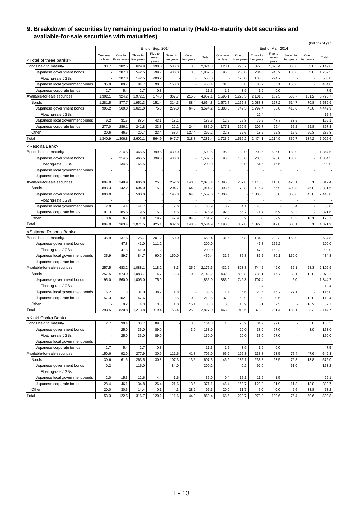#### **9. Breakdown of securities by remaining period to maturity (Held-to-maturity debt securities and available-for-sale securities with maturities)**

|       |                                                             |                     |                       |                        |                             |                       |                   |         |                     |                       |                        |                             |                       |                   | (Billions of yen) |
|-------|-------------------------------------------------------------|---------------------|-----------------------|------------------------|-----------------------------|-----------------------|-------------------|---------|---------------------|-----------------------|------------------------|-----------------------------|-----------------------|-------------------|-------------------|
|       |                                                             |                     |                       |                        | End of Sep. 2014<br>Five to |                       |                   |         |                     |                       |                        | End of Mar. 2014<br>Five to |                       |                   |                   |
|       |                                                             | One year<br>or less | One to<br>three years | Three to<br>five years | seven                       | Seven to<br>ten years | Over<br>ten years | Total   | One year<br>or less | One to<br>three years | Three to<br>five years | seven                       | Seven to<br>ten years | Over<br>ten years | Total             |
|       | <total banks="" of="" three=""></total>                     |                     |                       |                        | years                       |                       |                   |         |                     |                       |                        | years                       |                       |                   |                   |
|       | Bonds held to maturity                                      | 38.7                | 382.5                 | 629.9                  | 690.0                       | 580.0                 | 3.0               | 2,324.3 | 128.1               | 290.7                 | 372.5                  | 1,025.4                     | 330.0                 | 3.0               | 2,149.8           |
|       | Japanese government bonds                                   |                     | 287.3                 | 542.5                  | 599.7                       | 430.0                 | 3.0               | 1,862.5 | 95.0                | 200.0                 | 284.3                  | 945.2                       | 180.0                 | 3.0               | 1,707.5           |
|       | Floating-rate JGBs                                          |                     | 207.3                 | 142.5                  | 200.2                       |                       |                   | 550.0   |                     | 120.0                 | 135.3                  | 294.7                       |                       |                   | 550.0             |
|       | Japanese local government bonds                             | 35.9                | 89.7                  | 84.7                   | 90.0                        | 150.0                 |                   | 450.4   | 31.5                | 86.8                  | 86.2                   | 80.1                        | 150.0                 |                   | 434.8             |
|       | Japanese corporate bonds                                    | 2.7                 | 5.4                   | 2.7                    | 0.3                         |                       |                   | 11.3    | 1.5                 | 3.9                   | 1.9                    | 0.0                         |                       |                   | 7.5               |
|       | Available-for-sale securities                               | 1,302.1             | 924.2                 | 1,972.1                | 174.8                       | 367.7                 | 215.8             | 4,957.1 | 1,595.1             | 1,228.5               | 2,101.6                | 189.5                       | 530.7                 | 131.2             | 5,776.7           |
|       | <b>Bonds</b>                                                | 1,281.5             | 877.7                 | 1,951.3                | 151.4                       | 314.3                 | 88.4              | 4,664.8 | 1,572.7             | 1,165.8               | 2,088.3                | 127.2                       | 514.7                 | 70.8              | 5,539.9           |
|       | Japanese government bonds                                   | 995.2               | 560.0                 | 1,621.0                | 75.0                        | 279.0                 | 64.0              | 3,594.2 | 1,383.0             | 749.5                 | 1,799.4                | 50.0                        | 416.0                 | 45.0              | 4,442.9           |
|       | Floating-rate JGBs                                          |                     |                       |                        |                             |                       |                   |         |                     |                       | 12.4                   |                             |                       |                   | 12.4              |
|       | Japanese local government bonds                             | 9.2                 | 31.5                  | 88.4                   | 43.1                        | 13.1                  |                   | 185.6   | 12.6                | 25.8                  | 79.2                   | 47.7                        | 33.5                  |                   | 199.1             |
|       | Japanese corporate bonds                                    | 277.0               | 286.1                 | 241.8                  | 33.3                        | 22.2                  | 24.4              | 885.0   | 177.1               | 390.5                 | 209.7                  | 29.4                        | 65.2                  | 25.8              | 897.8             |
|       | Other                                                       | 20.6                | 46.5                  | 20.7                   | 23.4                        | 53.4                  | 127.4             | 292.2   | 22.3                | 62.6                  | 13.2                   | 62.3                        | 15.9                  | 60.3              | 236.8             |
| Total |                                                             | 1,340.9             | 1,306.8               | 2,602.1                | 864.9                       | 947.7                 | 218.8             | 7,281.4 | 1,723.2             | 1,519.2               | 2,474.1                | 1,214.9                     | 860.7                 | 134.2             | 7,926.6           |
|       | <resona bank=""></resona>                                   |                     |                       |                        |                             |                       |                   |         |                     |                       |                        |                             |                       |                   |                   |
|       | Bonds held to maturity                                      |                     | 214.5                 | 465.5                  | 399.5                       | 430.0                 |                   | 1,509.5 | 95.0                | 180.0                 | 203.5                  | 696.0                       | 180.0                 |                   | 1,354.5           |
|       | Japanese government bonds                                   |                     | 214.5                 | 465.5                  | 399.5                       | 430.0                 |                   | 1,509.5 | 95.0                | 180.0                 | 203.5                  | 696.0                       | 180.0                 |                   | 1,354.5           |
|       | Floating-rate JGBs                                          |                     | 134.5                 | 65.5                   |                             |                       |                   | 200.0   |                     | 100.0                 | 54.5                   | 45.5                        |                       |                   | 200.0             |
|       | Japanese local government bonds                             |                     |                       |                        |                             |                       |                   |         |                     |                       |                        |                             |                       |                   |                   |
|       | Japanese corporate bonds                                    |                     |                       |                        |                             |                       |                   |         |                     |                       |                        |                             |                       |                   |                   |
|       | Available-for-sale securities                               | 894.0               | 148.9                 | 606.0                  | 25.6                        | 252.6                 | 148.0             | 2,075.4 | 1,095.8             | 207.8                 | 1,118.5                | 116.8                       | 423.1                 | 55.1              | 3,017.4           |
|       | <b>Bonds</b>                                                | 893.3               | 142.2                 | 604.0                  | 5.8                         | 204.7                 | 64.0              | 1,914.2 | 1,093.5             | 170.8                 | 1,115.4                | 56.9                        | 409.8                 | 45.0              | 2,891.6           |
|       | Japanese government bonds                                   | 800.0               |                       | 500.0                  |                             | 195.0                 | 64.0              | 1,559.0 | 1,000.0             |                       | 1,000.0                | 50.0                        | 350.0                 | 45.0              | 2,445.0           |
|       | Floating-rate JGBs                                          |                     |                       |                        |                             |                       |                   |         |                     |                       |                        |                             |                       |                   |                   |
|       | Japanese local government bonds                             | 2.0                 | 4.4                   | 44.7                   |                             | 9.6                   |                   | 60.9    | 0.7                 | 4.1                   | 43.6                   |                             | 6.4                   |                   | 55.0              |
|       | Japanese corporate bonds                                    | 91.3                | 185.6                 | 79.5                   | 5.8                         | 14.5                  |                   | 376.9   | 92.8                | 166.7                 | 71.7                   | 6.9                         | 53.3                  |                   | 391.6             |
|       | Other                                                       | 0.6                 | 6.7                   | 1.9                    | 19.7                        | 47.9                  | 84.0              | 161.2   | 2.2                 | 36.9                  | 3.0                    | 59.9                        | 13.3                  | 10.1              | 125.7             |
| Total |                                                             | 894.0               | 363.4                 | 1,071.5                | 425.1                       | 682.6                 | 148.0             | 3,584.9 | 1,190.8             | 387.8                 | 1,322.0                | 812.8                       | 603.1                 | 55.1              | 4,371.9           |
|       |                                                             |                     |                       |                        |                             |                       |                   |         |                     |                       |                        |                             |                       |                   |                   |
|       | <saitama bank="" resona=""></saitama>                       |                     |                       |                        |                             |                       |                   |         |                     |                       |                        |                             |                       |                   |                   |
|       | Bonds held to maturity                                      | 35.9                | 137.5                 | 125.7                  | 201.2                       | 150.0                 |                   | 650.4   | 31.5                | 86.8                  | 134.0                  | 232.3                       | 150.0                 |                   | 634.8             |
|       | Japanese government bonds                                   |                     | 47.8                  | 41.0                   | 111.2                       |                       |                   | 200.0   |                     |                       | 47.8                   | 152.2                       |                       |                   | 200.0             |
|       | Floating-rate JGBs                                          |                     | 47.8                  | 41.0                   | 111.2                       |                       |                   | 200.0   |                     |                       | 47.8                   | 152.2                       |                       |                   | 200.0             |
|       | Japanese local government bonds                             | 35.9                | 89.7                  | 84.7                   | 90.0                        | 150.0                 |                   | 450.4   | 31.5                | 86.8                  | 86.2                   | 80.1                        | 150.0                 |                   | 434.8             |
|       | Japanese corporate bonds                                    |                     |                       |                        |                             |                       |                   |         |                     |                       |                        |                             |                       |                   |                   |
|       | Available-for-sale securities                               | 257.5               | 683.2                 | 1,088.1                | 118.2                       | 3.3                   | 25.9              | 2,176.6 | 432.2               | 823.8                 | 744.2                  | 49.0                        | 32.1                  | 28.3              | 2,109.9           |
|       | <b>Bonds</b>                                                | 257.5               | 673.9                 | 1,083.7                | 114.7                       | 2.3                   | 10.8              | 2,143.2 | 432.2               | 809.8                 | 739.1                  | 46.7                        | 32.1                  | 12.0              | 2,072.2           |
|       | Japanese government bonds                                   | 195.0               | 560.0                 | 1.005.0                | 75.0                        |                       |                   | 1,835.0 | 383.0               | 749.3                 | 707.4                  |                             | 5.0                   |                   | 1,844.7           |
|       | Floating-rate JGBs                                          |                     |                       |                        |                             |                       |                   |         |                     |                       | 12.4                   |                             |                       |                   | 12.4              |
|       | Japanese local government bonds                             | 5.2                 | 11.8                  | 31.0                   | 38.7                        | 1.8                   |                   | 88.6    | 11.4                | 6.6                   | 23.6                   | 46.2                        | 27.1                  |                   | 115.0             |
|       | Japanese corporate bonds                                    | 57.3                | 102.1                 | 47.6                   | 1.0                         | 0.5                   | 10.8              | 219.5   | 37.8                | 53.9                  | 8.0                    | 0.5                         |                       | 12.0              | 112.4             |
|       | Other                                                       |                     | 9.2                   | 4.3                    | 3.5                         | 1.0                   | 15.1              | 33.3    | 0.0                 | 13.9                  | 5.1                    | 2.3                         |                       | 16.2              | 37.7              |
| Total |                                                             | 293.5               | 820.8                 | 1,213.8                | 319.4                       | 153.4                 | 25.9              | 2,827.0 | 463.8               | 910.6                 | 878.3                  | 281.4                       | 182.1                 | 28.3              | 2,744.7           |
|       |                                                             |                     |                       |                        |                             |                       |                   |         |                     |                       |                        |                             |                       |                   |                   |
|       | <kinki bank="" osaka=""><br/>Bonds held to maturity</kinki> | 2.7                 | 30.4                  | 38.7                   | 89.3                        |                       | 3.0               | 164.3   | 1.5                 | 23.9                  | 34.9                   | 97.0                        |                       | 3.0               | 160.5             |
|       | Japanese government bonds                                   |                     | 25.0                  | 36.0                   | 89.0                        |                       | 3.0               | 153.0   |                     | 20.0                  | 33.0                   | 97.0                        |                       | 3.0               | 153.0             |
|       | Floating-rate JGBs                                          |                     | 25.0                  | 36.0                   | 89.0                        |                       |                   | 150.0   |                     | 20.0                  | 33.0                   | 97.0                        |                       |                   | 150.0             |
|       | Japanese local government bonds                             |                     |                       |                        |                             |                       |                   |         |                     |                       |                        |                             |                       |                   |                   |
|       | Japanese corporate bonds                                    | 2.7                 |                       | 2.7                    | 0.3                         |                       |                   |         | 1.5                 | 3.9                   | 1.9                    | 0.0                         |                       |                   | 7.5               |
|       | Available-for-sale securities                               |                     | 5.4<br>92.0           |                        | 30.9                        |                       |                   | 11.3    | 66.9                |                       |                        |                             |                       |                   |                   |
|       |                                                             | 150.6               |                       | 277.9                  |                             | 111.6                 | 41.8              | 705.0   |                     | 196.8                 | 238.8                  | 23.5                        | 75.4                  | 47.6              | 649.3             |
|       | <b>Bonds</b>                                                | 130.6               | 61.5                  | 263.5                  | 30.8                        | 107.3                 | 13.5              | 607.3   | 46.9                | 185.1                 | 233.8                  | 23.5                        | 72.8                  | 13.8              | 576.0             |
|       | Japanese government bonds                                   | 0.2                 |                       | 116.0                  |                             | 84.0                  |                   | 200.2   |                     | 0.2                   | 92.0                   |                             | 61.0                  |                   | 153.2             |
|       | Floating-rate JGBs                                          |                     |                       |                        |                             |                       |                   |         |                     |                       |                        |                             |                       |                   |                   |
|       | Japanese local government bonds                             | 2.0                 | 15.3                  | 12.6                   | 4.4                         | 1.6                   |                   | 36.0    | 0.4                 | 15.1                  | 11.9                   | 1.5                         |                       |                   | 29.1              |
|       | Japanese corporate bonds                                    | 128.4               | 46.1                  | 134.8                  | 26.4                        | 21.6                  | 13.5              | 371.1   | 46.4                | 169.7                 | 129.8                  | 21.9                        | 11.8                  | 13.8              | 393.7             |
|       | Other                                                       | 20.0                | 30.5                  | 14.4                   | 0.1                         | 4.3                   | 28.2              | 97.6    | 20.0                | 11.7                  | 5.0                    | 0.0                         | 2.6                   | 33.8              | 73.2              |
| Total |                                                             | 153.3               | 122.5                 | 316.7                  | 120.2                       | 111.6                 | 44.8              | 869.4   | 68.5                | 220.7                 | 273.8                  | 120.6                       | 75.4                  | 50.6              | 809.8             |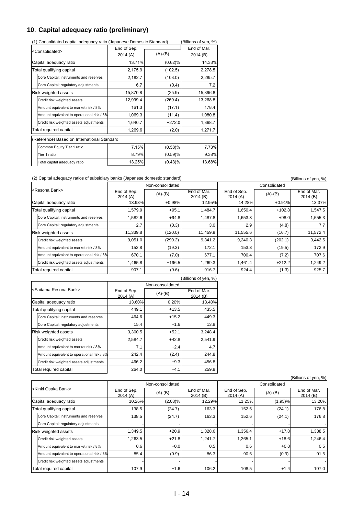### **10**.**Capital adequacy ratio (preliminary)**

| (1) Consolidated capital adequacy ratio (Japanese Domestic Standard) | Billions of yen, %)     |            |          |  |  |
|----------------------------------------------------------------------|-------------------------|------------|----------|--|--|
| <consolidated></consolidated>                                        | End of Sep.<br>2014 (A) | (A)-(B)    |          |  |  |
| Capital adequacy ratio                                               | 13.71%                  | $(0.62)$ % | 14.33%   |  |  |
| Total qualifying capital                                             | 2,175.9                 | (102.5)    | 2,278.5  |  |  |
| Core Capital: instruments and reserves                               | 2,182.7                 | (103.0)    | 2,285.7  |  |  |
| Core Capital: regulatory adjustments                                 | 6.7                     | (0.4)      | 7.2      |  |  |
| Risk weighted assets                                                 | 15,870.8                | (25.9)     | 15,896.8 |  |  |
| Credit risk weighted assets                                          | 12,999.4                | (269.4)    | 13,268.8 |  |  |
| Amount equivalent to market risk / 8%                                | 161.3                   | (17.1)     | 178.4    |  |  |
| Amount equivalent to operational risk / 8%                           | 1,069.3                 | (11.4)     | 1,080.8  |  |  |
| Credit risk weighted assets adjustments                              | 1,640.7                 | $+272.0$   | 1,368.7  |  |  |
| Total required capital                                               | 1,269.6                 | (2.0)      | 1,271.7  |  |  |
| (Reference) Based on International Standard                          |                         |            |          |  |  |
| Common Equity Tier 1 ratio                                           | 7.15%                   | $(0.58)$ % | 7.73%    |  |  |
| Tier 1 ratio                                                         | 8.79%                   | $(0.59)$ % | 9.38%    |  |  |
| Total capital adequacy ratio                                         | 13.25%                  | $(0.43)$ % | 13.68%   |  |  |

(1) Consolidated capital adequacy ratio (Japanese Domestic Standard) (Billions of yen, %)

(2) Capital adequacy ratios of subsidiary banks (Japanese domestic standard) (Billions of yen, %)

|                                            |                        | Non-consolidated |                         | Consolidated           |           |                        |  |
|--------------------------------------------|------------------------|------------------|-------------------------|------------------------|-----------|------------------------|--|
| <resona bank=""></resona>                  | End of Sep.<br>2014(A) | $(A)-(B)$        | End of Mar.<br>2014 (B) | End of Sep.<br>2014(A) | $(A)-(B)$ | End of Mar.<br>2014(B) |  |
| Capital adequacy ratio                     | 13.93%                 | $+0.98%$         | 12.95%                  | 14.28%                 | $+0.91%$  | 13.37%                 |  |
| Total qualifying capital                   | 1,579.9                | $+95.1$          | 1,484.7                 | 1,650.4                | $+102.8$  | 1,547.5                |  |
| Core Capital: instruments and reserves     | 1,582.6                | $+94.8$          | 1,487.8                 | 1,653.3                | $+98.0$   | 1,555.3                |  |
| Core Capital: regulatory adjustments       | 2.7                    | (0.3)            | 3.0                     | 2.9                    | (4.8)     | 7.7                    |  |
| <b>Risk weighted assets</b>                | 11,339.8               | (120.0)          | 11,459.9                | 11,555.6               | (16.7)    | 11,572.4               |  |
| Credit risk weighted assets                | 9,051.0                | (290.2)          | 9,341.2                 | 9,240.3                | (202.1)   | 9,442.5                |  |
| Amount equivalent to market risk / 8%      | 152.8                  | (19.3)           | 172.1                   | 153.3                  | (19.5)    | 172.9                  |  |
| Amount equivalent to operational risk / 8% | 670.1                  | (7.0)            | 677.1                   | 700.4                  | (7.2)     | 707.6                  |  |
| Credit risk weighted assets adjustments    | 1,465.8                | $+196.5$         | 1,269.3                 | 1,461.4                | $+212.2$  | 1,249.2                |  |
| Total required capital                     | 907.1                  | (9.6)            | 916.7                   | 924.4                  | (1.3)     | 925.7                  |  |

|                                            |                        |           | (Billions of yen, %)    |  |  |  |  |
|--------------------------------------------|------------------------|-----------|-------------------------|--|--|--|--|
|                                            | Non-consolidated       |           |                         |  |  |  |  |
| <saitama bank="" resona=""></saitama>      | End of Sep.<br>2014(A) | $(A)-(B)$ | End of Mar.<br>2014 (B) |  |  |  |  |
| Capital adequacy ratio                     | 13.60%                 | 0.20%     | 13.40%                  |  |  |  |  |
| Total qualifying capital                   | 449.1                  | $+13.5$   | 435.5                   |  |  |  |  |
| Core Capital: instruments and reserves     | 464.6                  | $+15.2$   | 449.3                   |  |  |  |  |
| Core Capital: regulatory adjustments       | 15.4                   | $+1.6$    | 13.8                    |  |  |  |  |
| <b>Risk weighted assets</b>                | 3,300.5                | $+52.1$   | 3,248.4                 |  |  |  |  |
| Credit risk weighted assets                | 2,584.7                | $+42.8$   | 2,541.9                 |  |  |  |  |
| Amount equivalent to market risk / 8%      | 7.1                    | $+2.4$    | 4.7                     |  |  |  |  |
| Amount equivalent to operational risk / 8% | 242.4                  | (2.4)     | 244.8                   |  |  |  |  |
| Credit risk weighted assets adjustments    | 466.2                  | $+9.3$    | 456.8                   |  |  |  |  |
| Total required capital                     | 264.0                  | $+4.1$    | 259.8                   |  |  |  |  |

|                                  |                                            |                        |                  |                        |                        |              | (Billions of yen, %)   |  |
|----------------------------------|--------------------------------------------|------------------------|------------------|------------------------|------------------------|--------------|------------------------|--|
|                                  |                                            |                        | Non-consolidated |                        |                        | Consolidated |                        |  |
| <kinki bank="" osaka=""></kinki> |                                            | End of Sep.<br>2014(A) | $(A)-(B)$        | End of Mar.<br>2014(B) | End of Sep.<br>2014(A) | $(A)-(B)$    | End of Mar.<br>2014(B) |  |
|                                  | Capital adequacy ratio                     | 10.26%                 | $(2.03)\%$       | 12.29%                 | 11.25%                 | $(1.95)\%$   | 13.20%                 |  |
| Total qualifying capital         |                                            | 138.5                  | (24.7)           | 163.3                  | 152.6                  | (24.1)       | 176.8                  |  |
|                                  | Core Capital: instruments and reserves     | 138.5                  | (24.7)           | 163.3                  | 152.6                  | (24.1)       | 176.8                  |  |
|                                  | Core Capital: regulatory adjustments       |                        |                  |                        |                        |              |                        |  |
|                                  | <b>Risk weighted assets</b>                | 1,349.5                | $+20.9$          | 1,328.6                | 1,356.4                | $+17.8$      | 1,338.5                |  |
|                                  | Credit risk weighted assets                | 1,263.5                | $+21.8$          | 1.241.7                | 1,265.1                | $+18.6$      | 1,246.4                |  |
|                                  | Amount equivalent to market risk / 8%      | 0.6                    | $+0.0$           | 0.5                    | 0.6                    | $+0.0$       | 0.5                    |  |
|                                  | Amount equivalent to operational risk / 8% | 85.4                   | (0.9)            | 86.3                   | 90.6                   | (0.9)        | 91.5                   |  |
|                                  | Credit risk weighted assets adjustments    |                        |                  |                        |                        |              |                        |  |
| Total required capital           |                                            | 107.9                  | $+1.6$           | 106.2                  | 108.5                  | $+1.4$       | 107.0                  |  |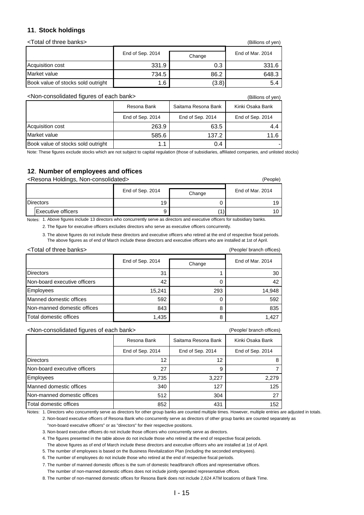### **11**.**Stock holdings**

| <total banks="" of="" three=""></total> | (Billions of yen) |                  |       |
|-----------------------------------------|-------------------|------------------|-------|
|                                         | End of Sep. 2014  | End of Mar. 2014 |       |
| Acquisition cost                        | 331.9             | 0.3              | 331.6 |
| Market value                            | 734.5             | 86.2             | 648.3 |
| Book value of stocks sold outright      | 1.6               | (3.8)            | 5.4   |

<Non-consolidated figures of each bank> (Billions of yen)

|                                    | Resona Bank      | Saitama Resona Bank | Kinki Osaka Bank |
|------------------------------------|------------------|---------------------|------------------|
|                                    | End of Sep. 2014 | End of Sep. 2014    | End of Sep. 2014 |
| Acquisition cost                   | 263.9            | 63.5                | 4.4              |
| Market value                       | 585.6            | 137.2               | 11.6             |
| Book value of stocks sold outright | 1.1              | 0.4                 |                  |

Note: These figures exclude stocks which are not subject to capital regulation (those of subsidiaries, affiliated companies, and unlisted stocks)

### **12**.**Number of employees and offices**

#### <Resona Holdings, Non-consolidated> (People)

|                    | End of Sep. 2014 | Change | End of Mar. 2014 |  |
|--------------------|------------------|--------|------------------|--|
| <b>Directors</b>   | 19               |        |                  |  |
| Executive officers | У                |        |                  |  |

Notes: 1. Above figures include 13 directors who concurrently serve as directors and executive officers for subsidiary banks.

2. The figure for executive officers excludes directors who serve as executive officers concurrently.

3. The above figures do not include these directors and executive officers who retired at the end of respective fiscal periods. The above figures as of end of March include these directors and executive officers who are installed at 1st of April.

| <total banks="" of="" three=""></total> | (People/ branch offices) |        |        |
|-----------------------------------------|--------------------------|--------|--------|
|                                         | End of Sep. 2014         | Change |        |
| <b>Directors</b>                        | 31                       |        | 30     |
| Non-board executive officers            | 42                       |        | 42     |
| Employees                               | 15,241                   | 293    | 14,948 |
| Manned domestic offices                 | 592                      |        | 592    |
| Non-manned domestic offices             | 843                      | 8      | 835    |
| Total domestic offices                  | 1,435                    |        | 1.427  |

<Non-consolidated figures of each bank> (People/ branch offices)

|                              | Resona Bank      | Saitama Resona Bank | Kinki Osaka Bank |
|------------------------------|------------------|---------------------|------------------|
|                              | End of Sep. 2014 | End of Sep. 2014    | End of Sep. 2014 |
| <b>Directors</b>             | 12               | 12                  |                  |
| Non-board executive officers | 27               | 9                   |                  |
| Employees                    | 9,735            | 3,227               | 2,279            |
| Manned domestic offices      | 340              | 127                 | 125              |
| Non-manned domestic offices  | 512              | 304                 | 27               |
| Total domestic offices       | 852              | 431                 | 152              |

Notes: 1. Directors who concurrently serve as directors for other group banks are counted multiple times. However, multiple entries are adjusted in totals.

2. Non-board executive officers of Resona Bank who concurrently serve as directors of other group banks are counted separately as "non-board executive officers" or as "directors" for their respective positions.

3. Non-board executive officers do not include those officers who concurrently serve as directors.

4. The figures presented in the table above do not include those who retired at the end of respective fiscal periods.

The above figures as of end of March include these directors and executive officers who are installed at 1st of April.

5. The number of employees is based on the Business Revitalization Plan (including the seconded employees).

6. The number of employees do not include those who retired at the end of respective fiscal periods.

7. The number of manned domestic offices is the sum of domestic head/branch offices and representative offices.

The number of non-manned domestic offices does not include jointly operated representative offices.

8. The number of non-manned domestic offices for Resona Bank does not include 2,624 ATM locations of Bank Time.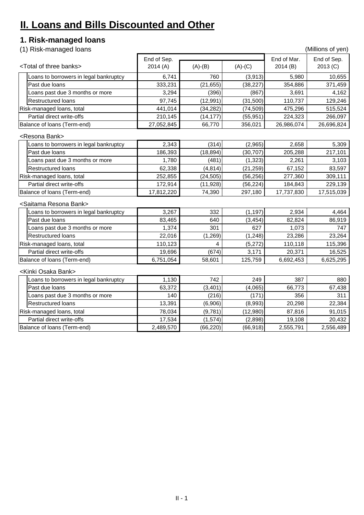## **II. Loans and Bills Discounted and Other**

## **1. Risk-managed loans**

(1) Risk-managed loans (Millions of yen)

|                             |                                         |            | End of Sep. |           |            | End of Sep. |  |
|-----------------------------|-----------------------------------------|------------|-------------|-----------|------------|-------------|--|
|                             | <total banks="" of="" three=""></total> | 2014 (A)   | $(A)-(B)$   | $(A)-(C)$ | 2014(B)    | 2013 (C)    |  |
|                             | oans to borrowers in legal bankruptcy   | 6,741      | 760         | (3, 913)  | 5,980      | 10,655      |  |
|                             | Past due loans                          | 333,231    | (21, 655)   | (38, 227) | 354,886    | 371,459     |  |
|                             | Loans past due 3 months or more         | 3,294      | (396)       | (867)     | 3,691      | 4,162       |  |
|                             | <b>Restructured loans</b>               | 97,745     | (12, 991)   | (31,500)  | 110,737    | 129,246     |  |
|                             | Risk-managed loans, total               | 441,014    | (34, 282)   | (74, 509) | 475,296    | 515,524     |  |
|                             | <b>Partial direct write-offs</b>        | 210,145    | (14, 177)   | (55, 951) | 224,323    | 266,097     |  |
|                             | Balance of loans (Term-end)             | 27,052,845 | 66,770      | 356,021   | 26,986,074 | 26,696,824  |  |
|                             | <resona bank=""></resona>               |            |             |           |            |             |  |
|                             | oans to borrowers in legal bankruptcy   | 2,343      | (314)       | (2,965)   | 2,658      | 5,309       |  |
|                             | Past due loans                          | 186,393    | (18, 894)   | (30, 707) | 205,288    | 217,101     |  |
|                             | oans past due 3 months or more          | 1,780      | (481)       | (1, 323)  | 2,261      | 3,103       |  |
|                             | <b>Restructured loans</b>               | 62,338     | (4, 814)    | (21, 259) | 67,152     | 83,597      |  |
|                             | Risk-managed loans, total               | 252,855    | (24, 505)   | (56, 256) | 277,360    | 309,111     |  |
|                             | Partial direct write-offs               | 172,914    | (11,928)    | (56, 224) | 184,843    | 229,139     |  |
| Balance of loans (Term-end) |                                         | 17,812,220 | 74,390      | 297,180   | 17,737,830 | 17,515,039  |  |
|                             | <saitama bank="" resona=""></saitama>   |            |             |           |            |             |  |
|                             | -oans to borrowers in legal bankruptcy  | 3,267      | 332         | (1, 197)  | 2,934      | 4,464       |  |
|                             | Past due loans                          | 83,465     | 640         | (3, 454)  | 82,824     | 86,919      |  |
|                             | -oans past due 3 months or more         | 1,374      | 301         | 627       | 1,073      | 747         |  |
|                             | <b>Restructured loans</b>               | 22,016     | (1,269)     | (1,248)   | 23,286     | 23,264      |  |
|                             | Risk-managed loans, total               | 110,123    | 4           | (5,272)   | 110,118    | 115,396     |  |
|                             | Partial direct write-offs               | 19,696     | (674)       | 3,171     | 20,371     | 16,525      |  |
|                             | Balance of loans (Term-end)             | 6,751,054  | 58,601      | 125,759   | 6,692,453  | 6,625,295   |  |
|                             | <kinki bank="" osaka=""></kinki>        |            |             |           |            |             |  |
|                             | oans to borrowers in legal bankruptcy   | 1,130      | 742         | 249       | 387        | 880         |  |
|                             | Past due loans                          | 63,372     | (3,401)     | (4,065)   | 66,773     | 67,438      |  |
|                             | Loans past due 3 months or more         | 140        | (216)       | (171)     | 356        | 311         |  |
|                             | <b>Restructured loans</b>               | 13,391     | (6,906)     | (8,993)   | 20,298     | 22,384      |  |
|                             | Risk-managed loans, total               | 78,034     | (9,781)     | (12,980)  | 87,816     | 91,015      |  |
|                             | Partial direct write-offs               | 17,534     | (1,574)     | (2,898)   | 19,108     | 20,432      |  |
|                             | Balance of loans (Term-end)             | 2,489,570  | (66, 220)   | (66, 918) | 2,555,791  | 2,556,489   |  |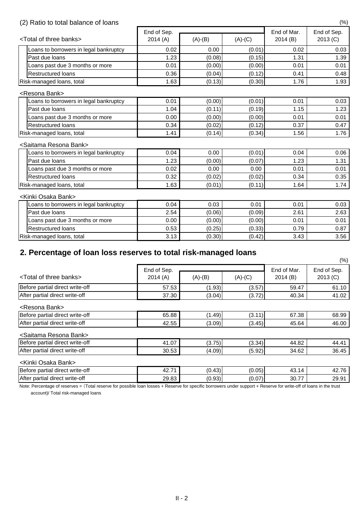## (2) Ratio to total balance of loans (%)

|                                         | End of Sep. |           |           | End of Mar. | End of Sep. |
|-----------------------------------------|-------------|-----------|-----------|-------------|-------------|
| <total banks="" of="" three=""></total> | 2014(A)     | $(A)-(B)$ | $(A)-(C)$ | 2014(B)     | 2013 (C)    |
| oans to borrowers in legal bankruptcy   | 0.02        | 0.00      | (0.01)    | 0.02        | 0.03        |
| Past due loans                          | 1.23        | (0.08)    | (0.15)    | 1.31        | 1.39        |
| Loans past due 3 months or more         | 0.01        | (0.00)    | (0.00)    | 0.01        | 0.01        |
| <b>Restructured loans</b>               | 0.36        | (0.04)    | (0.12)    | 0.41        | 0.48        |
| Risk-managed loans, total               | 1.63        | (0.13)    | (0.30)    | 1.76        | 1.93        |
| <resona bank=""></resona>               |             |           |           |             |             |
| oans to borrowers in legal bankruptcy   | 0.01        | (0.00)    | (0.01)    | 0.01        | 0.03        |
| Past due loans                          | 1.04        | (0.11)    | (0.19)    | 1.15        | 1.23        |
| Loans past due 3 months or more         | 0.00        | (0.00)    | (0.00)    | 0.01        | 0.01        |
| <b>Restructured loans</b>               | 0.34        | (0.02)    | (0.12)    | 0.37        | 0.47        |
| Risk-managed loans, total               | 1.41        | (0.14)    | (0.34)    | 1.56        | 1.76        |
| <saitama bank="" resona=""></saitama>   |             |           |           |             |             |
| oans to borrowers in legal bankruptcy   | 0.04        | 0.00      | (0.01)    | 0.04        | 0.06        |
| Past due loans                          | 1.23        | (0.00)    | (0.07)    | 1.23        | 1.31        |
| Loans past due 3 months or more         | 0.02        | 0.00      | 0.00      | 0.01        | 0.01        |
| <b>Restructured loans</b>               | 0.32        | (0.02)    | (0.02)    | 0.34        | 0.35        |
| Risk-managed loans, total               | 1.63        | (0.01)    | (0.11)    | 1.64        | 1.74        |
| <kinki bank="" osaka=""></kinki>        |             |           |           |             |             |
| oans to borrowers in legal bankruptcy   | 0.04        | 0.03      | 0.01      | 0.01        | 0.03        |
| Past due loans                          | 2.54        | (0.06)    | (0.09)    | 2.61        | 2.63        |
| Loans past due 3 months or more         | 0.00        | (0.00)    | (0.00)    | 0.01        | 0.01        |
| <b>Restructured loans</b>               | 0.53        | (0.25)    | (0.33)    | 0.79        | 0.87        |
| Risk-managed loans, total               | 3.13        | (0.30)    | (0.42)    | 3.43        | 3.56        |

## **2. Percentage of loan loss reserves to total risk-managed loans**

Note: Percentage of reserves = (Total reserve for possible loan losses + Reserve for specific borrowers under support + Reserve for write-off of loans in the trust

|                                         |                        |           |           | $(\%)$                 |                         |
|-----------------------------------------|------------------------|-----------|-----------|------------------------|-------------------------|
| <total banks="" of="" three=""></total> | End of Sep.<br>2014(A) | $(A)-(B)$ | $(A)-(C)$ | End of Mar.<br>2014(B) | End of Sep.<br>2013 (C) |
| Before partial direct write-off         | 57.53                  | (1.93)    | (3.57)    | 59.47                  | 61.10                   |
| After partial direct write-off          | 37.30                  | (3.04)    | (3.72)    | 40.34                  | 41.02                   |
| <resona bank=""></resona>               |                        |           |           |                        |                         |
| Before partial direct write-off         | 65.88                  | (1.49)    | (3.11)    | 67.38                  | 68.99                   |
| After partial direct write-off          | 42.55                  | (3.09)    | (3.45)    | 45.64                  | 46.00                   |
| <saitama bank="" resona=""></saitama>   |                        |           |           |                        |                         |
| Before partial direct write-off         | 41.07                  | (3.75)    | (3.34)    | 44.82                  | 44.41                   |
| After partial direct write-off          | 30.53                  | (4.09)    | (5.92)    | 34.62                  | 36.45                   |
| <kinki bank="" osaka=""></kinki>        |                        |           |           |                        |                         |
| Before partial direct write-off         | 42.71                  | (0.43)    | (0.05)    | 43.14                  | 42.76                   |
| After partial direct write-off          | 29.83                  | (0.93)    | (0.07)    | 30.77                  | 29.91                   |

account)/ Total risk-managed loans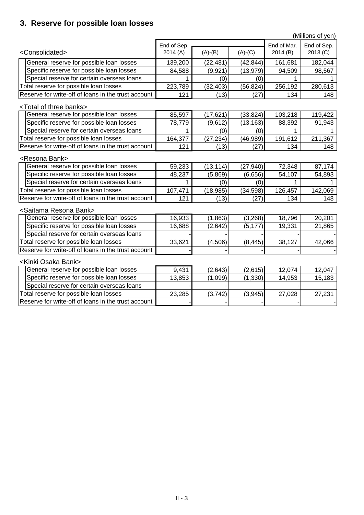## **3. Reserve for possible loan losses**

Reserve for write-off of loans in the trust account

|                                                     | (Millions of yen) |           |           |             |             |  |
|-----------------------------------------------------|-------------------|-----------|-----------|-------------|-------------|--|
|                                                     | End of Sep.       |           |           | End of Mar. | End of Sep. |  |
| <consolidated></consolidated>                       | 2014(A)           | $(A)-(B)$ | $(A)-(C)$ | 2014 (B)    | 2013 (C)    |  |
| General reserve for possible loan losses            | 139,200           | (22, 481) | (42, 844) | 161,681     | 182,044     |  |
| Specific reserve for possible loan losses           | 84,588            | (9,921)   | (13,979)  | 94,509      | 98,567      |  |
| Special reserve for certain overseas loans          |                   | (0)       | (0)       |             |             |  |
| Total reserve for possible loan losses              | 223,789           | (32, 403) | (56, 824) | 256,192     | 280,613     |  |
| Reserve for write-off of loans in the trust account | 121               | (13)      | (27)      | 134         | 148         |  |
| <total banks="" of="" three=""></total>             |                   |           |           |             |             |  |
| General reserve for possible loan losses            | 85,597            | (17, 621) | (33, 824) | 103,218     | 119,422     |  |
| Specific reserve for possible loan losses           | 78,779            | (9,612)   | (13, 163) | 88,392      | 91,943      |  |
| Special reserve for certain overseas loans          |                   | (0)       | (0)       |             |             |  |
| Total reserve for possible loan losses              | 164,377           | (27, 234) | (46, 989) | 191,612     | 211,367     |  |
| Reserve for write-off of loans in the trust account | 121               | (13)      | (27)      | 134         | 148         |  |
| <resona bank=""></resona>                           |                   |           |           |             |             |  |
| General reserve for possible loan losses            | 59,233            | (13, 114) | (27, 940) | 72,348      | 87,174      |  |
| Specific reserve for possible loan losses           | 48,237            | (5,869)   | (6,656)   | 54,107      | 54,893      |  |
| Special reserve for certain overseas loans          |                   | (0)       | (0)       |             |             |  |
| Total reserve for possible loan losses              | 107,471           | (18, 985) | (34, 598) | 126,457     | 142,069     |  |
| Reserve for write-off of loans in the trust account | 121               | (13)      | (27)      | 134         | 148         |  |
| <saitama bank="" resona=""></saitama>               |                   |           |           |             |             |  |
| General reserve for possible loan losses            | 16,933            | (1,863)   | (3,268)   | 18,796      | 20,201      |  |
| Specific reserve for possible loan losses           | 16,688            | (2,642)   | (5, 177)  | 19,331      | 21,865      |  |
| Special reserve for certain overseas loans          |                   |           |           |             |             |  |
| Total reserve for possible loan losses              | 33,621            | (4, 506)  | (8, 445)  | 38,127      | 42,066      |  |
| Reserve for write-off of loans in the trust account |                   |           |           |             |             |  |
| <kinki bank="" osaka=""></kinki>                    |                   |           |           |             |             |  |
| General reserve for possible loan losses            | 9,431             | (2,643)   | (2,615)   | 12,074      | 12,047      |  |
| Specific reserve for possible loan losses           | 13,853            | (1,099)   | (1, 330)  | 14,953      | 15,183      |  |
| Special reserve for certain overseas loans          |                   |           |           |             |             |  |
| Total reserve for possible loan losses              | 23,285            | (3, 742)  | (3,945)   | 27,028      | 27,231      |  |

 $\mathbf{-I}$  and  $\mathbf{-I}$  are  $\mathbf{-I}$  and  $\mathbf{-I}$  and  $\mathbf{-I}$  are  $\mathbf{-I}$  and  $\mathbf{-I}$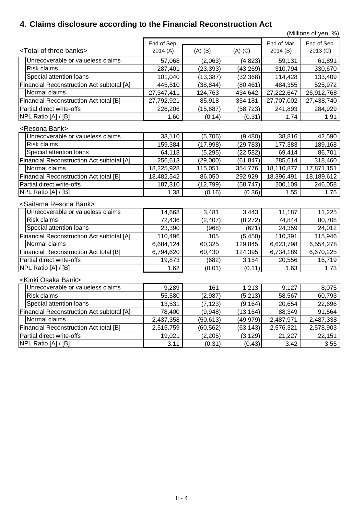## **4**.**Claims disclosure according to the Financial Reconstruction Act**

(Millions of yen, %)

|                                                  | End of Sep. |           |           | End of Mar. | End of Sep. |
|--------------------------------------------------|-------------|-----------|-----------|-------------|-------------|
| <total banks="" of="" three=""></total>          | 2014(A)     | $(A)-(B)$ | $(A)-(C)$ | 2014(B)     | 2013 (C)    |
| Unrecoverable or valueless claims                | 57,068      | (2,063)   | (4,823)   | 59,131      | 61,891      |
| <b>Risk claims</b>                               | 287,401     | (23, 393) | (43, 269) | 310,794     | 330,670     |
| Special attention loans                          | 101,040     | (13, 387) | (32, 368) | 114,428     | 133,409     |
| <b>Financial Reconstruction Act subtotal [A]</b> | 445,510     | (38, 844) | (80, 461) | 484,355     | 525,972     |
| Normal claims                                    | 27,347,411  | 124,763   | 434,642   | 27,222,647  | 26,912,768  |
| <b>Financial Reconstruction Act total [B]</b>    | 27,792,921  | 85,918    | 354,181   | 27,707,002  | 27,438,740  |
| <b>Partial direct write-offs</b>                 | 226,206     | (15, 687) | (58, 723) | 241,893     | 284,929     |
| NPL Ratio [A] / [B]                              | 1.60        | (0.14)    | (0.31)    | 1.74        | 1.91        |
| <resona bank=""></resona>                        |             |           |           |             |             |
| Unrecoverable or valueless claims                | 33,110      | (5,706)   | (9,480)   | 38,816      | 42,590      |
| <b>Risk claims</b>                               | 159,384     | (17, 998) | (29,783)  | 177,383     | 189,168     |
| Special attention loans                          | 64,118      | (5, 295)  | (22, 582) | 69,414      | 86,701      |
| <b>Financial Reconstruction Act subtotal [A]</b> | 256,613     | (29,000)  | (61, 847) | 285,614     | 318,460     |
| Normal claims                                    | 18,225,928  | 115,051   | 354,776   | 18,110,877  | 17,871,151  |
| <b>Financial Reconstruction Act total [B]</b>    | 18,482,542  | 86,050    | 292,929   | 18,396,491  | 18,189,612  |
| <b>Partial direct write-offs</b>                 | 187,310     | (12, 799) | (58, 747) | 200,109     | 246,058     |
| NPL Ratio [A] / [B]                              | 1.38        | (0.16)    | (0.36)    | 1.55        | 1.75        |
| <saitama bank="" resona=""></saitama>            |             |           |           |             |             |
| Unrecoverable or valueless claims                | 14,668      | 3,481     | 3,443     | 11,187      | 11,225      |
| <b>Risk claims</b>                               | 72,436      | (2, 407)  | (8,272)   | 74,844      | 80,708      |
| Special attention loans                          | 23,390      | (968)     | (621)     | 24,359      | 24,012      |
| <b>Financial Reconstruction Act subtotal [A]</b> | 110,496     | 105       | (5, 450)  | 110,391     | 115,946     |
| Normal claims                                    | 6,684,124   | 60,325    | 129,845   | 6,623,798   | 6,554,278   |
| <b>Financial Reconstruction Act total [B]</b>    | 6,794,620   | 60,430    | 124,395   | 6,734,189   | 6,670,225   |
| Partial direct write-offs                        | 19,873      | (682)     | 3,154     | 20,556      | 16,719      |
| NPL Ratio [A] / [B]                              | 1.62        | (0.01)    | (0.11)    | 1.63        | 1.73        |
| <kinki bank="" osaka=""></kinki>                 |             |           |           |             |             |
| Unrecoverable or valueless claims                | 9,289       | 161       | 1,213     | 9,127       | 8,075       |
| <b>Risk claims</b>                               | 55,580      | (2,987)   | (5, 213)  | 58,567      | 60,793      |
| Special attention loans                          | 13,531      | (7, 123)  | (9, 164)  | 20,654      | 22,696      |
| <b>Financial Reconstruction Act subtotal [A]</b> | 78,400      | (9,948)   | (13, 164) | 88,349      | 91,564      |
| Normal claims                                    | 2,437,358   | (50, 613) | (49,979)  | 2,487,971   | 2,487,338   |
| <b>Financial Reconstruction Act total [B]</b>    | 2,515,759   | (60, 562) | (63, 143) | 2,576,321   | 2,578,903   |
| Partial direct write-offs                        | 19,021      | (2,205)   | (3, 129)  | 21,227      | 22,151      |
| NPL Ratio [A] / [B]                              | 3.11        | (0.31)    | (0.43)    | 3.42        | 3.55        |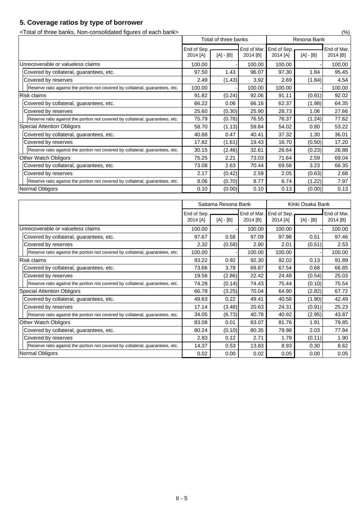## **5. Coverage ratios by type of borrower**

<Total of three banks, Non-consolidated figures of each bank> (%)

|                                                                               | Total of three banks    |             |                         | Resona Bank             |             |                         |
|-------------------------------------------------------------------------------|-------------------------|-------------|-------------------------|-------------------------|-------------|-------------------------|
|                                                                               | End of Sep.<br>2014 [A] | $[A] - [B]$ | End of Mar.<br>2014 [B] | End of Sep.<br>2014 [A] | $[A] - [B]$ | End of Mar.<br>2014 [B] |
| Unrecoverable or valueless claims                                             | 100.00                  |             | 100.00                  | 100.00                  |             | 100.00                  |
| Covered by collateral, guarantees, etc.                                       | 97.50                   | 1.43        | 96.07                   | 97.30                   | 1.84        | 95.45                   |
| Covered by reserves                                                           | 2.49                    | (1.43)      | 3.92                    | 2.69                    | (1.84)      | 4.54                    |
| Reserve ratio against the portion not covered by collateral, guarantees, etc. | 100.00                  |             | 100.00                  | 100.00                  |             | 100.00                  |
| <b>Risk claims</b>                                                            | 91.82                   | (0.24)      | 92.06                   | 91.11                   | (0.91)      | 92.02                   |
| Covered by collateral, guarantees, etc.                                       | 66.22                   | 0.06        | 66.16                   | 62.37                   | (1.98)      | 64.35                   |
| Covered by reserves                                                           | 25.60                   | (0.30)      | 25.90                   | 28.73                   | 1.06        | 27.66                   |
| Reserve ratio against the portion not covered by collateral, guarantees, etc. | 75.79                   | (0.76)      | 76.55                   | 76.37                   | (1.24)      | 77.62                   |
| <b>Special Attention Obligors</b>                                             | 58.70                   | (1.13)      | 59.84                   | 54.02                   | 0.80        | 53.22                   |
| Covered by collateral, guarantees, etc.                                       | 40.88                   | 0.47        | 40.41                   | 37.32                   | 1.30        | 36.01                   |
| Covered by reserves                                                           | 17.82                   | (1.61)      | 19.43                   | 16.70                   | (0.50)      | 17.20                   |
| Reserve ratio against the portion not covered by collateral, guarantees, etc. | 30.15                   | (2.46)      | 32.61                   | 26.64                   | (0.23)      | 26.88                   |
| Other Watch Obligors                                                          | 75.25                   | 2.21        | 73.03                   | 71.64                   | 2.59        | 69.04                   |
| Covered by collateral, guarantees, etc.                                       | 73.08                   | 2.63        | 70.44                   | 69.58                   | 3.23        | 66.35                   |
| Covered by reserves                                                           | 2.17                    | (0.42)      | 2.59                    | 2.05                    | (0.63)      | 2.68                    |
| Reserve ratio against the portion not covered by collateral, guarantees, etc. | 8.06                    | (0.70)      | 8.77                    | 6.74                    | (1.22)      | 7.97                    |
| Normal Obligors                                                               | 0.10                    | (0.00)      | 0.10                    | 0.13                    | (0.00)      | 0.13                    |

|                                                                               | Saitama Resona Bank     |             |                         |                         | Kinki Osaka Bank |                         |  |
|-------------------------------------------------------------------------------|-------------------------|-------------|-------------------------|-------------------------|------------------|-------------------------|--|
|                                                                               | End of Sep.<br>2014 [A] | $[A] - [B]$ | End of Mar.<br>2014 [B] | End of Sep.<br>2014 [A] | $[A] - [B]$      | End of Mar.<br>2014 [B] |  |
| Unrecoverable or valueless claims                                             | 100.00                  |             | 100.00                  | 100.00                  |                  | 100.00                  |  |
| Covered by collateral, guarantees, etc.                                       | 97.67                   | 0.58        | 97.09                   | 97.98                   | 0.51             | 97.46                   |  |
| Covered by reserves                                                           | 2.32                    | (0.58)      | 2.90                    | 2.01                    | (0.51)           | 2.53                    |  |
| Reserve ratio against the portion not covered by collateral, guarantees, etc. | 100.00                  |             | 100.00                  | 100.00                  |                  | 100.00                  |  |
| <b>Risk claims</b>                                                            | 93.22                   | 0.92        | 92.30                   | 92.02                   | 0.13             | 91.89                   |  |
| Covered by collateral, guarantees, etc.                                       | 73.66                   | 3.78        | 69.87                   | 67.54                   | 0.68             | 66.85                   |  |
| Covered by reserves                                                           | 19.56                   | (2.86)      | 22.42                   | 24.48                   | (0.54)           | 25.03                   |  |
| Reserve ratio against the portion not covered by collateral, guarantees, etc. | 74.28                   | (0.14)      | 74.43                   | 75.44                   | (0.10)           | 75.54                   |  |
| <b>Special Attention Obligors</b>                                             | 66.78                   | (3.25)      | 70.04                   | 64.90                   | (2.82)           | 67.72                   |  |
| Covered by collateral, guarantees, etc.                                       | 49.63                   | 0.22        | 49.41                   | 40.58                   | (1.90)           | 42.49                   |  |
| Covered by reserves                                                           | 17.14                   | (3.48)      | 20.63                   | 24.31                   | (0.91)           | 25.23                   |  |
| Reserve ratio against the portion not covered by collateral, guarantees, etc. | 34.05                   | (6.73)      | 40.78                   | 40.92                   | (2.95)           | 43.87                   |  |
| <b>Other Watch Obligors</b>                                                   | 83.08                   | 0.01        | 83.07                   | 81.76                   | 1.91             | 79.85                   |  |
| Covered by collateral, guarantees, etc.                                       | 80.24                   | (0.10)      | 80.35                   | 79.98                   | 2.03             | 77.94                   |  |
| Covered by reserves                                                           | 2.83                    | 0.12        | 2.71                    | 1.78                    | (0.11)           | 1.90                    |  |
| Reserve ratio against the portion not covered by collateral, guarantees, etc. | 14.37                   | 0.53        | 13.83                   | 8.93                    | 0.30             | 8.62                    |  |
| Normal Obligors                                                               | 0.02                    | 0.00        | 0.02                    | 0.05                    | 0.00             | 0.05                    |  |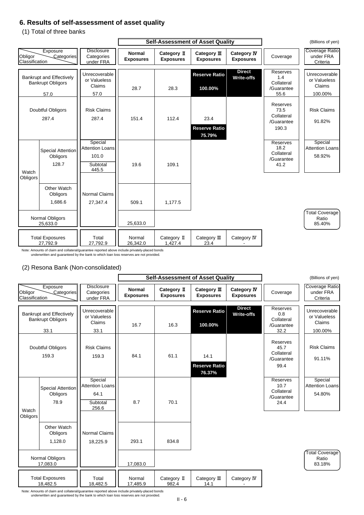## **6. Results of self-assessment of asset quality**

(1) Total of three banks

### (2) Resona Bank (Non-consolidated)

Note: Amounts of claim and collateral/guarantee reported above include privately-placed bonds underwritten and guaranteed by the bank to which loan loss reserves are not provided.

|                           |                                                                     |                                                                 |                                   | <b>Self-Assessment of Asset Quality</b> |                                        | (Billions of yen)                      |                                                              |                                                    |
|---------------------------|---------------------------------------------------------------------|-----------------------------------------------------------------|-----------------------------------|-----------------------------------------|----------------------------------------|----------------------------------------|--------------------------------------------------------------|----------------------------------------------------|
| Obligor<br>Classification | Exposure<br>Categories                                              | <b>Disclosure</b><br>Categories<br>under FRA                    | <b>Normal</b><br><b>Exposures</b> | Category II<br><b>Exposures</b>         | Category III<br><b>Exposures</b>       | <b>Category IV</b><br><b>Exposures</b> | Coverage                                                     | <b>Coverage Ratio</b><br>under FRA<br>Criteria     |
|                           | <b>Bankrupt and Effectively</b><br><b>Bankrupt Obligors</b><br>57.0 | Unrecoverable<br>or Valueless<br>Claims<br>57.0                 | 28.7                              | 28.3                                    | <b>Reserve Ratio</b><br>100.00%        | <b>Direct</b><br><b>Write-offs</b>     | <b>Reserves</b><br>1.4<br>Collateral<br>/Guarantee<br>55.6   | Unrecoverable<br>or Valueless<br>Claims<br>100.00% |
|                           | <b>Doubtful Obligors</b><br>287.4                                   | <b>Risk Claims</b><br>287.4                                     | 151.4                             | 112.4                                   | 23.4<br><b>Reserve Ratio</b><br>75.79% |                                        | <b>Reserves</b><br>73.5<br>Collateral<br>/Guarantee<br>190.3 | <b>Risk Claims</b><br>91.82%                       |
| Watch<br>Obligors         | <b>Special Attention</b><br>Obligors<br>128.7                       | Special<br><b>Attention Loans</b><br>101.0<br>Subtotal<br>445.5 | 19.6                              | 109.1                                   |                                        |                                        | <b>Reserves</b><br>18.2<br>Collateral<br>/Guarantee<br>41.2  | Special<br><b>Attention Loans</b><br>58.92%        |
|                           | <b>Other Watch</b><br>Obligors<br>1,686.6                           | <b>Normal Claims</b><br>27,347.4                                | 509.1                             | 1,177.5                                 |                                        |                                        |                                                              |                                                    |
|                           | <b>Normal Obligors</b><br>25,633.0                                  |                                                                 | 25,633.0                          |                                         |                                        |                                        |                                                              | Total Coverage)<br>Ratio<br>85.40%                 |
|                           | <b>Total Exposures</b><br>27,792.9                                  | Total<br>27,792.9                                               | Normal<br>26,342.0                | Category II<br>1,427.4                  | Category III<br>23.4                   | Category IV                            |                                                              |                                                    |



|                                                             |                                              | <b>Self-Assessment of Asset Quality</b> |                                 |                                        |                                        | (Billions of yen)                                    |                                         |
|-------------------------------------------------------------|----------------------------------------------|-----------------------------------------|---------------------------------|----------------------------------------|----------------------------------------|------------------------------------------------------|-----------------------------------------|
| Exposure<br>Categories<br>Obligor<br>Classification         | <b>Disclosure</b><br>Categories<br>under FRA | <b>Normal</b><br><b>Exposures</b>       | Category II<br><b>Exposures</b> | Category $I\!I\!I$<br><b>Exposures</b> | <b>Category IV</b><br><b>Exposures</b> | Coverage                                             | Coverage Ratio<br>under FRA<br>Criteria |
| <b>Bankrupt and Effectively</b><br><b>Bankrupt Obligors</b> | Unrecoverable<br>or Valueless                |                                         |                                 | <b>Reserve Ratio</b>                   | <b>Direct</b><br><b>Write-offs</b>     | <b>Reserves</b><br>0.8<br>Collateral                 | Unrecoverable<br>or Valueless           |
| 33.1                                                        | Claims<br>33.1                               | 16.7                                    | 16.3                            | 100.00%                                |                                        | /Guarantee<br>32.2                                   | <b>Claims</b><br>100.00%                |
| <b>Doubtful Obligors</b><br>159.3                           | <b>Risk Claims</b><br>159.3                  | 84.1                                    | 61.1                            | 14.1<br><b>Reserve Ratio</b>           |                                        | Reserves<br>45.7<br>Collateral<br>/Guarantee<br>99.4 | <b>Risk Claims</b><br>91.11%            |
| Special Attention                                           | Special<br><b>Attention Loans</b>            |                                         |                                 | 76.37%                                 |                                        | Reserves<br>10.7<br>$O = H = 1 - 1$                  | Special<br><b>Attention Loans</b>       |

Note: Amounts of claim and collateral/guarantee reported above include privately-placed bonds underwritten and guaranteed by the bank to which loan loss reserves are not provided.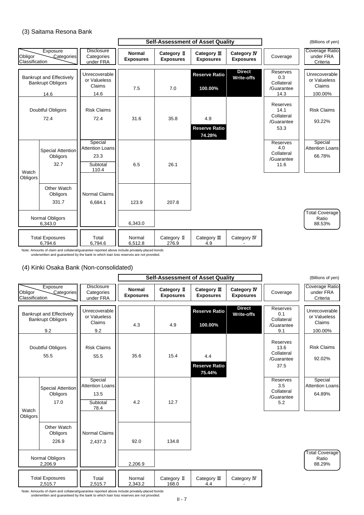### (3) Saitama Resona Bank

### (4) Kinki Osaka Bank (Non-consolidated)

Note: Amounts of claim and collateral/guarantee reported above include privately-placed bonds underwritten and guaranteed by the bank to which loan loss reserves are not provided.

Note: Amounts of claim and collateral/guarantee reported above include privately-placed bonds underwritten and guaranteed by the bank to which loan loss reserves are not provided.

|                           |                                                                     |                                                                |                                   | <b>Self-Assessment of Asset Quality</b> |                                       | (Billions of yen)                      |                                                             |                                                    |
|---------------------------|---------------------------------------------------------------------|----------------------------------------------------------------|-----------------------------------|-----------------------------------------|---------------------------------------|----------------------------------------|-------------------------------------------------------------|----------------------------------------------------|
| Obligor<br>Classification | Exposure<br>Categories                                              | <b>Disclosure</b><br>Categories<br>under FRA                   | <b>Normal</b><br><b>Exposures</b> | Category II<br><b>Exposures</b>         | Category III<br><b>Exposures</b>      | <b>Category IV</b><br><b>Exposures</b> | Coverage                                                    | Coverage Ratio<br>under FRA<br>Criteria            |
|                           | <b>Bankrupt and Effectively</b><br><b>Bankrupt Obligors</b><br>14.6 | Unrecoverable<br>or Valueless<br>Claims<br>14.6                | 7.5                               | 7.0                                     | <b>Reserve Ratio</b><br>100.00%       | <b>Direct</b><br><b>Write-offs</b>     | <b>Reserves</b><br>0.3<br>Collateral<br>/Guarantee<br>14.3  | Unrecoverable<br>or Valueless<br>Claims<br>100.00% |
|                           | <b>Doubtful Obligors</b><br>72.4                                    | <b>Risk Claims</b><br>72.4                                     | 31.6                              | 35.8                                    | 4.9<br><b>Reserve Ratio</b><br>74.28% |                                        | <b>Reserves</b><br>14.1<br>Collateral<br>/Guarantee<br>53.3 | <b>Risk Claims</b><br>93.22%                       |
| Watch<br>Obligors         | <b>Special Attention</b><br>Obligors<br>32.7                        | Special<br><b>Attention Loans</b><br>23.3<br>Subtotal<br>110.4 | 6.5                               | 26.1                                    |                                       |                                        | <b>Reserves</b><br>4.0<br>Collateral<br>/Guarantee<br>11.6  | Special<br><b>Attention Loans</b><br>66.78%        |
|                           | <b>Other Watch</b><br>Obligors<br>331.7                             | Normal Claims<br>6,684.1                                       | 123.9                             | 207.8                                   |                                       |                                        |                                                             |                                                    |
|                           | <b>Normal Obligors</b><br>6,343.0                                   |                                                                | 6,343.0                           |                                         |                                       |                                        |                                                             | Total Coverage<br>Ratio<br>88.53%                  |
|                           | <b>Total Exposures</b><br>6,794.6                                   | Total<br>6,794.6                                               | Normal<br>6,512.8                 | Category II<br>276.9                    | Category III<br>4.9                   | Category IV                            |                                                             |                                                    |



|                                                             |                                                | <b>Self-Assessment of Asset Quality</b> |                                 |                                        |                                        |                                                      | (Billions of yen)                              |  |
|-------------------------------------------------------------|------------------------------------------------|-----------------------------------------|---------------------------------|----------------------------------------|----------------------------------------|------------------------------------------------------|------------------------------------------------|--|
| Exposure<br>Obligor<br>Categories<br>Classification         | <b>Disclosure</b><br>Categories<br>under FRA   | <b>Normal</b><br><b>Exposures</b>       | Category II<br><b>Exposures</b> | Category $I\!I\!I$<br><b>Exposures</b> | <b>Category IV</b><br><b>Exposures</b> | Coverage                                             | Coverage Ratio<br>under FRA<br>Criteria        |  |
| <b>Bankrupt and Effectively</b><br><b>Bankrupt Obligors</b> | Unrecoverable<br>or Valueless<br><b>Claims</b> |                                         |                                 | <b>Reserve Ratio</b>                   | <b>Direct</b><br><b>Write-offs</b>     | Reserves<br>0.1<br>Collateral                        | Unrecoverable<br>or Valueless<br><b>Claims</b> |  |
| 9.2                                                         | 9.2                                            | 4.3                                     | 4.9                             | 100.00%                                |                                        | /Guarantee<br>9.1                                    | 100.00%                                        |  |
| Doubtful Obligors<br>55.5                                   | <b>Risk Claims</b><br>55.5                     | 35.6                                    | 15.4                            | 4.4<br><b>Reserve Ratio</b><br>75.44%  |                                        | Reserves<br>13.6<br>Collateral<br>/Guarantee<br>37.5 | <b>Risk Claims</b><br>92.02%                   |  |
| <b>Special Attention</b>                                    | Special<br><b>Attention Loans</b>              |                                         |                                 |                                        |                                        | Reserves<br>3.5<br>$O = H = 1 - 1$                   | Special<br><b>Attention Loans</b>              |  |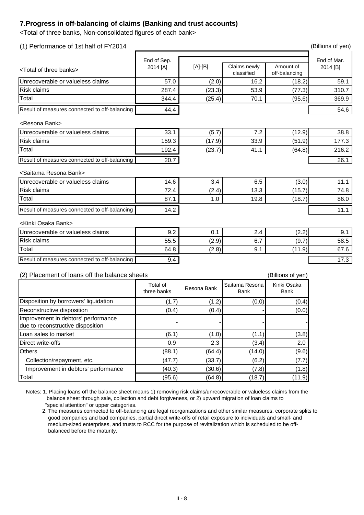## **7.Progress in off-balancing of claims (Banking and trust accounts)**

<Total of three banks, Non-consolidated figures of each bank>

| (1) Performance of 1st half of FY2014            |                         |             |                               |                            | (Billions of yen)       |
|--------------------------------------------------|-------------------------|-------------|-------------------------------|----------------------------|-------------------------|
| <total banks="" of="" three=""></total>          | End of Sep.<br>2014 [A] | $[A]-[B]$   | Claims newly<br>classified    | Amount of<br>off-balancing | End of Mar.<br>2014 [B] |
| Unrecoverable or valueless claims                | 57.0                    | (2.0)       | 16.2                          | (18.2)                     | 59.1                    |
| <b>Risk claims</b>                               | 287.4                   | (23.3)      | 53.9                          | (77.3)                     | 310.7                   |
| Total                                            | 344.4                   | (25.4)      | 70.1                          | (95.6)                     | 369.9                   |
| Result of measures connected to off-balancing    | 44.4                    |             |                               |                            | 54.6                    |
| <resona bank=""></resona>                        |                         |             |                               |                            |                         |
| Unrecoverable or valueless claims                | 33.1                    | (5.7)       | 7.2                           | (12.9)                     | 38.8                    |
| <b>Risk claims</b>                               | 159.3                   | (17.9)      | 33.9                          | (51.9)                     | 177.3                   |
| Total                                            | 192.4                   | (23.7)      | 41.1                          | (64.8)                     | 216.2                   |
| Result of measures connected to off-balancing    | 20.7                    |             |                               |                            | 26.1                    |
| <saitama bank="" resona=""></saitama>            |                         |             |                               |                            |                         |
| Unrecoverable or valueless claims                | 14.6                    | 3.4         | 6.5                           | (3.0)                      | 11.1                    |
| <b>Risk claims</b>                               | 72.4                    | (2.4)       | 13.3                          | (15.7)                     | 74.8                    |
| Total                                            | 87.1                    | 1.0         | 19.8                          | (18.7)                     | 86.0                    |
| Result of measures connected to off-balancing    | 14.2                    |             |                               |                            | 11.1                    |
| <kinki bank="" osaka=""></kinki>                 |                         |             |                               |                            |                         |
| Unrecoverable or valueless claims                | 9.2                     | 0.1         | 2.4                           | (2.2)                      | 9.1                     |
| <b>Risk claims</b>                               | 55.5                    | (2.9)       | 6.7                           | (9.7)                      | 58.5                    |
| Total                                            | 64.8                    | (2.8)       | 9.1                           | (11.9)                     | 67.6                    |
| Result of measures connected to off-balancing    | 9.4                     |             |                               |                            | 17.3                    |
| Placement of loans off the balance sheets<br>(2) |                         |             |                               | (Billions of yen)          |                         |
|                                                  | Total of<br>three banks | Resona Bank | Saitama Resona<br><b>Bank</b> | Kinki Osaka<br><b>Bank</b> |                         |

|                                                                          | three banks | Resona Bank | <b>Bank</b> | <b>Bank</b> |  |
|--------------------------------------------------------------------------|-------------|-------------|-------------|-------------|--|
| Disposition by borrowers' liquidation                                    | (1.7)       | (1.2)       | (0.0)       | (0.4)       |  |
| <b>Reconstructive disposition</b>                                        | (0.4)       | (0.4)       |             | (0.0)       |  |
| Improvement in debtors' performance<br>due to reconstructive disposition |             |             |             |             |  |
| Loan sales to market                                                     | (6.1)       | (1.0)       | (1.1)       | (3.8)       |  |
| Direct write-offs                                                        | 0.9         | 2.3         | (3.4)       | 2.0         |  |
| <b>Others</b>                                                            | (88.1)      | (64.4)      | (14.0)      | (9.6)       |  |
| Collection/repayment, etc.                                               | (47.7)      | (33.7)      | (6.2)       | (7.7)       |  |
| Improvement in debtors' performance                                      | (40.3)      | (30.6)      | (7.8)       | (1.8)       |  |
| Total                                                                    | (95.6)      | (64.8)      | (18.7)      | (11.9)      |  |

 2. The measures connected to off-balancing are legal reorganizations and other similar measures, corporate splits to good companies and bad companies, partial direct write-offs of retail exposure to individuals and small- and medium-sized enterprises, and trusts to RCC for the purpose of revitalization which is scheduled to be off balanced before the maturity.

Notes: 1. Placing loans off the balance sheet means 1) removing risk claims/unrecoverable or valueless claims from the balance sheet through sale, collection and debt forgiveness, or 2) upward migration of loan claims to "special attention" or upper categories.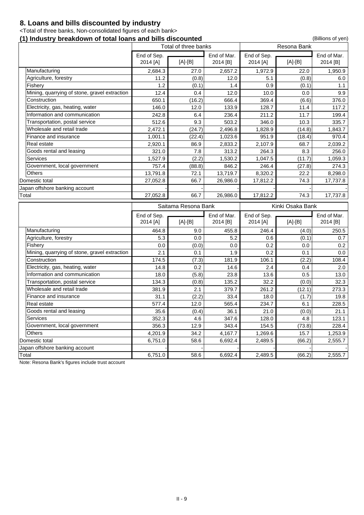## **8. Loans and bills discounted by industry**

<Total of three banks, Non-consolidated figures of each bank>

## **(1) Industry breakdown of total loans and bills discounted** (Billions of yen)

|                                               | Total of three banks |                     |                   |                   |                    |                   |
|-----------------------------------------------|----------------------|---------------------|-------------------|-------------------|--------------------|-------------------|
|                                               | End of Sep.          |                     | End of Mar.       | End of Sep.       |                    | End of Mar.       |
|                                               | 2014 [A]             | $[A]-[B]$           | 2014 [B]          | 2014 [A]          | $[A]-[B]$          | 2014 [B]          |
| Manufacturing                                 | 2,684.3              | 27.0                | 2,657.2           | 1,972.9           | 22.0               | 1,950.9           |
| Agriculture, forestry                         | 11.2                 | (0.8)               | 12.0              | 5.1               | (0.8)              | 6.0               |
| Fishery                                       | 1.2                  | (0.1)               | 1.4               | 0.9               | (0.1)              | 1.1               |
| Mining, quarrying of stone, gravel extraction | 12.4                 | 0.4                 | 12.0              | 10.0              | 0.0                | 9.9               |
| Construction                                  | 650.1                | (16.2)              | 666.4             | 369.4             | (6.6)              | 376.0             |
| Electricity, gas, heating, water              | 146.0                | 12.0                | 133.9             | 128.7             | 11.4               | 117.2             |
| Information and communication                 | 242.8                | 6.4                 | 236.4             | 211.2             | 11.7               | 199.4             |
| Transportation, postal service                | 512.6                | 9.3                 | 503.2             | 346.0             | 10.3               | 335.7             |
| Wholesale and retail trade                    | 2,472.1              | (24.7)              | 2,496.8           | 1,828.9           | (14.8)             | 1,843.7           |
| Finance and insurance                         | 1,001.1              | (22.4)              | 1,023.6           | 951.9             | (18.4)             | 970.4             |
| Real estate                                   | 2,920.1              | 86.9                | 2,833.2           | 2,107.9           | 68.7               | 2,039.2           |
| Goods rental and leasing                      | 321.0                | 7.8                 | 313.2             | 264.3             | 8.3                | 256.0             |
| <b>Services</b>                               | 1,527.9              | (2.2)               | 1,530.2           | 1,047.5           | (11.7)             | 1,059.3           |
| Government, local government                  | 757.4                | (88.8)              | 846.2             | 246.4             | (27.8)             | 274.3             |
| <b>Others</b>                                 | 13,791.8             | 72.1                | 13,719.7          | 8,320.2           | 22.2               | 8,298.0           |
| Domestic total                                | 27,052.8             | 66.7                | 26,986.0          | 17,812.2          | 74.3               | 17,737.8          |
| Japan offshore banking account                |                      |                     |                   |                   |                    |                   |
| Total                                         | 27,052.8             | 66.7                | 26,986.0          | 17,812.2          | 74.3               | 17,737.8          |
|                                               |                      |                     |                   |                   |                    |                   |
|                                               |                      |                     |                   |                   |                    |                   |
|                                               |                      | Saitama Resona Bank |                   |                   | Kinki Osaka Bank   |                   |
|                                               | End of Sep.          |                     | End of Mar.       | End of Sep.       |                    | End of Mar.       |
| Manufacturing                                 | 2014 [A]<br>464.8    | $[A]-[B]$<br>9.0    | 2014 [B]<br>455.8 | 2014 [A]<br>246.4 | $[A]-[B]$<br>(4.0) | 2014 [B]<br>250.5 |
| Agriculture, forestry                         | 5.3                  | 0.0                 | 5.2               | 0.6 <sub>1</sub>  | (0.1)              | 0.7               |
| Fishery                                       | 0.0                  | (0.0)               | 0.0               | 0.2               | 0.0                | 0.2               |
| Mining, quarrying of stone, gravel extraction | 2.1                  | 0.1                 | 1.9               | 0.2               | 0.1                | 0.0               |
| Construction                                  | 174.5                |                     | 181.9             | 106.1             |                    | 108.4             |
| Electricity, gas, heating, water              | 14.8                 | (7.3)<br>0.2        | 14.6              | 2.4               | (2.2)<br>0.4       | 2.0               |
| Information and communication                 | 18.0                 | (5.8)               | 23.8              | 13.6              | 0.5                | 13.0              |
| Transportation, postal service                | 134.3                | (0.8)               | 135.2             | 32.2              | (0.0)              | 32.3              |
| Wholesale and retail trade                    | 381.9                | 2.1                 | 379.7             | 261.2             | (12.1)             | 273.3             |
| Finance and insurance                         | 31.1                 |                     | 33.4              | 18.0              |                    | 19.8              |
| Real estate                                   | 577.4                | (2.2)<br>12.0       | 565.4             | 234.7             | (1.7)<br>6.1       | 228.5             |
| Goods rental and leasing                      | 35.6                 | (0.4)               | 36.1              | 21.0              | (0.0)              | 21.1              |
| <b>Services</b>                               | 352.3                | 4.6                 | 347.6             | 128.0             | 4.8                | 123.1             |
| Government, local government                  | 356.3                | 12.9                | 343.4             | 154.5             | (73.8)             | 228.4             |
| <b>Others</b>                                 | 4,201.9              | 34.2                | 4,167.7           | 1,269.6           | 15.7               | 1,253.9           |
| Domestic total                                | 6,751.0              | 58.6                | 6,692.4           | 2,489.5           | (66.2)             | 2,555.7           |
| Japan offshore banking account                |                      |                     |                   |                   |                    |                   |

Note: Resona Bank's figures include trust account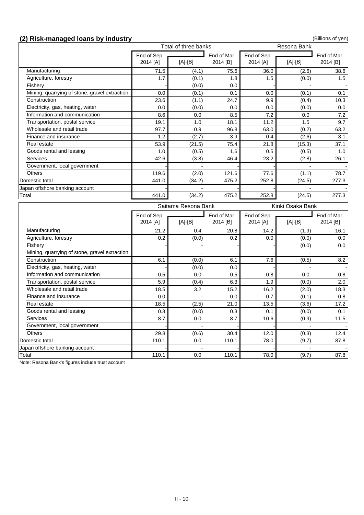## **(2) Risk-managed loans by industry** (2) **Risk-managed loans by industry** (Billions of yen)

|                                               | Total of three banks<br><b>Resona Bank</b> |                     |             |                  |                  |                  |
|-----------------------------------------------|--------------------------------------------|---------------------|-------------|------------------|------------------|------------------|
|                                               | End of Sep.                                |                     | End of Mar. | End of Sep.      |                  | End of Mar.      |
|                                               | 2014 [A]                                   | $[A]-[B]$           | 2014 [B]    | 2014 [A]         | $[A]-[B]$        | 2014 [B]         |
| Manufacturing                                 | 71.5                                       | (4.1)               | 75.6        | 36.0             | (2.6)            | 38.6             |
| Agriculture, forestry                         | 1.7                                        | (0.1)               | 1.8         | 1.5              | (0.0)            | 1.5              |
| Fishery                                       |                                            | (0.0)               | 0.0         |                  |                  |                  |
| Mining, quarrying of stone, gravel extraction | 0.0                                        | (0.1)               | 0.1         | 0.0              | (0.1)            | 0.1              |
| Construction                                  | 23.6                                       | (1.1)               | 24.7        | 9.9              | (0.4)            | 10.3             |
| Electricity, gas, heating, water              | 0.0                                        | (0.0)               | 0.0         | 0.0              | (0.0)            | 0.0              |
| Information and communication                 | 8.6                                        | 0.0                 | 8.5         | 7.2              | 0.0              | 7.2              |
| Transportation, postal service                | 19.1                                       | 1.0                 | 18.1        | 11.2             | 1.5              | 9.7              |
| Wholesale and retail trade                    | 97.7                                       | 0.9                 | 96.8        | 63.0             | (0.2)            | 63.2             |
| Finance and insurance                         | 1.2                                        | (2.7)               | 3.9         | 0.4              | (2.6)            | 3.1              |
| Real estate                                   | 53.9                                       | (21.5)              | 75.4        | 21.8             | (15.3)           | 37.1             |
| Goods rental and leasing                      | 1.0                                        | (0.5)               | 1.6         | 0.5              | (0.5)            | 1.0              |
| <b>Services</b>                               | 42.6                                       | (3.8)               | 46.4        | 23.2             | (2.8)            | 26.1             |
| Government, local government                  |                                            |                     |             |                  |                  |                  |
| <b>Others</b>                                 | 119.6                                      | (2.0)               | 121.6       | 77.6             | (1.1)            | 78.7             |
| Domestic total                                | 441.0                                      | (34.2)              | 475.2       | 252.8            | (24.5)           | 277.3            |
| Japan offshore banking account                |                                            |                     |             |                  |                  |                  |
| Total                                         | 441.0                                      | (34.2)              | 475.2       | 252.8            | (24.5)           | 277.3            |
|                                               |                                            |                     |             |                  |                  |                  |
|                                               |                                            |                     |             |                  |                  |                  |
|                                               |                                            | Saitama Resona Bank |             |                  | Kinki Osaka Bank |                  |
|                                               | End of Sep.                                |                     | End of Mar. | End of Sep.      |                  | End of Mar.      |
|                                               | 2014 [A]                                   | $[A]-[B]$           | 2014 [B]    | 2014 [A]         | $[A]-[B]$        | 2014 [B]         |
| Manufacturing                                 | 21.2                                       | 0.4                 | 20.8        | 14.2             | (1.9)            | 16.1             |
| Agriculture, forestry                         | 0.2 <sub>0</sub>                           | (0.0)               | 0.2         | 0.0 <sub>1</sub> | (0.0)            | 0.0 <sub>1</sub> |
| Fishery                                       |                                            |                     |             |                  | (0.0)            | 0.0              |
| Mining, quarrying of stone, gravel extraction |                                            |                     |             |                  |                  |                  |
| Construction                                  | 6.1                                        | (0.0)               | 6.1         | 7.6              | (0.5)            | 8.2              |
| Electricity, gas, heating, water              |                                            | (0.0)               | 0.0         |                  |                  |                  |
| Information and communication                 | 0.5                                        | 0.0                 | 0.5         | 0.8              | 0.0              | 0.8              |
| Transportation, postal service                | 5.9                                        | (0.4)               | 6.3         | 1.9              | (0.0)            | 2.0              |
| Wholesale and retail trade                    | 18.5                                       | 3.2                 | 15.2        | 16.2             | (2.0)            | 18.3             |
| Finance and insurance                         | 0.0                                        |                     | 0.0         | 0.7              | (0.1)            | 0.8              |
| Real estate                                   | 18.5                                       | (2.5)               | 21.0        | 13.5             | (3.6)            | 17.2             |
| Goods rental and leasing                      | 0.3                                        | (0.0)               | 0.3         | 0.1              | (0.0)            | 0.1              |
| <b>Services</b>                               | 8.7                                        | 0.0                 | 8.7         | 10.6             | (0.9)            |                  |
| Government, local government                  |                                            |                     |             |                  |                  |                  |
| <b>Others</b>                                 | 29.8                                       | (0.6)               | 30.4        | 12.0             | (0.3)            | 11.5<br>12.4     |
| Domestic total                                | 110.1                                      | 0.0                 | 110.1       | 78.0             | (9.7)            | 87.8             |
| Japan offshore banking account                |                                            |                     |             |                  |                  |                  |

Note: Resona Bank's figures include trust account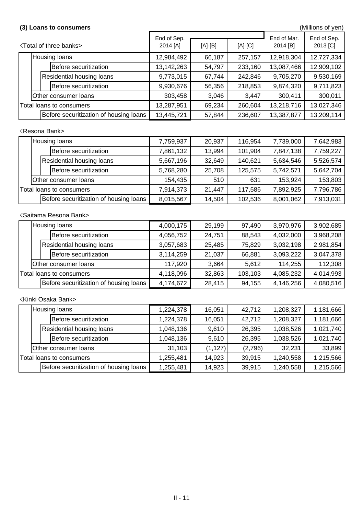## <Resona Bank>

## <Saitama Resona Bank>

## (3) Loans to consumers **and a set of the consumers** (Millions of yen)

|                          | <b><total banks="" of="" three=""></total></b> | End of Sep.<br>2014 [A] | $[A]-[B]$ | $[A]-[C]$ | End of Mar.<br>2014 [B] | End of Sep.<br>2013 [C] |
|--------------------------|------------------------------------------------|-------------------------|-----------|-----------|-------------------------|-------------------------|
|                          | <b>Housing loans</b>                           | 12,984,492              | 66,187    | 257,157   | 12,918,304              | 12,727,334              |
|                          | Before securitization                          | 13,142,263              | 54,797    | 233,160   | 13,087,466              | 12,909,102              |
|                          | <b>Residential housing loans</b>               | 9,773,015               | 67,744    | 242,846   | 9,705,270               | 9,530,169               |
|                          | Before securitization                          | 9,930,676               | 56,356    | 218,853   | 9,874,320               | 9,711,823               |
|                          | Other consumer loans                           | 303,458                 | 3,046     | 3,447     | 300,411                 | 300,011                 |
| Total loans to consumers |                                                | 13,287,951              | 69,234    | 260,604   | 13,218,716              | 13,027,346              |
|                          | Before securitization of housing loans         | 13,445,721              | 57,844    | 236,607   | 13,387,877              | 13,209,114              |

|                          | <b>Housing loans</b>                   | 7,759,937 | 20,937 | 116,954 | 7,739,000 | 7,642,983 |
|--------------------------|----------------------------------------|-----------|--------|---------|-----------|-----------|
|                          | Before securitization                  | 7,861,132 | 13,994 | 101,904 | 7,847,138 | 7,759,227 |
|                          | <b>Residential housing loans</b>       | 5,667,196 | 32,649 | 140,621 | 5,634,546 | 5,526,574 |
|                          | Before securitization                  | 5,768,280 | 25,708 | 125,575 | 5,742,571 | 5,642,704 |
|                          | <b>Other consumer loans</b>            | 154,435   | 510    | 631     | 153,924   | 153,803   |
| Total loans to consumers |                                        | 7,914,373 | 21,447 | 117,586 | 7,892,925 | 7,796,786 |
|                          | Before securitization of housing loans | 8,015,567 | 14,504 | 102,536 | 8,001,062 | 7,913,031 |

<Kinki Osaka Bank>

|                          | <b>Housing loans</b> |                                        | 4,000,175 | 29,199  | 97,490    | 3,970,976 | 3,902,685 |
|--------------------------|----------------------|----------------------------------------|-----------|---------|-----------|-----------|-----------|
|                          |                      | Before securitization                  | 4,056,752 | 24,751  | 88,543    | 4,032,000 | 3,968,208 |
|                          |                      | <b>Residential housing loans</b>       | 3,057,683 | 25,485  | 75,829    | 3,032,198 | 2,981,854 |
|                          |                      | Before securitization                  | 3,114,259 | 21,037  | 66,881    | 3,093,222 | 3,047,378 |
|                          |                      | <b>Other consumer loans</b>            | 117,920   | 3,664   | 5,612     | 114,255   | 112,308   |
| Total loans to consumers |                      | 4,118,096                              | 32,863    | 103,103 | 4,085,232 | 4,014,993 |           |
|                          |                      | Before securitization of housing loans | 4,174,672 | 28,415  | 94,155    | 4,146,256 | 4,080,516 |

|                          | Housing loans |                                        | 1,224,378 | 16,051   | 42.712    | 1,208,327 | 1,181,666 |
|--------------------------|---------------|----------------------------------------|-----------|----------|-----------|-----------|-----------|
|                          |               | Before securitization                  | 1,224,378 | 16,051   | 42,712    | 1,208,327 | 1,181,666 |
|                          |               | <b>Residential housing loans</b>       | 1,048,136 | 9,610    | 26,395    | 1,038,526 | 1,021,740 |
|                          |               | Before securitization                  | 1,048,136 | 9,610    | 26,395    | 1,038,526 | 1,021,740 |
|                          |               | <b>Other consumer loans</b>            | 31,103    | (1, 127) | (2,796)   | 32,231    | 33,899    |
| Total loans to consumers |               | 1,255,481                              | 14,923    | 39,915   | 1,240,558 | 1,215,566 |           |
|                          |               | Before securitization of housing loans | 1,255,481 | 14,923   | 39,915    | 1,240,558 | 1,215,566 |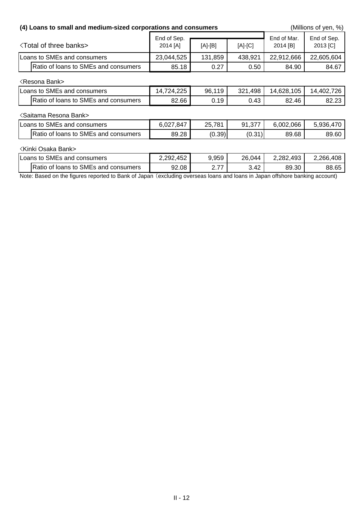| (4) Loans to small and medium-sized corporations and consumers |                         | (Millions of yen, %) |           |                         |                         |
|----------------------------------------------------------------|-------------------------|----------------------|-----------|-------------------------|-------------------------|
| <b>Total of three banks&gt;</b>                                | End of Sep.<br>2014 [A] | $[A]-[B]$            | $[A]-[C]$ | End of Mar.<br>2014 [B] | End of Sep.<br>2013 [C] |
| Loans to SMEs and consumers                                    | 23,044,525              | 131,859              | 438,921   | 22,912,666              | 22,605,604              |
| Ratio of loans to SMEs and consumers                           | 85.18                   | 0.27                 | 0.50      | 84.90                   | 84.67                   |
| <b>KResona Bank&gt;</b>                                        |                         |                      |           |                         |                         |
| Loans to SMEs and consumers                                    | 14,724,225              | 96,119               | 321,498   | 14,628,105              | 14,402,726              |
| Ratio of loans to SMEs and consumers                           | 82.66                   | 0.19                 | 0.43      | 82.46                   | 82.23                   |
| <saitama bank="" resona=""></saitama>                          |                         |                      |           |                         |                         |
| Loans to SMEs and consumers                                    | 6,027,847               | 25,781               | 91,377    | 6,002,066               | 5,936,470               |
| Ratio of loans to SMEs and consumers                           | 89.28                   | (0.39)               | (0.31)    | 89.68                   | 89.60                   |
| <b>Kinki Osaka Bank&gt;</b>                                    |                         |                      |           |                         |                         |
| Loans to SMEs and consumers                                    | 2,292,452               | 9,959                | 26,044    | 2,282,493               | 2,266,408               |
| Ratio of loans to SMEs and consumers                           | 92.08                   | 2.77                 | 3.42      | 89.30                   | 88.65                   |

Note: Based on the figures reported to Bank of Japan (excluding overseas loans and loans in Japan offshore banking account)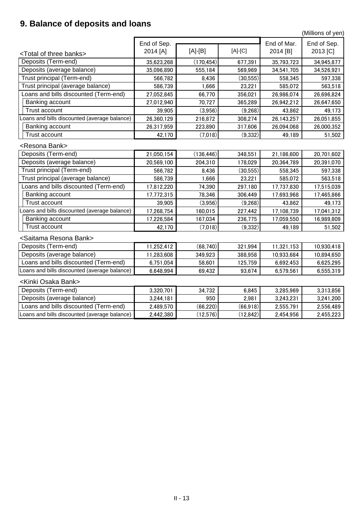## **9. Balance of deposits and loans**

(Millions of yen)

|                                              | End of Sep. |            | End of Mar. | End of Sep. |            |
|----------------------------------------------|-------------|------------|-------------|-------------|------------|
| <total banks="" of="" three=""></total>      | 2014 [A]    | [A]-[B]    | $[A]-[C]$   | 2014 [B]    | 2013 [C]   |
| Deposits (Term-end)                          | 35,623,268  | (170, 454) | 677,391     | 35,793,723  | 34,945,877 |
| Deposits (average balance)                   | 35,096,890  | 555,184    | 569,969     | 34,541,705  | 34,526,921 |
| Trust principal (Term-end)                   | 566,782     | 8,436      | (30, 555)   | 558,345     | 597,338    |
| Trust principal (average balance)            | 586,739     | 1,666      | 23,221      | 585,072     | 563,518    |
| coans and bills discounted (Term-end)        | 27,052,845  | 66,770     | 356,021     | 26,986,074  | 26,696,824 |
| <b>Banking account</b>                       | 27,012,940  | 70,727     | 365,289     | 26,942,212  | 26,647,650 |
| <b>Trust account</b>                         | 39,905      | (3,956)    | (9,268)     | 43,862      | 49,173     |
| Loans and bills discounted (average balance) | 26,360,129  | 216,872    | 308,274     | 26,143,257  | 26,051,855 |
| Banking account                              | 26,317,959  | 223,890    | 317,606     | 26,094,068  | 26,000,352 |
| <b>Trust account</b>                         | 42,170      | (7,018)    | (9, 332)    | 49,189      | 51,502     |
| <resona bank=""></resona>                    |             |            |             |             |            |
| Deposits (Term-end)                          | 21,050,154  | (136, 446) | 348,551     | 21,186,600  | 20,701,602 |
| Deposits (average balance)                   | 20,569,100  | 204,310    | 178,029     | 20,364,789  | 20,391,070 |
| Trust principal (Term-end)                   | 566,782     | 8,436      | (30, 555)   | 558,345     | 597,338    |
| Trust principal (average balance)            | 586,739     | 1,666      | 23,221      | 585,072     | 563,518    |
| oans and bills discounted (Term-end)         | 17,812,220  | 74,390     | 297,180     | 17,737,830  | 17,515,039 |
| <b>Banking account</b>                       | 17,772,315  | 78,346     | 306,449     | 17,693,968  | 17,465,866 |
| Trust account                                | 39,905      | (3,956)    | (9,268)     | 43,862      | 49,173     |
| Loans and bills discounted (average balance) | 17,268,754  | 160,015    | 227,442     | 17,108,739  | 17,041,312 |
| Banking account                              | 17,226,584  | 167,034    | 236,775     | 17,059,550  | 16,989,809 |
| <b>Trust account</b>                         | 42,170      | (7,018)    | (9,332)     | 49,189      | 51,502     |
| <saitama bank="" resona=""></saitama>        |             |            |             |             |            |
| Deposits (Term-end)                          | 11,252,412  | (68, 740)  | 321,994     | 11,321,153  | 10,930,418 |
| Deposits (average balance)                   | 11,283,608  | 349,923    | 388,958     | 10,933,684  | 10,894,650 |
| Loans and bills discounted (Term-end)        | 6,751,054   | 58,601     | 125,759     | 6,692,453   | 6,625,295  |
| Loans and bills discounted (average balance) | 6,648,994   | 69,432     | 93,674      | 6,579,561   | 6,555,319  |
| <kinki bank="" osaka=""></kinki>             |             |            |             |             |            |
| Deposits (Term-end)                          | 3,320,701   | 34,732     | 6,845       | 3,285,969   | 3,313,856  |
| Deposits (average balance)                   | 3,244,181   | 950        | 2,981       | 3,243,231   | 3,241,200  |
| Loans and bills discounted (Term-end)        | 2,489,570   | (66, 220)  | (66, 918)   | 2,555,791   | 2,556,489  |
| Loans and bills discounted (average balance) | 2,442,380   | (12,576)   | (12, 842)   | 2,454,956   | 2,455,223  |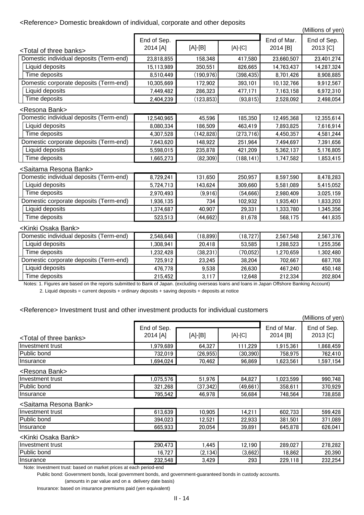## <Reference> Domestic breakdown of individual, corporate and other deposits

(Millions of yen)

Notes: 1. Figures are based on the reports submitted to Bank of Japan. (excluding overseas loans and loans in Japan Offshore Banking Account) 2. Liquid deposits = current deposits + ordinary deposits + saving deposits + deposits at notice

### <Reference> Investment trust and other investment products for individual customers

|                                                                                                                                               | End of Sep. |            |            | End of Mar. | End of Sep. |  |
|-----------------------------------------------------------------------------------------------------------------------------------------------|-------------|------------|------------|-------------|-------------|--|
| <total banks="" of="" three=""></total>                                                                                                       | 2014 [A]    | $[A]-[B]$  | $[A]-[C]$  | 2014 [B]    | 2013 [C]    |  |
| Domestic individual deposits (Term-end)                                                                                                       | 23,818,855  | 158,348    | 417,580    | 23,660,507  | 23,401,274  |  |
| Liquid deposits                                                                                                                               | 15,113,989  | 350,551    | 826,665    | 14,763,437  | 14,287,324  |  |
| Time deposits                                                                                                                                 | 8,510,449   | (190, 976) | (398, 435) | 8,701,426   | 8,908,885   |  |
| Domestic corporate deposits (Term-end)                                                                                                        | 10,305,669  | 172,902    | 393,101    | 10,132,766  | 9,912,567   |  |
| Liquid deposits                                                                                                                               | 7,449,482   | 286,323    | 477,171    | 7,163,158   | 6,972,310   |  |
| Time deposits                                                                                                                                 | 2,404,239   | (123, 853) | (93, 815)  | 2,528,092   | 2,498,054   |  |
| <resona bank=""></resona>                                                                                                                     |             |            |            |             |             |  |
| Domestic individual deposits (Term-end)                                                                                                       | 12,540,965  | 45,596     | 185,350    | 12,495,368  | 12,355,614  |  |
| Liquid deposits                                                                                                                               | 8,080,334   | 186,509    | 463,419    | 7,893,825   | 7,616,914   |  |
| Time deposits                                                                                                                                 | 4,307,528   | (142, 828) | (273, 716) | 4,450,357   | 4,581,244   |  |
| Domestic corporate deposits (Term-end)                                                                                                        | 7,643,620   | 148,922    | 251,964    | 7,494,697   | 7,391,656   |  |
| Liquid deposits                                                                                                                               | 5,598,015   | 235,878    | 421,209    | 5,362,137   | 5,176,805   |  |
| Time deposits                                                                                                                                 | 1,665,273   | (82, 309)  | (188, 141) | 1,747,582   | 1,853,415   |  |
| <saitama bank="" resona=""></saitama>                                                                                                         |             |            |            |             |             |  |
| Domestic individual deposits (Term-end)                                                                                                       | 8,729,241   | 131,650    | 250,957    | 8,597,590   | 8,478,283   |  |
| Liquid deposits                                                                                                                               | 5,724,713   | 143,624    | 309,660    | 5,581,089   | 5,415,052   |  |
| Time deposits                                                                                                                                 | 2,970,493   | (9,916)    | (54,666)   | 2,980,409   | 3,025,159   |  |
| Domestic corporate deposits (Term-end)                                                                                                        | 1,936,135   | 734        | 102,932    | 1,935,401   | 1,833,203   |  |
| Liquid deposits                                                                                                                               | 1,374,687   | 40,907     | 29,331     | 1,333,780   | 1,345,356   |  |
| Time deposits                                                                                                                                 | 523,513     | (44, 662)  | 81,678     | 568,175     | 441,835     |  |
| <kinki bank="" osaka=""></kinki>                                                                                                              |             |            |            |             |             |  |
| Domestic individual deposits (Term-end)                                                                                                       | 2,548,648   | (18, 899)  | (18, 727)  | 2,567,548   | 2,567,376   |  |
| Liquid deposits                                                                                                                               | 1,308,941   | 20,418     | 53,585     | 1,288,523   | 1,255,356   |  |
| Time deposits                                                                                                                                 | 1,232,428   | (38, 231)  | (70,052)   | 1,270,659   | 1,302,480   |  |
| Domestic corporate deposits (Term-end)                                                                                                        | 725,912     | 23,245     | 38,204     | 702,667     | 687,708     |  |
| Liquid deposits                                                                                                                               | 476,778     | 9,538      | 26,630     | 467,240     | 450,148     |  |
| Time deposits                                                                                                                                 | 215,452     | 3,117      | 12,648     | 212,334     | 202,804     |  |
| Notes: 1. Figures are based on the reports submitted to Rapk of Japan. (evoluding overseas leans and leans in Japan Offshore Rapking Account) |             |            |            |             |             |  |

<Resona Bank>

### <Saitama Resona Bank>

### <Kinki Osaka Bank>

| Investment trust       | .075,576    | 51,976    | 84,827                      | .023,599 | 990,748 |
|------------------------|-------------|-----------|-----------------------------|----------|---------|
| <b>Public</b><br>⊹bond | .268<br>321 | (37, 342) | .661)<br>$\left( 49\right)$ | 358,611  | 370,929 |
| Insurance              | 795,542     | 46,978    | 56,684                      | 748,564  | 738,858 |

Note: Investment trust: based on market prices at each period-end

|                                         |             |           |           |             | (Millions of yen) |
|-----------------------------------------|-------------|-----------|-----------|-------------|-------------------|
|                                         | End of Sep. |           |           | End of Mar. | End of Sep.       |
| <total banks="" of="" three=""></total> | 2014 [A]    | $[A]-[B]$ | $[A]-[C]$ | $2014$ [B]  | $2013$ [C]        |
| Investment trust                        | .979,689    | 64.327    | 111,229   | 1,915,361   | 1,868,459         |
| Public bond                             | 732,019     | (26.955)  | (30, 390) | 758,975     | 762,410           |
| <b>Insurance</b>                        | ,694,024    | 70,462    | 96,869    | 1,623,561   | 1,597,154         |

Public bond: Government bonds, local government bonds, and government-guaranteed bonds in custody accounts.

| Investment trust   | 613,639     | 10,905       | .4.21  | ר פר<br>602,733 | 599,428     |
|--------------------|-------------|--------------|--------|-----------------|-------------|
| <b>Public bond</b> | .023<br>394 | 2,521<br>1 ∩ | 22,933 | 381,501         | ,089<br>371 |
| Insurance          | 665,933     | 20,054       | 39,891 | 645,878         | 626,041     |

(amounts in par value and on a delivery date basis)

| Investment trust   | 290,473                       | .445           | 12.190  | 289,027 | 278,282 |
|--------------------|-------------------------------|----------------|---------|---------|---------|
| <b>Public bond</b> | 707<br>$\epsilon$<br>v.<br>12 | (2, 134)<br>╮◟ | (3,662) | 18,862  | 20,390  |
| <b>Insurance</b>   | 232,548                       | 3,429          | 293     | 229,118 | 232,254 |

Insurance: based on insurance premiums paid (yen equivalent)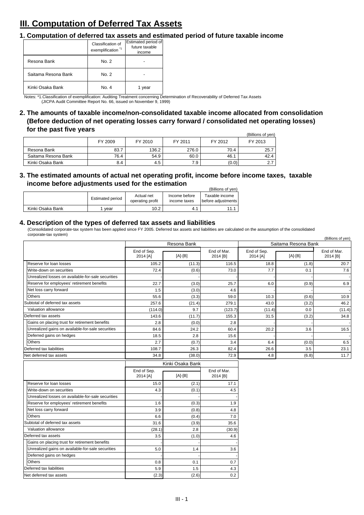## **III. Computation of Deferred Tax Assets**

### **1. Computation of deferred tax assets and estimated period of future taxable income**

### **4. Description of the types of deferred tax assets and liabilities**

|                                                    |                         |                  |                         |                         |                     | (Billions of yen)       |
|----------------------------------------------------|-------------------------|------------------|-------------------------|-------------------------|---------------------|-------------------------|
|                                                    | Resona Bank             |                  |                         |                         | Saitama Resona Bank |                         |
|                                                    | End of Sep.<br>2014 [A] | $[A]-[B]$        | End of Mar.<br>2014 [B] | End of Sep.<br>2014 [A] | $[A]-[B]$           | End of Mar.<br>2014 [B] |
| Reserve for loan losses                            | 105.2                   | (11.3)           | 116.5                   | 18.8                    | (1.8)               | 20.7                    |
| Write-down on securities                           | 72.4                    | (0.6)            | 73.0                    | 7.7                     | 0.1                 | 7.6                     |
| Unrealized losses on available-for-sale securities |                         |                  |                         |                         |                     |                         |
| Reserve for employees' retirement benefits         | 22.7                    | (3.0)            | 25.7                    | 6.0                     | (0.9)               | 6.9                     |
| Net loss carry forward                             | 1.5                     | (3.0)            | 4.6                     |                         |                     |                         |
| <b>Others</b>                                      | 55.6                    | (3.3)            | 59.0                    | 10.3                    | (0.6)               | 10.9                    |
| Subtotal of deferred tax assets                    | 257.6                   | (21.4)           | 279.1                   | 43.0                    | (3.2)               | 46.2                    |
| Valuation allowance                                | (114.0)                 | 9.7              | (123.7)                 | (11.4)                  | 0.0                 | (11.4)                  |
| Deferred tax assets                                | 143.6                   | (11.7)           | 155.3                   | 31.5                    | (3.2)               | 34.8                    |
| Gains on placing trust for retirement benefits     | 2.8                     | (0.0)            | 2.8                     |                         |                     |                         |
| Unrealized gains on available-for-sale securities  | 84.6                    | 24.2             | 60.4                    | 20.2                    | 3.6                 | 16.5                    |
| Deferred gains on hedges                           | 18.5                    | 2.8              | 15.6                    |                         |                     |                         |
| <b>Others</b>                                      | 2.7                     | (0.7)            | 3.4                     | 6.4                     | (0.0)               | 6.5                     |
| Deferred tax liabilities                           | 108.7                   | 26.3             | 82.4                    | 26.6                    | 3.5                 | 23.1                    |
| Net deferred tax assets                            | 34.8                    | (38.0)           | 72.9                    | 4.8                     | (6.8)               | 11.7                    |
|                                                    |                         | Kinki Osaka Bank |                         |                         |                     |                         |
|                                                    | End of Sep.<br>2014 [A] | $[A]-[B]$        | End of Mar.<br>2014 [B] |                         |                     |                         |
| Reserve for loan losses                            | 15.0                    | (2.1)            | 17.1                    |                         |                     |                         |

| Write-down on securities                           | 4.3    | (0.1) | 4.5    |
|----------------------------------------------------|--------|-------|--------|
| Unrealized losses on available-for-sale securities |        |       |        |
| Reserve for employees' retirement benefits         | 1.6    | (0.3) | 1.9    |
| Net loss carry forward                             | 3.9    | (0.8) | 4.8    |
| <b>Others</b>                                      | 6.6    | (0.4) | 7.0    |
| Subtotal of deferred tax assets                    | 31.6   | (3.9) | 35.6   |
| Valuation allowance                                | (28.1) | 2.8   | (30.9) |
| Deferred tax assets                                | 3.5    | (1.0) | 4.6    |
| Gains on placing trust for retirement benefits     |        |       |        |
| Unrealized gains on available-for-sale securities  | 5.0    | 1.4   | 3.6    |
| Deferred gains on hedges                           |        |       |        |
| <b>Others</b>                                      | 0.8    | 0.1   | 0.7    |
| Deferred tax liabilities                           | 5.9    | 1.5   | 4.3    |
| Net deferred tax assets                            | (2.3)  | (2.6) | 0.2    |

|                  |                  |                                |                               | (Billions of yen)                    |
|------------------|------------------|--------------------------------|-------------------------------|--------------------------------------|
|                  | Estimated period | Actual net<br>operating profit | Income before<br>income taxes | Taxable income<br>before adjustments |
| Kinki Osaka Bank | vear             | 10.2                           | 4.1                           | 11 1                                 |

|                     |         |         |         |         | (Billions of yen)   |
|---------------------|---------|---------|---------|---------|---------------------|
|                     | FY 2009 | FY 2010 | FY 2011 | FY 2012 | FY 2013             |
| Resona Bank         | 83.7    | 136.2   | 276.0   | 70.4    | 25.7                |
| Saitama Resona Bank | 76.4    | 54.9    | 60.0    | 46.1    | 42.4                |
| Kinki Osaka Bank    | 8.4     | 4.5     | 7.9     | (0.0)   | $\sim$ $\sim$<br>Ζ. |

(Consolidated corporate-tax system has been applied since FY 2005. Deferred tax assets and liabilities are calculated on the assumption of the consolidated corporate-tax system)

|                     | Classification of<br>exemplification <sup>*1</sup> | Estimated period of<br>future taxable<br>income |
|---------------------|----------------------------------------------------|-------------------------------------------------|
| Resona Bank         | No. 2                                              |                                                 |
| Saitama Resona Bank | No. 2                                              |                                                 |
| Kinki Osaka Bank    | No. 4                                              | 1 year                                          |

### **3. The estimated amounts of actual net operating profit, income before income taxes, taxable income before adjustments used for the estimation**

Notes: \*1.Classification of exemplification: Auditing Treatment concerning Determination of Recoverability of Deferred Tax Assets (JICPA Audit Committee Report No. 66, issued on November 9, 1999)

## **2. The amounts of taxable income/non-consolidated taxable income allocated from consolidation (Before deduction of net operating losses carry forward / consolidated net operating losses) for the past five years**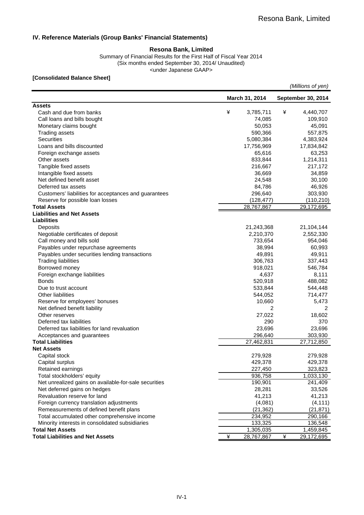### **IV. Reference Materials (Group Banks' Financial Statements)**

#### **Resona Bank, Limited**

<under Japanese GAAP> Summary of Financial Results for the First Half of Fiscal Year 2014 (Six months ended September 30, 2014/ Unaudited)

#### **[Consolidated Balance Sheet]**

| (Millions of yen) |  |
|-------------------|--|
|                   |  |

|                                                       |   | March 31, 2014 |   | September 30, 2014 |
|-------------------------------------------------------|---|----------------|---|--------------------|
| <b>Assets</b>                                         |   |                |   |                    |
| Cash and due from banks                               | ¥ | 3,785,711      | ¥ | 4,440,707          |
| Call loans and bills bought                           |   | 74,085         |   | 109,910            |
| Monetary claims bought                                |   | 50,053         |   | 45,091             |
| <b>Trading assets</b>                                 |   | 590,366        |   | 557,875            |
| <b>Securities</b>                                     |   | 5,080,384      |   | 4,383,924          |
| Loans and bills discounted                            |   | 17,756,969     |   | 17,834,842         |
| Foreign exchange assets                               |   | 65,616         |   | 63,253             |
| Other assets                                          |   | 833,844        |   | 1,214,311          |
| Tangible fixed assets                                 |   | 216,667        |   | 217,172            |
| Intangible fixed assets                               |   | 36,669         |   | 34,859             |
| Net defined benefit asset                             |   | 24,548         |   | 30,100             |
| Deferred tax assets                                   |   | 84,786         |   | 46,926             |
| Customers' liabilities for acceptances and guarantees |   | 296,640        |   | 303,930            |
| Reserve for possible loan losses                      |   | (128, 477)     |   | (110, 210)         |
| <b>Total Assets</b>                                   |   | 28,767,867     |   | 29,172,695         |
| <b>Liabilities and Net Assets</b>                     |   |                |   |                    |
| <b>Liabilities</b>                                    |   |                |   |                    |
| Deposits                                              |   | 21,243,368     |   | 21,104,144         |
| Negotiable certificates of deposit                    |   | 2,210,370      |   | 2,552,330          |
| Call money and bills sold                             |   | 733,654        |   | 954,046            |
| Payables under repurchase agreements                  |   | 38,994         |   | 60,993             |
| Payables under securities lending transactions        |   | 49,891         |   | 49,911             |
| <b>Trading liabilities</b>                            |   | 306,763        |   | 337,443            |
| Borrowed money                                        |   | 918,021        |   | 546,784            |
| Foreign exchange liabilities                          |   | 4,637          |   | 8,111              |
| <b>Bonds</b>                                          |   | 520,918        |   | 488,082            |
| Due to trust account                                  |   | 533,844        |   | 544,448            |
| <b>Other liabilities</b>                              |   | 544,052        |   | 714,477            |
| Reserve for employees' bonuses                        |   | 10,660         |   | 5,473              |
| Net defined benefit liability                         |   | 2              |   | 2                  |
| Other reserves                                        |   | 27,022         |   | 18,602             |
| Deferred tax liabilities                              |   | 290            |   | 370                |
| Deferred tax liabilities for land revaluation         |   | 23,696         |   | 23,696             |
| Acceptances and guarantees                            |   | 296,640        |   | 303,930            |
| <b>Total Liabilities</b>                              |   | 27,462,831     |   | 27,712,850         |
| <b>Net Assets</b>                                     |   |                |   |                    |
| Capital stock                                         |   | 279,928        |   | 279,928            |
| Capital surplus                                       |   | 429,378        |   | 429,378            |
| Retained earnings                                     |   | 227,450        |   | 323,823            |
| Total stockholders' equity                            |   | 936,758        |   | 1,033,130          |
| Net unrealized gains on available-for-sale securities |   | 190,901        |   | 241,409            |
| Net deferred gains on hedges                          |   | 28,281         |   | 33,526             |
| Revaluation reserve for land                          |   | 41,213         |   | 41,213             |
| Foreign currency translation adjustments              |   | (4,081)        |   | (4, 111)           |
| Remeasurements of defined benefit plans               |   | (21, 362)      |   | (21, 871)          |
| Total accumulated other comprehensive income          |   | 234,952        |   | 290,166            |
| Minority interests in consolidated subsidiaries       |   | 133,325        |   | 136,548            |
| <b>Total Net Assets</b>                               |   | 1,305,035      |   | 1,459,845          |
| <b>Total Liabilities and Net Assets</b>               | ¥ | 28,767,867     | ¥ | 29,172,695         |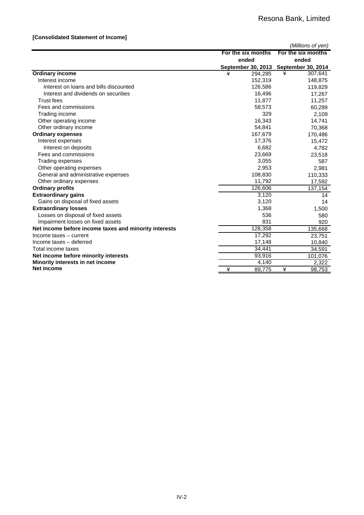### **[Consolidated Statement of Income]**

|                                                       |                           | (Millions of yen)  |
|-------------------------------------------------------|---------------------------|--------------------|
|                                                       | For the six months        | For the six months |
|                                                       | ended                     | ended              |
|                                                       | <b>September 30, 2013</b> | September 30, 2014 |
| <b>Ordinary income</b>                                | ¥<br>294,285              | ¥<br>307,641       |
| Interest income                                       | 152,319                   | 148,875            |
| Interest on loans and bills discounted                | 126,586                   | 119,829            |
| Interest and dividends on securities                  | 16,496                    | 17,267             |
| Trust fees                                            | 11,877                    | 11,257             |
| Fees and commissions                                  | 58,573                    | 60,289             |
| Trading income                                        | 329                       | 2,109              |
| Other operating income                                | 16,343                    | 14,741             |
| Other ordinary income                                 | 54,841                    | 70,368             |
| <b>Ordinary expenses</b>                              | 167,679                   | 170,486            |
| Interest expenses                                     | 17,376                    | 15,472             |
| Interest on deposits                                  | 6,682                     | 4,782              |
| Fees and commissions                                  | 23,669                    | 23,518             |
| Trading expenses                                      | 3,055                     | 587                |
| Other operating expenses                              | 2,953                     | 2,981              |
| General and administrative expenses                   | 108,830                   | 110,333            |
| Other ordinary expenses                               | 11,792                    | 17,592             |
| <b>Ordinary profits</b>                               | 126,606                   | 137,154            |
| <b>Extraordinary gains</b>                            | 3,120                     | 14                 |
| Gains on disposal of fixed assets                     | 3,120                     | 14                 |
| <b>Extraordinary losses</b>                           | 1,368                     | 1,500              |
| Losses on disposal of fixed assets                    | 536                       | 580                |
| Impairment losses on fixed assets                     | 831                       | 920                |
| Net income before income taxes and minority interests | 128,358                   | 135,668            |
| Income taxes - current                                | 17,292                    | 23,751             |
| Income taxes - deferred                               | 17,148                    | 10,840             |
| Total income taxes                                    | 34,441                    | 34,591             |
| Net income before minority interests                  | 93,916                    | 101,076            |
| Minority interests in net income                      | 4,140                     | 2,322              |
| Net income                                            | ¥<br>89.775               | ¥<br>98,753        |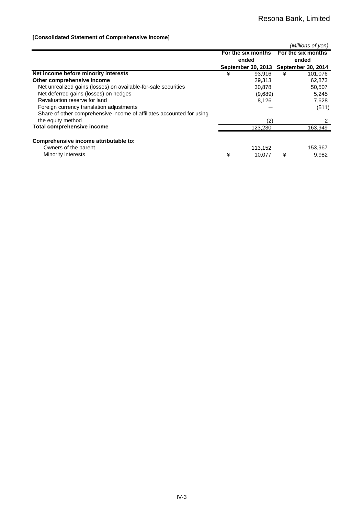### **[Consolidated Statement of Comprehensive Income]**

|                                                                       |   |                    |   | (Millions of yen)                     |
|-----------------------------------------------------------------------|---|--------------------|---|---------------------------------------|
|                                                                       |   | For the six months |   | For the six months                    |
|                                                                       |   | ended              |   | ended                                 |
|                                                                       |   |                    |   | September 30, 2013 September 30, 2014 |
| Net income before minority interests                                  | ¥ | 93.916             | ¥ | 101,076                               |
| Other comprehensive income                                            |   | 29,313             |   | 62,873                                |
| Net unrealized gains (losses) on available-for-sale securities        |   | 30,878             |   | 50,507                                |
| Net deferred gains (losses) on hedges                                 |   | (9,689)            |   | 5,245                                 |
| Revaluation reserve for land                                          |   | 8.126              |   | 7,628                                 |
| Foreign currency translation adjustments                              |   |                    |   | (511)                                 |
| Share of other comprehensive income of affiliates accounted for using |   |                    |   |                                       |
| the equity method                                                     |   | (2)                |   | 2                                     |
| <b>Total comprehensive income</b>                                     |   | 123,230            |   | 163,949                               |
| Comprehensive income attributable to:                                 |   |                    |   |                                       |
| Owners of the parent                                                  |   |                    |   |                                       |
|                                                                       |   | 113,152            |   | 153,967                               |
| Minority interests                                                    | ¥ | 10.077             | ¥ | 9,982                                 |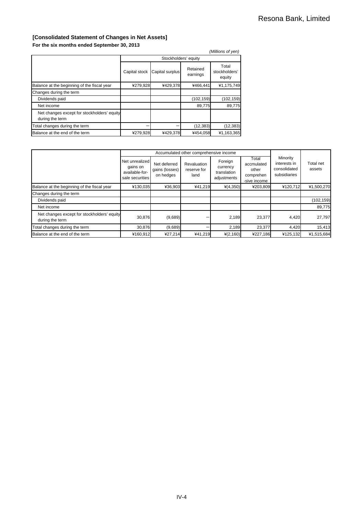### **[Consolidated Statement of Changes in Net Assets] For the six months ended September 30, 2013**

| (Millions of yen)                                              |               |                      |                      |                                  |  |  |
|----------------------------------------------------------------|---------------|----------------------|----------------------|----------------------------------|--|--|
|                                                                |               | Stockholders' equity |                      |                                  |  |  |
|                                                                | Capital stock | Capital surplus      | Retained<br>earnings | Total<br>stockholders'<br>equity |  |  |
| Balance at the beginning of the fiscal year                    | ¥279,928      | ¥429,378             | ¥466.441             | ¥1,175,749                       |  |  |
| Changes during the term                                        |               |                      |                      |                                  |  |  |
| Dividends paid                                                 |               |                      | (102, 159)           | (102, 159)                       |  |  |
| Net income                                                     |               |                      | 89,775               | 89,775                           |  |  |
| Net changes except for stockholders' equity<br>during the term |               |                      |                      |                                  |  |  |
| Total changes during the term                                  |               |                      | (12, 383)            | (12, 383)                        |  |  |
| Balance at the end of the term                                 | ¥279,928      | ¥429,378             | ¥454,058             | ¥1,163,365                       |  |  |

|                                                                |                                                                 | Accumulated other comprehensive income      |                                           |                                                   |                                                           |                                                          |                     |
|----------------------------------------------------------------|-----------------------------------------------------------------|---------------------------------------------|-------------------------------------------|---------------------------------------------------|-----------------------------------------------------------|----------------------------------------------------------|---------------------|
|                                                                | Net unrealized<br>gains on<br>available-for-<br>sale securities | Net deferred<br>gains (losses)<br>on hedges | <b>Revaluation</b><br>reserve for<br>land | Foreign<br>currency<br>translation<br>adjustments | Гоtal<br>accmulated<br>other<br>comprehen<br>-sive income | Minority<br>interests in<br>consolidated<br>subsidiaries | Total net<br>assets |
| Balance at the beginning of the fiscal year                    | ¥130,035                                                        | ¥36,903                                     | ¥41,219                                   | $*(4,350)$                                        | ¥203,809                                                  | ¥120,712                                                 | ¥1,500,270          |
| Changes during the term                                        |                                                                 |                                             |                                           |                                                   |                                                           |                                                          |                     |
| Dividends paid                                                 |                                                                 |                                             |                                           |                                                   |                                                           |                                                          | (102, 159)          |
| Net income                                                     |                                                                 |                                             |                                           |                                                   |                                                           |                                                          | 89,775              |
| Net changes except for stockholders' equity<br>during the term | 30,876                                                          | (9,689)                                     |                                           | 2,189                                             | 23,377                                                    | 4,420                                                    | 27,797              |
| Total changes during the term                                  | 30,876                                                          | (9,689)                                     |                                           | 2.189                                             | 23,377                                                    | 4,420                                                    | 15.413              |
| Balance at the end of the term                                 | ¥160.912                                                        | ¥27,214                                     | ¥41,219                                   | ¥(2,160)                                          | ¥227,186                                                  | ¥125,132                                                 | ¥1,515,684          |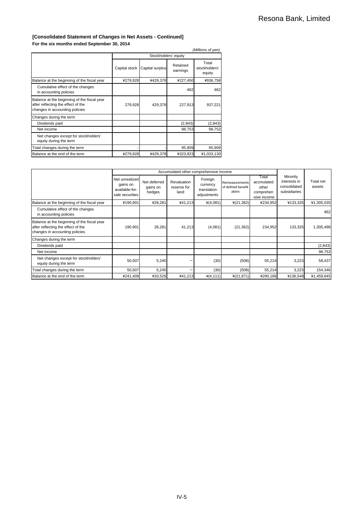#### **[Consolidated Statement of Changes in Net Assets - Continued] For the six months ended September 30, 2014**

|                                                                                                                     |               |                      |                      | (Millions of yen)                |
|---------------------------------------------------------------------------------------------------------------------|---------------|----------------------|----------------------|----------------------------------|
|                                                                                                                     |               | Stockholders' equity |                      |                                  |
|                                                                                                                     | Capital stock | Capital surplus      | Retained<br>earnings | Total<br>stockholders'<br>equity |
| Balance at the beginning of the fiscal year                                                                         | ¥279,928      | ¥429,378             | ¥227,450             | ¥936,758                         |
| Cumulative effect of the changes<br>in accounting policies                                                          |               |                      | 462                  | 462                              |
| Balance at the beginning of the fiscal year<br>after reflecting the effect of the<br>changes in accounting policies | 279,928       | 429,378              | 227,913              | 937,221                          |
| Changes during the term                                                                                             |               |                      |                      |                                  |
| Dividends paid                                                                                                      |               |                      | (2,843)              | (2, 843)                         |
| Net income                                                                                                          |               |                      | 98,753               | 98,753                           |
| Net changes except for stockholders'<br>equity during the term                                                      |               |                      |                      |                                  |
| Total changes during the term                                                                                       |               |                      | 95,909               | 95,909                           |
| Balance at the end of the term                                                                                      | ¥279,928      | ¥429.378             | ¥323,823             | ¥1,033,130                       |

|                                                                                                                     |                                                                 |                                    | Accumulated other comprehensive income |                                                   |                                               |                                                           |                                                          |                     |
|---------------------------------------------------------------------------------------------------------------------|-----------------------------------------------------------------|------------------------------------|----------------------------------------|---------------------------------------------------|-----------------------------------------------|-----------------------------------------------------------|----------------------------------------------------------|---------------------|
|                                                                                                                     | Net unrealized<br>gains on<br>available-for-<br>sale securities | Net deferred<br>gains on<br>hedges | Revaluation<br>reserve for<br>land     | Foreign<br>currency<br>translation<br>adjustments | Remeasurements<br>of defined benefit<br>plans | Total<br>accmulated<br>other<br>comprehen<br>-sive income | Minority<br>interests in<br>consolidated<br>subsidiaries | Total net<br>assets |
| Balance at the beginning of the fiscal year                                                                         | ¥190,901                                                        | ¥28,281                            | ¥41,213                                | $*(4,081)$                                        | ¥(21,362)                                     | ¥234,952                                                  | ¥133,325                                                 | ¥1,305,035          |
| Cumulative effect of the changes<br>in accounting policies                                                          |                                                                 |                                    |                                        |                                                   |                                               |                                                           |                                                          | 462                 |
| Balance at the beginning of the fiscal year<br>after reflecting the effect of the<br>changes in accounting policies | 190,901                                                         | 28,281                             | 41,213                                 | (4,081)                                           | (21, 362)                                     | 234,952                                                   | 133,325                                                  | 1,305,498           |
| Changes during the term                                                                                             |                                                                 |                                    |                                        |                                                   |                                               |                                                           |                                                          |                     |
| Dividends paid                                                                                                      |                                                                 |                                    |                                        |                                                   |                                               |                                                           |                                                          | (2,843)             |
| Net income                                                                                                          |                                                                 |                                    |                                        |                                                   |                                               |                                                           |                                                          | 98,753              |
| Net changes except for stockholders'<br>equity during the term                                                      | 50,507                                                          | 5,245                              |                                        | (30)                                              | (508)                                         | 55,214                                                    | 3,223                                                    | 58,437              |
| Total changes during the term                                                                                       | 50,507                                                          | 5,245                              |                                        | (30)                                              | (508)                                         | 55,214                                                    | 3,223                                                    | 154,346             |
| Balance at the end of the term                                                                                      | ¥241,409                                                        | ¥33,526                            | ¥41,213                                | $*(4, 111)$                                       | ¥(21,871)                                     | ¥290,166                                                  | ¥136,548                                                 | ¥1,459,845          |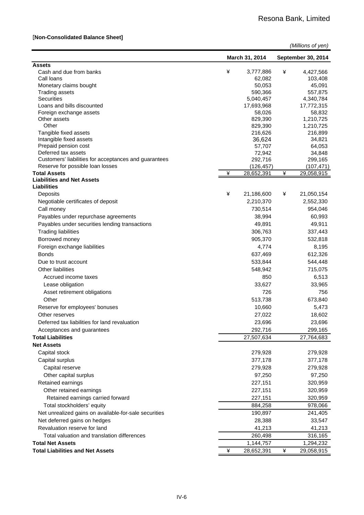### [**Non-Consolidated Balance Sheet]**

|                                                                              | (Millions of yen) |                     |   |                       |
|------------------------------------------------------------------------------|-------------------|---------------------|---|-----------------------|
|                                                                              |                   | March 31, 2014      |   | September 30, 2014    |
| <b>Assets</b><br>Cash and due from banks                                     | ¥                 |                     | ¥ | 4,427,566             |
| Call loans                                                                   |                   | 3,777,886<br>62,082 |   | 103,408               |
| Monetary claims bought                                                       |                   | 50,053              |   | 45,091                |
| <b>Trading assets</b>                                                        |                   | 590,366             |   | 557,875               |
| <b>Securities</b>                                                            |                   | 5,040,457           |   | 4,340,784             |
| Loans and bills discounted                                                   |                   | 17,693,968          |   | 17,772,315            |
| Foreign exchange assets                                                      |                   | 58,026              |   | 58,832                |
| Other assets                                                                 |                   | 829,390             |   | 1,210,725             |
| Other                                                                        |                   | 829,390             |   | 1,210,725             |
| Tangible fixed assets                                                        |                   | 216,626             |   | 216,899               |
| Intangible fixed assets                                                      |                   | 36,624              |   | 34,821                |
| Prepaid pension cost                                                         |                   | 57,707              |   | 64,053                |
| Deferred tax assets<br>Customers' liabilities for acceptances and guarantees |                   | 72,942<br>292,716   |   | 34,848                |
| Reserve for possible loan losses                                             |                   | (126,457)           |   | 299,165<br>(107, 471) |
| <b>Total Assets</b>                                                          | ¥                 | 28,652,391          | ¥ | 29,058,915            |
| <b>Liabilities and Net Assets</b>                                            |                   |                     |   |                       |
| Liabilities                                                                  |                   |                     |   |                       |
| Deposits                                                                     | ¥                 | 21,186,600          | ¥ | 21,050,154            |
| Negotiable certificates of deposit                                           |                   | 2,210,370           |   | 2,552,330             |
| Call money                                                                   |                   | 730,514             |   | 954,046               |
| Payables under repurchase agreements                                         |                   | 38,994              |   | 60,993                |
| Payables under securities lending transactions                               |                   | 49,891              |   | 49,911                |
| <b>Trading liabilities</b>                                                   |                   | 306,763             |   | 337,443               |
| Borrowed money                                                               |                   | 905,370             |   | 532,818               |
| Foreign exchange liabilities                                                 |                   | 4,774               |   | 8,195                 |
| <b>Bonds</b>                                                                 |                   | 637,469             |   | 612,326               |
| Due to trust account                                                         |                   | 533,844             |   | 544,448               |
| <b>Other liabilities</b>                                                     |                   | 548,942             |   | 715,075               |
| Accrued income taxes                                                         |                   | 850                 |   | 6,513                 |
| Lease obligation                                                             |                   | 33,627              |   | 33,965                |
| Asset retirement obligations                                                 |                   | 726                 |   | 756                   |
| Other                                                                        |                   |                     |   |                       |
|                                                                              |                   | 513,738             |   | 673,840               |
| Reserve for employees' bonuses                                               |                   | 10,660              |   | 5,473                 |
| Other reserves                                                               |                   | 27,022              |   | 18,602                |
| Deferred tax liabilities for land revaluation                                |                   | 23,696              |   | 23,696                |
| Acceptances and guarantees                                                   |                   | 292,716             |   | 299,165               |
| <b>Total Liabilities</b>                                                     |                   | 27,507,634          |   | 27,764,683            |
| <b>Net Assets</b>                                                            |                   |                     |   |                       |
| Capital stock                                                                |                   | 279,928             |   | 279,928               |
| Capital surplus                                                              |                   | 377,178             |   | 377,178               |
| Capital reserve                                                              |                   | 279,928             |   | 279,928               |
| Other capital surplus                                                        |                   | 97,250              |   | 97,250                |
| Retained earnings                                                            |                   | 227,151             |   | 320,959               |
| Other retained earnings                                                      |                   | 227,151             |   | 320,959               |
| Retained earnings carried forward                                            |                   | 227,151             |   | 320,959               |
| Total stockholders' equity                                                   |                   | 884,258             |   | 978,066               |
| Net unrealized gains on available-for-sale securities                        |                   | 190,897             |   | 241,405               |
| Net deferred gains on hedges                                                 |                   | 28,388              |   | 33,547                |
| Revaluation reserve for land                                                 |                   | 41,213              |   | 41,213                |
| Total valuation and translation differences                                  |                   | 260,498             |   | 316,165               |
| <b>Total Net Assets</b>                                                      |                   | 1,144,757           |   | 1,294,232             |
| <b>Total Liabilities and Net Assets</b>                                      | ¥                 | 28,652,391          | ¥ | 29,058,915            |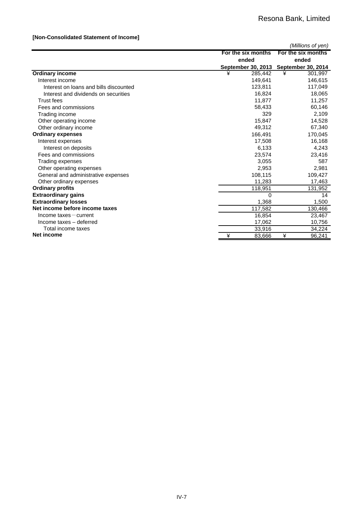### **[Non-Consolidated Statement of Income]**

|                                        |                           | (Millions of yen)         |
|----------------------------------------|---------------------------|---------------------------|
|                                        | For the six months        | For the six months        |
|                                        | ended                     | ended                     |
|                                        | <b>September 30, 2013</b> | <b>September 30, 2014</b> |
| <b>Ordinary income</b>                 | 285,442<br>¥              | ¥<br>301,997              |
| Interest income                        | 149.641                   | 146,615                   |
| Interest on loans and bills discounted | 123,811                   | 117,049                   |
| Interest and dividends on securities   | 16,824                    | 18,065                    |
| <b>Trust fees</b>                      | 11,877                    | 11,257                    |
| Fees and commissions                   | 58,433                    | 60,146                    |
| Trading income                         | 329                       | 2,109                     |
| Other operating income                 | 15,847                    | 14,528                    |
| Other ordinary income                  | 49,312                    | 67,340                    |
| <b>Ordinary expenses</b>               | 166,491                   | 170,045                   |
| Interest expenses                      | 17,508                    | 16,168                    |
| Interest on deposits                   | 6,133                     | 4,243                     |
| Fees and commissions                   | 23,574                    | 23,416                    |
| Trading expenses                       | 3.055                     | 587                       |
| Other operating expenses               | 2,953                     | 2,981                     |
| General and administrative expenses    | 108,115                   | 109,427                   |
| Other ordinary expenses                | 11,283                    | 17,463                    |
| <b>Ordinary profits</b>                | 118,951                   | 131,952                   |
| <b>Extraordinary gains</b>             | 0                         | 14                        |
| <b>Extraordinary losses</b>            | 1,368                     | 1,500                     |
| Net income before income taxes         | 117,582                   | 130,466                   |
| $Income$ taxes $-$ current             | 16,854                    | 23,467                    |
| Income taxes - deferred                | 17,062                    | 10,756                    |
| Total income taxes                     | 33,916                    | 34,224                    |
| Net income                             | ¥<br>83,666               | ¥<br>96,241               |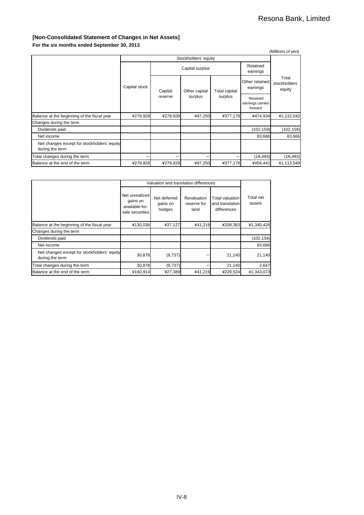### **[Non-Consolidated Statement of Changes in Net Assets]**

**For the six months ended September 30, 2013**

|                                                                |               |          |                      |                                 |                                         | (Millions of yen)                |
|----------------------------------------------------------------|---------------|----------|----------------------|---------------------------------|-----------------------------------------|----------------------------------|
|                                                                |               |          |                      |                                 |                                         |                                  |
|                                                                |               |          | Retained<br>earnings |                                 |                                         |                                  |
|                                                                | Capital stock | Capital  | Other capital        | <b>Total capital</b><br>surplus | Other retained<br>earnings              | Total<br>stockholders'<br>equity |
|                                                                |               | reserve  | surplus              |                                 | Retained<br>earnings carried<br>forward |                                  |
| Balance at the beginning of the fiscal year                    | ¥279,928      | ¥279,928 | ¥97,250              | ¥377,178                        | ¥474,934                                | ¥1,132,042                       |
| Changes during the term                                        |               |          |                      |                                 |                                         |                                  |
| Dividends paid                                                 |               |          |                      |                                 | (102, 159)                              | (102, 159)                       |
| Net income                                                     |               |          |                      |                                 | 83,666                                  | 83,666                           |
| Net changes except for stockholders' equity<br>during the term |               |          |                      |                                 |                                         |                                  |
| Total changes during the term                                  |               |          |                      |                                 | (18, 493)                               | (18, 493)                        |
| Balance at the end of the term                                 | ¥279,928      | ¥279,928 | ¥97,250              | ¥377,178                        | ¥456,441                                | ¥1,113,549                       |

|                                                                |                                                                 | Valuation and translation differences |                                    |                                                   |                     |
|----------------------------------------------------------------|-----------------------------------------------------------------|---------------------------------------|------------------------------------|---------------------------------------------------|---------------------|
|                                                                | Net unrealized<br>gains on<br>available-for-<br>sale securities | Net deferred<br>gains on<br>hedges    | Revaluation<br>reserve for<br>land | Total valuation<br>and translation<br>differences | Total net<br>assets |
| Balance at the beginning of the fiscal year                    | ¥130,036                                                        | ¥37,127                               | ¥41,219                            | ¥208,383                                          | ¥1,340,426          |
| Changes during the term                                        |                                                                 |                                       |                                    |                                                   |                     |
| Dividends paid                                                 |                                                                 |                                       |                                    |                                                   | (102, 159)          |
| Net income                                                     |                                                                 |                                       |                                    |                                                   | 83,666              |
| Net changes except for stockholders' equity<br>during the term | 30,878                                                          | (9,737)                               |                                    | 21,140                                            | 21,140              |
| Total changes during the term                                  | 30,878                                                          | (9,737)                               |                                    | 21,140                                            | 2,647               |
| Balance at the end of the term                                 | ¥160,914                                                        | ¥27,389                               | ¥41.219                            | ¥229,524                                          | ¥1,343,073          |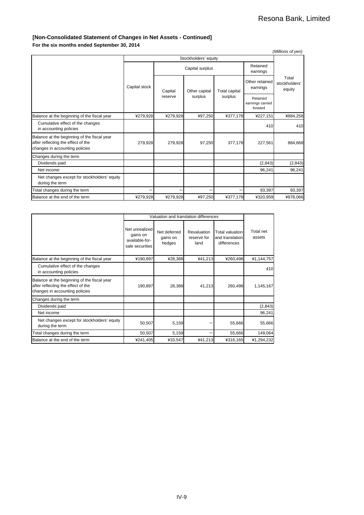### **[Non-Consolidated Statement of Changes in Net Assets - Continued]**

**For the six months ended September 30, 2014**

|                                                                                                                     |               |          |                 |                          |                            | (Millions of yen)                       |
|---------------------------------------------------------------------------------------------------------------------|---------------|----------|-----------------|--------------------------|----------------------------|-----------------------------------------|
| Stockholders' equity                                                                                                |               |          |                 |                          |                            |                                         |
|                                                                                                                     |               |          | Capital surplus |                          | Retained<br>earnings       |                                         |
|                                                                                                                     | Capital stock | Capital  | Other capital   | Total capital<br>surplus | Other retained<br>earnings | Total<br>stockholders'<br>equity        |
|                                                                                                                     |               | reserve  | surplus         |                          |                            | Retained<br>earnings carried<br>forward |
| Balance at the beginning of the fiscal year                                                                         | ¥279,928      | ¥279,928 | ¥97,250         | ¥377,178                 | ¥227,151                   | ¥884,258                                |
| Cumulative effect of the changes<br>in accounting policies                                                          |               |          |                 |                          | 410                        | 410                                     |
| Balance at the beginning of the fiscal year<br>after reflecting the effect of the<br>changes in accounting policies | 279,928       | 279,928  | 97,250          | 377,178                  | 227,561                    | 884,668                                 |
| Changes during the term                                                                                             |               |          |                 |                          |                            |                                         |
| Dividends paid                                                                                                      |               |          |                 |                          | (2, 843)                   | (2, 843)                                |
| Net income                                                                                                          |               |          |                 |                          | 96,241                     | 96,241                                  |
| Net changes except for stockholders' equity<br>during the term                                                      |               |          |                 |                          |                            |                                         |
| Total changes during the term                                                                                       |               |          |                 |                          | 93,397                     | 93,397                                  |
| Balance at the end of the term                                                                                      | ¥279,928      | ¥279,928 | ¥97,250         | ¥377,178                 | ¥320,959                   | ¥978,066                                |

|                                                                                                                     |                                                                 | Valuation and translation differences |                                    |                                                   |                     |
|---------------------------------------------------------------------------------------------------------------------|-----------------------------------------------------------------|---------------------------------------|------------------------------------|---------------------------------------------------|---------------------|
|                                                                                                                     | Net unrealized<br>gains on<br>available-for-<br>sale securities | Net deferred<br>gains on<br>hedges    | Revaluation<br>reserve for<br>land | Total valuation<br>and translation<br>differences | Total net<br>assets |
| Balance at the beginning of the fiscal year                                                                         | ¥190,897                                                        | ¥28,388                               | ¥41,213                            | ¥260,498                                          | ¥1,144,757          |
| Cumulative effect of the changes<br>in accounting policies                                                          |                                                                 |                                       |                                    |                                                   | 410                 |
| Balance at the beginning of the fiscal year<br>after reflecting the effect of the<br>changes in accounting policies | 190,897                                                         | 28,388                                | 41,213                             | 260,498                                           | 1,145,167           |
| Changes during the term                                                                                             |                                                                 |                                       |                                    |                                                   |                     |
| Dividends paid                                                                                                      |                                                                 |                                       |                                    |                                                   | (2, 843)            |
| Net income                                                                                                          |                                                                 |                                       |                                    |                                                   | 96,241              |
| Net changes except for stockholders' equity<br>during the term                                                      | 50,507                                                          | 5,159                                 |                                    | 55,666                                            | 55,666              |
| Total changes during the term                                                                                       | 50,507                                                          | 5,159                                 |                                    | 55,666                                            | 149,064             |
| Balance at the end of the term                                                                                      | ¥241,405                                                        | ¥33,547                               | ¥41,213                            | ¥316,165                                          | ¥1,294,232          |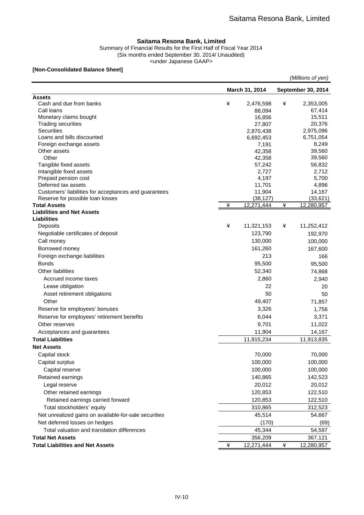#### **Saitama Resona Bank, Limited**

Summary of Financial Results for the First Half of Fiscal Year 2014 (Six months ended September 30, 2014/ Unaudited) <under Japanese GAAP>

#### **[Non-Consolidated Balance Sheet]**

|                                                                              |   |                     |   | (Millions of yen)   |
|------------------------------------------------------------------------------|---|---------------------|---|---------------------|
|                                                                              |   | March 31, 2014      |   | September 30, 2014  |
| <b>Assets</b><br>Cash and due from banks                                     | ¥ |                     | ¥ |                     |
| Call loans                                                                   |   | 2,476,598<br>88,094 |   | 2,353,005<br>67,414 |
| Monetary claims bought                                                       |   | 16,856              |   | 15,511              |
| <b>Trading securities</b>                                                    |   | 27,807              |   | 20,376              |
| <b>Securities</b>                                                            |   | 2,870,438           |   | 2,975,096           |
| Loans and bills discounted                                                   |   | 6,692,453           |   | 6,751,054           |
| Foreign exchange assets                                                      |   | 7,191               |   | 8,249               |
| Other assets                                                                 |   | 42,358              |   | 39,560              |
| Other                                                                        |   | 42,358              |   | 39,560              |
| Tangible fixed assets                                                        |   | 57,242              |   | 56,832              |
| Intangible fixed assets                                                      |   | 2,727               |   | 2,712               |
| Prepaid pension cost                                                         |   | 4,197               |   | 5,700               |
| Deferred tax assets<br>Customers' liabilities for acceptances and guarantees |   | 11,701<br>11,904    |   | 4,896<br>14,167     |
| Reserve for possible loan losses                                             |   | (38, 127)           |   | (33,621)            |
| <b>Total Assets</b>                                                          | ¥ | 12,271,444          | ¥ | 12,280,957          |
| <b>Liabilities and Net Assets</b>                                            |   |                     |   |                     |
| Liabilities                                                                  |   |                     |   |                     |
| Deposits                                                                     | ¥ | 11,321,153          | ¥ | 11,252,412          |
| Negotiable certificates of deposit                                           |   | 123,790             |   | 192,970             |
| Call money                                                                   |   | 130,000             |   | 100,000             |
| Borrowed money                                                               |   | 161,260             |   | 167,600             |
| Foreign exchange liabilities                                                 |   | 213                 |   | 166                 |
| <b>Bonds</b>                                                                 |   | 95,500              |   | 95,500              |
| <b>Other liabilities</b>                                                     |   | 52,340              |   | 74,868              |
| Accrued income taxes                                                         |   | 2,860               |   | 2,940               |
| Lease obligation                                                             |   | 22                  |   | 20                  |
| Asset retirement obligations                                                 |   | 50                  |   | 50                  |
| Other                                                                        |   | 49,407              |   | 71,857              |
| Reserve for employees' bonuses                                               |   | 3,326               |   | 1,756               |
| Reserve for employees' retirement benefits                                   |   | 6,044               |   | 3,371               |
| Other reserves                                                               |   | 9,701               |   | 11,022              |
| Acceptances and guarantees                                                   |   | 11,904              |   | 14,167              |
| <b>Total Liabilities</b>                                                     |   | 11,915,234          |   | 11,913,835          |
| <b>Net Assets</b>                                                            |   |                     |   |                     |
| Capital stock                                                                |   | 70,000              |   | 70,000              |
| Capital surplus                                                              |   | 100,000             |   | 100,000             |
| Capital reserve                                                              |   | 100,000             |   | 100,000             |
| Retained earnings                                                            |   | 140,865             |   | 142,523             |
| Legal reserve                                                                |   | 20,012              |   | 20,012              |
| Other retained earnings                                                      |   | 120,853             |   | 122,510             |
| Retained earnings carried forward                                            |   | 120,853             |   | 122,510             |
| Total stockholders' equity                                                   |   | 310,865             |   | 312,523             |
| Net unrealized gains on available-for-sale securities                        |   | 45,514              |   | 54,667              |
| Net deferred losses on hedges                                                |   | (170)               |   | (69)                |
| Total valuation and translation differences                                  |   | 45,344              |   | 54,597              |
| <b>Total Net Assets</b>                                                      |   | 356,209             |   | 367,121             |
| <b>Total Liabilities and Net Assets</b>                                      | ¥ | 12,271,444          | ¥ | 12,280,957          |
|                                                                              |   |                     |   |                     |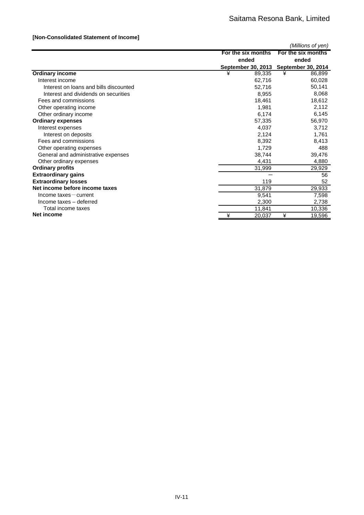### **[Non-Consolidated Statement of Income]**

|                                        |                           | (Millions of yen)         |
|----------------------------------------|---------------------------|---------------------------|
|                                        | For the six months        | For the six months        |
|                                        | ended                     | ended                     |
|                                        | <b>September 30, 2013</b> | <b>September 30, 2014</b> |
| <b>Ordinary income</b>                 | ¥<br>89,335               | ¥<br>86,899               |
| Interest income                        | 62,716                    | 60,028                    |
| Interest on loans and bills discounted | 52,716                    | 50,141                    |
| Interest and dividends on securities   | 8,955                     | 8,068                     |
| Fees and commissions                   | 18,461                    | 18,612                    |
| Other operating income                 | 1,981                     | 2,112                     |
| Other ordinary income                  | 6,174                     | 6,145                     |
| <b>Ordinary expenses</b>               | 57,335                    | 56,970                    |
| Interest expenses                      | 4,037                     | 3,712                     |
| Interest on deposits                   | 2,124                     | 1,761                     |
| Fees and commissions                   | 8,392                     | 8,413                     |
| Other operating expenses               | 1,729                     | 488                       |
| General and administrative expenses    | 38,744                    | 39,476                    |
| Other ordinary expenses                | 4,431                     | 4,880                     |
| <b>Ordinary profits</b>                | 31,999                    | 29,929                    |
| <b>Extraordinary gains</b>             |                           | 56                        |
| <b>Extraordinary losses</b>            | 119                       | 52                        |
| Net income before income taxes         | 31,879                    | 29,933                    |
| $Income$ taxes $-$ current             | 9,541                     | 7,598                     |
| Income taxes - deferred                | 2,300                     | 2,738                     |
| Total income taxes                     | 11,841                    | 10,336                    |
| <b>Net income</b>                      | ¥<br>20,037               | ¥<br>19,596               |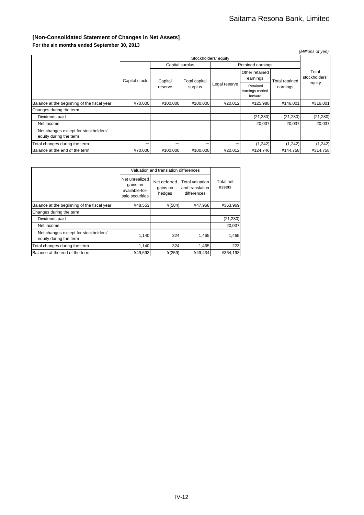### **[Non-Consolidated Statement of Changes in Net Assets] For the six months ended September 30, 2013**

|                                                                |                    |          |                      |                                         |                            |                       | (Millions of yen)      |
|----------------------------------------------------------------|--------------------|----------|----------------------|-----------------------------------------|----------------------------|-----------------------|------------------------|
| Stockholders' equity                                           |                    |          |                      |                                         |                            |                       |                        |
|                                                                |                    |          | Capital surplus      |                                         | Retained earnings          |                       |                        |
|                                                                | Capital stock      | Capital  | <b>Total capital</b> |                                         | Other retained<br>earnings | <b>Total retained</b> | Total<br>stockholders' |
|                                                                | surplus<br>reserve |          | Legal reserve        | Retained<br>earnings carried<br>forward | earnings                   | equity                |                        |
| Balance at the beginning of the fiscal year                    | ¥70,000            | ¥100,000 | ¥100,000             | ¥20,012                                 | ¥125,988                   | ¥146,001              | ¥316,001               |
| Changes during the term                                        |                    |          |                      |                                         |                            |                       |                        |
| Dividends paid                                                 |                    |          |                      |                                         | (21, 280)                  | (21, 280)             | (21, 280)              |
| Net income                                                     |                    |          |                      |                                         | 20,037                     | 20,037                | 20,037                 |
| Net changes except for stockholders'<br>equity during the term |                    |          |                      |                                         |                            |                       |                        |
| Total changes during the term                                  |                    |          |                      |                                         | (1, 242)                   | (1,242)               | (1,242)                |
| Balance at the end of the term                                 | ¥70,000            | ¥100,000 | ¥100,000             | ¥20,012                                 | ¥124,746                   | ¥144,758              | ¥314,758               |

|                                                                | Valuation and translation differences                           |                                    |                                                   |                     |  |
|----------------------------------------------------------------|-----------------------------------------------------------------|------------------------------------|---------------------------------------------------|---------------------|--|
|                                                                | Net unrealized<br>gains on<br>available-for-<br>sale securities | Net deferred<br>gains on<br>hedges | Total valuation<br>and translation<br>differences | Total net<br>assets |  |
| Balance at the beginning of the fiscal year                    | ¥48,553                                                         | $*(584)$                           | ¥47,968                                           | ¥363,969            |  |
| Changes during the term                                        |                                                                 |                                    |                                                   |                     |  |
| Dividends paid                                                 |                                                                 |                                    |                                                   | (21, 280)           |  |
| Net income                                                     |                                                                 |                                    |                                                   | 20.037              |  |
| Net changes except for stockholders'<br>equity during the term | 1,140                                                           | 324                                | 1,465                                             | 1,465               |  |
| Total changes during the term                                  | 1,140                                                           | 324                                | 1,465                                             | 223                 |  |
| Balance at the end of the term                                 | ¥49,693                                                         | $*(259)$                           | ¥49,434                                           | ¥364,193            |  |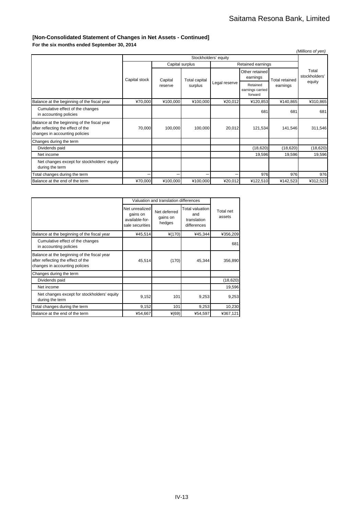### **[Non-Consolidated Statement of Changes in Net Assets - Continued]**

**For the six months ended September 30, 2014**

|                                                                                                                     |                      |                 |               |               |                                         |                       | (Millions of yen)      |
|---------------------------------------------------------------------------------------------------------------------|----------------------|-----------------|---------------|---------------|-----------------------------------------|-----------------------|------------------------|
|                                                                                                                     | Stockholders' equity |                 |               |               |                                         |                       |                        |
|                                                                                                                     |                      | Capital surplus |               |               | Retained earnings                       |                       |                        |
|                                                                                                                     | Capital stock        | Capital         | Total capital |               | Other retained<br>earnings              | <b>Total retained</b> | Total<br>stockholders' |
|                                                                                                                     |                      | reserve         | surplus       | Legal reserve | Retained<br>earnings carried<br>forward | earnings              | equity                 |
| Balance at the beginning of the fiscal year                                                                         | ¥70,000              | ¥100,000        | ¥100,000      | ¥20,012       | ¥120,853                                | ¥140,865              | ¥310,865               |
| Cumulative effect of the changes<br>in accounting policies                                                          |                      |                 |               |               | 681                                     | 681                   | 681                    |
| Balance at the beginning of the fiscal year<br>after reflecting the effect of the<br>changes in accounting policies | 70,000               | 100,000         | 100,000       | 20,012        | 121,534                                 | 141,546               | 311,546                |
| Changes during the term                                                                                             |                      |                 |               |               |                                         |                       |                        |
| Dividends paid                                                                                                      |                      |                 |               |               | (18,620)                                | (18, 620)             | (18, 620)              |
| Net income                                                                                                          |                      |                 |               |               | 19,596                                  | 19,596                | 19,596                 |
| Net changes except for stockholders' equity<br>during the term                                                      |                      |                 |               |               |                                         |                       |                        |
| Total changes during the term                                                                                       |                      |                 |               |               | 976                                     | 976                   | 976                    |
| Balance at the end of the term                                                                                      | ¥70,000              | ¥100,000        | ¥100,000      | ¥20,012       | ¥122,510                                | ¥142,523              | ¥312,523               |

|                                                                                                                     |                                                                 | Valuation and translation differences |                                                      |                     |  |  |
|---------------------------------------------------------------------------------------------------------------------|-----------------------------------------------------------------|---------------------------------------|------------------------------------------------------|---------------------|--|--|
|                                                                                                                     | Net unrealized<br>gains on<br>available-for-<br>sale securities | Net deferred<br>gains on<br>hedges    | Total valuation<br>and<br>translation<br>differences | Total net<br>assets |  |  |
| Balance at the beginning of the fiscal year                                                                         | ¥45,514                                                         | $*(170)$                              | ¥45,344                                              | ¥356,209            |  |  |
| Cumulative effect of the changes<br>in accounting policies                                                          |                                                                 |                                       |                                                      | 681                 |  |  |
| Balance at the beginning of the fiscal year<br>after reflecting the effect of the<br>changes in accounting policies | 45,514                                                          | (170)                                 | 45,344                                               | 356,890             |  |  |
| Changes during the term                                                                                             |                                                                 |                                       |                                                      |                     |  |  |
| Dividends paid                                                                                                      |                                                                 |                                       |                                                      | (18, 620)           |  |  |
| Net income                                                                                                          |                                                                 |                                       |                                                      | 19,596              |  |  |
| Net changes except for stockholders' equity<br>during the term                                                      | 9,152                                                           | 101                                   | 9,253                                                | 9,253               |  |  |
| Total changes during the term                                                                                       | 9,152                                                           | 101                                   | 9,253                                                | 10,230              |  |  |
| Balance at the end of the term                                                                                      | ¥54,667                                                         | $*(69)$                               | ¥54,597                                              | ¥367,121            |  |  |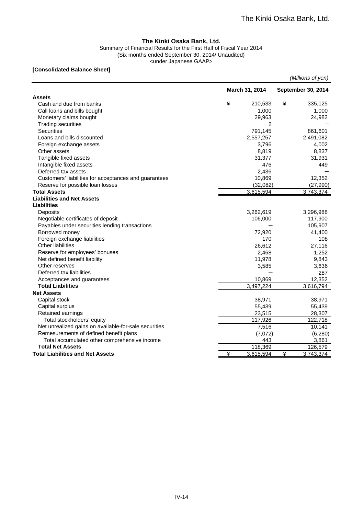### **The Kinki Osaka Bank, Ltd.**

Summary of Financial Results for the First Half of Fiscal Year 2014 (Six months ended September 30, 2014/ Unaudited) <under Japanese GAAP>

### **[Consolidated Balance Sheet]**

|                                                       |   |                |   | (Millions of yen)  |
|-------------------------------------------------------|---|----------------|---|--------------------|
|                                                       |   | March 31, 2014 |   | September 30, 2014 |
| <b>Assets</b>                                         |   |                |   |                    |
| Cash and due from banks                               | ¥ | 210,533        | ¥ | 335,125            |
| Call loans and bills bought                           |   | 1,000          |   | 1,000              |
| Monetary claims bought                                |   | 29,963         |   | 24,982             |
| <b>Trading securities</b>                             |   | 2              |   |                    |
| <b>Securities</b>                                     |   | 791,145        |   | 861,601            |
| Loans and bills discounted                            |   | 2,557,257      |   | 2,491,082          |
| Foreign exchange assets                               |   | 3,796          |   | 4,002              |
| Other assets                                          |   | 8,819          |   | 8,837              |
| Tangible fixed assets                                 |   | 31,377         |   | 31,931             |
| Intangible fixed assets                               |   | 476            |   | 449                |
| Deferred tax assets                                   |   | 2,436          |   |                    |
| Customers' liabilities for acceptances and guarantees |   | 10,869         |   | 12,352             |
| Reserve for possible loan losses                      |   | (32,082)       |   | (27,990)           |
| <b>Total Assets</b>                                   |   | 3,615,594      |   | 3,743,374          |
| <b>Liabilities and Net Assets</b>                     |   |                |   |                    |
| <b>Liabilities</b>                                    |   |                |   |                    |
| Deposits                                              |   | 3,262,619      |   | 3,296,988          |
| Negotiable certificates of deposit                    |   | 106,000        |   | 117,900            |
| Payables under securities lending transactions        |   |                |   | 105,907            |
| Borrowed money                                        |   | 72,920         |   | 41,400             |
| Foreign exchange liabilities                          |   | 170            |   | 108                |
| <b>Other liabilities</b>                              |   | 26,612         |   | 27,116             |
| Reserve for employees' bonuses                        |   | 2,468          |   | 1,252              |
| Net defined benefit liability                         |   | 11,978         |   | 9,843              |
| Other reserves                                        |   | 3,585          |   | 3,636              |
| Deferred tax liabilities                              |   |                |   | 287                |
| Acceptances and guarantees                            |   | 10,869         |   | 12,352             |
| <b>Total Liabilities</b>                              |   | 3,497,224      |   | 3,616,794          |
| <b>Net Assets</b>                                     |   |                |   |                    |
| Capital stock                                         |   | 38,971         |   | 38,971             |
| Capital surplus                                       |   | 55,439         |   | 55,439             |
| Retained earnings                                     |   | 23,515         |   | 28,307             |
| Total stockholders' equity                            |   | 117,926        |   | 122,718            |
| Net unrealized gains on available-for-sale securities |   | 7,516          |   | 10,141             |
| Remesurements of defined benefit plans                |   | (7,072)        |   | (6, 280)           |
| Total accumulated other comprehensive income          |   | 443            |   | 3,861              |
| <b>Total Net Assets</b>                               |   | 118,369        |   | 126,579            |
| <b>Total Liabilities and Net Assets</b>               | ¥ | 3,615,594      | ¥ | 3,743,374          |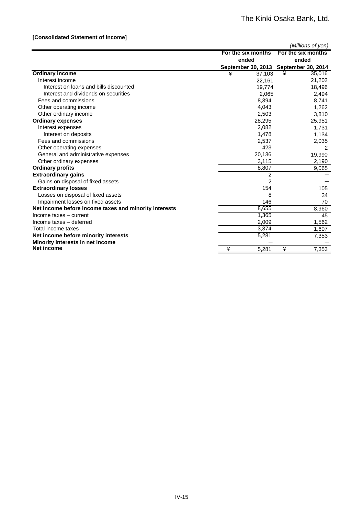### **[Consolidated Statement of Income]**

|                                                       |                    | (Millions of yen)                     |
|-------------------------------------------------------|--------------------|---------------------------------------|
|                                                       | For the six months | For the six months                    |
|                                                       | ended              | ended                                 |
|                                                       |                    | September 30, 2013 September 30, 2014 |
| <b>Ordinary income</b>                                | ¥<br>37,103        | ¥<br>35,016                           |
| Interest income                                       | 22,161             | 21,202                                |
| Interest on loans and bills discounted                | 19,774             | 18,496                                |
| Interest and dividends on securities                  | 2.065              | 2,494                                 |
| Fees and commissions                                  | 8,394              | 8,741                                 |
| Other operating income                                | 4,043              | 1,262                                 |
| Other ordinary income                                 | 2,503              | 3,810                                 |
| <b>Ordinary expenses</b>                              | 28,295             | 25,951                                |
| Interest expenses                                     | 2,082              | 1,731                                 |
| Interest on deposits                                  | 1,478              | 1,134                                 |
| Fees and commissions                                  | 2,537              | 2,035                                 |
| Other operating expenses                              | 423                |                                       |
| General and administrative expenses                   | 20,136             | 19,990                                |
| Other ordinary expenses                               | 3,115              | 2,190                                 |
| <b>Ordinary profits</b>                               | 8,807              | 9,065                                 |
| <b>Extraordinary gains</b>                            | $\overline{2}$     |                                       |
| Gains on disposal of fixed assets                     | 2                  |                                       |
| <b>Extraordinary losses</b>                           | 154                | 105                                   |
| Losses on disposal of fixed assets                    | 8                  | 34                                    |
| Impairment losses on fixed assets                     | 146                | 70                                    |
| Net income before income taxes and minority interests | 8,655              | 8,960                                 |
| Income taxes - current                                | 1,365              | 45                                    |
| Income taxes - deferred                               | 2,009              | 1,562                                 |
| Total income taxes                                    | 3,374              | 1,607                                 |
| Net income before minority interests                  | 5,281              | 7,353                                 |
| Minority interests in net income                      |                    |                                       |
| <b>Net income</b>                                     | ¥<br>5,281         | ¥<br>7,353                            |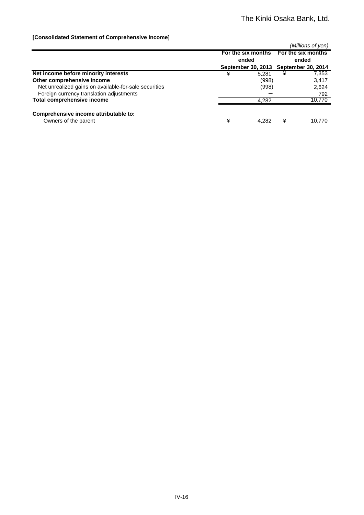### **[Consolidated Statement of Comprehensive Income]**

|                                                       |   |       |       | (Millions of yen)                     |
|-------------------------------------------------------|---|-------|-------|---------------------------------------|
|                                                       |   |       |       | For the six months For the six months |
|                                                       |   | ended | ended |                                       |
|                                                       |   |       |       | September 30, 2013 September 30, 2014 |
| Net income before minority interests                  | ¥ | 5.281 | ¥     | 7,353                                 |
| Other comprehensive income                            |   | (998) |       | 3,417                                 |
| Net unrealized gains on available-for-sale securities |   | (998) |       | 2,624                                 |
| Foreign currency translation adjustments              |   |       |       | 792                                   |
| <b>Total comprehensive income</b>                     |   | 4.282 |       | 10.770                                |
|                                                       |   |       |       |                                       |
| Comprehensive income attributable to:                 |   |       |       |                                       |
| Owners of the parent                                  | ¥ | 4.282 | ¥     | 10.770                                |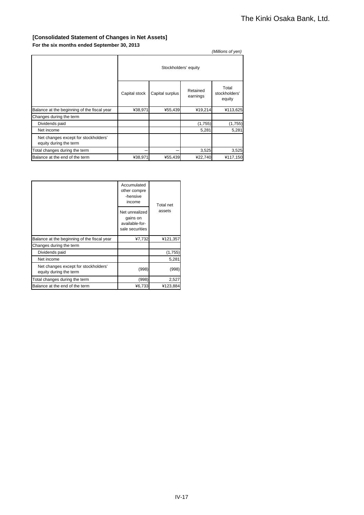### **[Consolidated Statement of Changes in Net Assets] For the six months ended September 30, 2013**

|                                                                |                      |                 |                      | (Millions of yen)                |
|----------------------------------------------------------------|----------------------|-----------------|----------------------|----------------------------------|
|                                                                | Stockholders' equity |                 |                      |                                  |
|                                                                | Capital stock        | Capital surplus | Retained<br>earnings | Total<br>stockholders'<br>equity |
| Balance at the beginning of the fiscal year                    | ¥38,971              | ¥55,439         | ¥19,214              | ¥113,625                         |
| Changes during the term                                        |                      |                 |                      |                                  |
| Dividends paid                                                 |                      |                 | (1,755)              | (1,755)                          |
| Net income                                                     |                      |                 | 5,281                | 5,281                            |
| Net changes except for stockholders'<br>equity during the term |                      |                 |                      |                                  |
| Total changes during the term                                  |                      |                 | 3,525                | 3,525                            |
| Balance at the end of the term                                 | ¥38,971              | ¥55,439         | ¥22,740              | ¥117,150                         |

|                                                                | Accumulated<br>other compre<br>-hensive<br>income               | <b>Total net</b> |
|----------------------------------------------------------------|-----------------------------------------------------------------|------------------|
|                                                                | Net unrealized<br>gains on<br>available-for-<br>sale securities | assets           |
| Balance at the beginning of the fiscal year                    | ¥7,732                                                          | ¥121,357         |
| Changes during the term                                        |                                                                 |                  |
| Dividends paid                                                 |                                                                 | (1,755)          |
| Net income                                                     |                                                                 | 5,281            |
| Net changes except for stockholders'<br>equity during the term | (998)                                                           | (998)            |
| Total changes during the term                                  | (998)                                                           | 2,527            |
| Balance at the end of the term                                 | ¥6,733                                                          | ¥123,884         |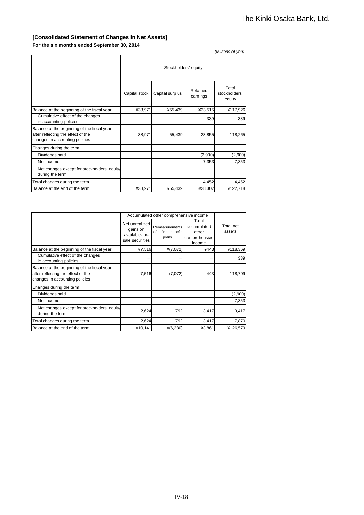### **[Consolidated Statement of Changes in Net Assets] For the six months ended September 30, 2014**

|                                                                                                                     |                      |                 |                      | (Millions of yen)                |
|---------------------------------------------------------------------------------------------------------------------|----------------------|-----------------|----------------------|----------------------------------|
|                                                                                                                     | Stockholders' equity |                 |                      |                                  |
|                                                                                                                     | Capital stock        | Capital surplus | Retained<br>earnings | Total<br>stockholders'<br>equity |
| Balance at the beginning of the fiscal year                                                                         | ¥38,971              | ¥55,439         | ¥23,515              | ¥117,926                         |
| Cumulative effect of the changes<br>in accounting policies                                                          |                      |                 | 339                  | 339                              |
| Balance at the beginning of the fiscal year<br>after reflecting the effect of the<br>changes in accounting policies | 38,971               | 55,439          | 23,855               | 118,265                          |
| Changes during the term                                                                                             |                      |                 |                      |                                  |
| Dividends paid                                                                                                      |                      |                 | (2,900)              | (2,900)                          |
| Net income                                                                                                          |                      |                 | 7,353                | 7,353                            |
| Net changes except for stockholders' equity<br>during the term                                                      |                      |                 |                      |                                  |
| Total changes during the term                                                                                       |                      |                 | 4,452                | 4,452                            |
| Balance at the end of the term                                                                                      | ¥38.971              | ¥55,439         | ¥28,307              | ¥122,718                         |

|                                                                                                                     | Accumulated other comprehensive income                          |                                               |                                                          |                     |
|---------------------------------------------------------------------------------------------------------------------|-----------------------------------------------------------------|-----------------------------------------------|----------------------------------------------------------|---------------------|
|                                                                                                                     | Net unrealized<br>gains on<br>available-for-<br>sale securities | Remeasurements<br>of defined benefit<br>plans | Total<br>accumulated<br>other<br>comprehensive<br>income | Total net<br>assets |
| Balance at the beginning of the fiscal year                                                                         | ¥7,516                                                          | $*(7,072)$                                    | ¥443                                                     | ¥118,369            |
| Cumulative effect of the changes<br>in accounting policies                                                          |                                                                 |                                               |                                                          | 339                 |
| Balance at the beginning of the fiscal year<br>after reflecting the effect of the<br>changes in accounting policies | 7,516                                                           | (7,072)                                       | 443                                                      | 118,709             |
| Changes during the term                                                                                             |                                                                 |                                               |                                                          |                     |
| Dividends paid                                                                                                      |                                                                 |                                               |                                                          | (2,900)             |
| Net income                                                                                                          |                                                                 |                                               |                                                          | 7,353               |
| Net changes except for stockholders' equity<br>during the term                                                      | 2,624                                                           | 792                                           | 3,417                                                    | 3,417               |
| Total changes during the term                                                                                       | 2,624                                                           | 792                                           | 3,417                                                    | 7,870               |
| Balance at the end of the term                                                                                      | 410,141                                                         | $*(6,280)$                                    | ¥3,861                                                   | ¥126,579            |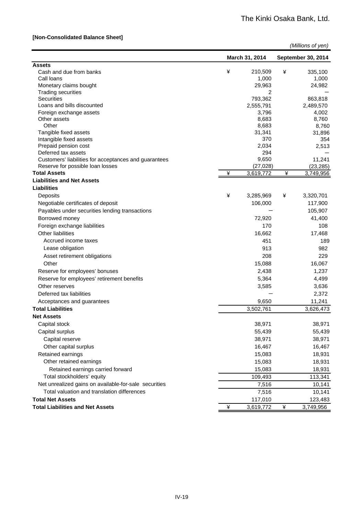### **[Non-Consolidated Balance Sheet]**

|                                                        |   |                    |   | (Millions of yen)  |
|--------------------------------------------------------|---|--------------------|---|--------------------|
|                                                        |   | March 31, 2014     |   | September 30, 2014 |
| <b>Assets</b>                                          |   |                    |   |                    |
| Cash and due from banks                                | ¥ | 210,509            | ¥ | 335,100            |
| Call loans                                             |   | 1,000              |   | 1,000              |
| Monetary claims bought                                 |   | 29,963             |   | 24,982             |
| <b>Trading securities</b>                              |   | 2                  |   |                    |
| Securities<br>Loans and bills discounted               |   | 793,362            |   | 863,818            |
| Foreign exchange assets                                |   | 2,555,791<br>3,796 |   | 2,489,570<br>4,002 |
| Other assets                                           |   | 8,683              |   | 8,760              |
| Other                                                  |   | 8,683              |   | 8,760              |
| Tangible fixed assets                                  |   | 31,341             |   | 31,896             |
| Intangible fixed assets                                |   | 370                |   | 354                |
| Prepaid pension cost                                   |   | 2,034              |   | 2,513              |
| Deferred tax assets                                    |   | 294                |   |                    |
| Customers' liabilities for acceptances and guarantees  |   | 9,650              |   | 11,241             |
| Reserve for possible loan losses                       |   | (27, 028)          |   | (23, 285)          |
| <b>Total Assets</b>                                    | ¥ | 3,619,772          | ¥ | 3,749,956          |
| <b>Liabilities and Net Assets</b>                      |   |                    |   |                    |
| <b>Liabilities</b>                                     |   |                    |   |                    |
| Deposits                                               | ¥ | 3,285,969          | ¥ | 3,320,701          |
| Negotiable certificates of deposit                     |   | 106,000            |   | 117,900            |
| Payables under securities lending transactions         |   |                    |   | 105,907            |
| Borrowed money                                         |   | 72,920             |   | 41,400             |
| Foreign exchange liabilities                           |   | 170                |   | 108                |
| Other liabilities                                      |   | 16,662             |   | 17,468             |
| Accrued income taxes                                   |   | 451                |   | 189                |
| Lease obligation                                       |   | 913                |   | 982                |
| Asset retirement obligations                           |   | 208                |   | 229                |
| Other                                                  |   | 15,088             |   | 16,067             |
| Reserve for employees' bonuses                         |   | 2,438              |   | 1,237              |
| Reserve for employees' retirement benefits             |   | 5,364              |   | 4,499              |
| Other reserves                                         |   | 3,585              |   | 3,636              |
| Deferred tax liabilities                               |   |                    |   |                    |
|                                                        |   |                    |   | 2,372              |
| Acceptances and guarantees<br><b>Total Liabilities</b> |   | 9,650              |   | 11,241             |
| <b>Net Assets</b>                                      |   | 3,502,761          |   | 3,626,473          |
| Capital stock                                          |   | 38,971             |   | 38,971             |
| Capital surplus                                        |   |                    |   |                    |
|                                                        |   | 55,439             |   | 55,439             |
| Capital reserve                                        |   | 38,971             |   | 38,971             |
| Other capital surplus                                  |   | 16,467             |   | 16,467             |
| Retained earnings                                      |   | 15,083             |   | 18,931             |
| Other retained earnings                                |   | 15,083             |   | 18,931             |
| Retained earnings carried forward                      |   | 15,083             |   | 18,931             |
| Total stockholders' equity                             |   | 109,493            |   | 113,341            |
| Net unrealized gains on available-for-sale securities  |   | 7,516              |   | 10,141             |
| Total valuation and translation differences            |   | 7,516              |   | 10,141             |
| <b>Total Net Assets</b>                                |   | 117,010            |   | 123,483            |
| <b>Total Liabilities and Net Assets</b>                | ¥ | 3,619,772          | ¥ | 3,749,956          |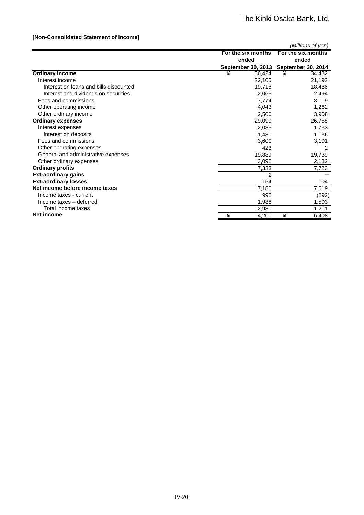### **[Non-Consolidated Statement of Income]**

|                                        |                    | (Millions of yen)                     |
|----------------------------------------|--------------------|---------------------------------------|
|                                        | For the six months | For the six months                    |
|                                        | ended              | ended                                 |
|                                        |                    | September 30, 2013 September 30, 2014 |
| <b>Ordinary income</b>                 | ¥<br>36,424        | ¥<br>34,482                           |
| Interest income                        | 22,105             | 21,192                                |
| Interest on loans and bills discounted | 19,718             | 18,486                                |
| Interest and dividends on securities   | 2,065              | 2,494                                 |
| Fees and commissions                   | 7,774              | 8,119                                 |
| Other operating income                 | 4,043              | 1,262                                 |
| Other ordinary income                  | 2,500              | 3,908                                 |
| <b>Ordinary expenses</b>               | 29,090             | 26,758                                |
| Interest expenses                      | 2,085              | 1,733                                 |
| Interest on deposits                   | 1,480              | 1,136                                 |
| Fees and commissions                   | 3,600              | 3,101                                 |
| Other operating expenses               | 423                | 2                                     |
| General and administrative expenses    | 19,889             | 19,739                                |
| Other ordinary expenses                | 3,092              | 2,182                                 |
| <b>Ordinary profits</b>                | 7,333              | 7,723                                 |
| <b>Extraordinary gains</b>             | 2                  |                                       |
| <b>Extraordinary losses</b>            | 154                | 104                                   |
| Net income before income taxes         | 7,180              | 7,619                                 |
| Income taxes - current                 | 992                | (292)                                 |
| Income taxes - deferred                | 1,988              | 1,503                                 |
| Total income taxes                     | 2,980              | 1,211                                 |
| <b>Net income</b>                      | ¥<br>4,200         | ¥<br>6,408                            |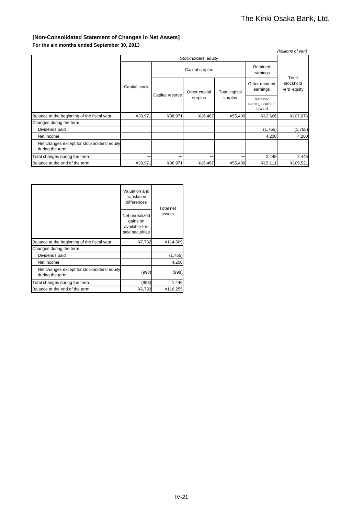### **[Non-Consolidated Statement of Changes in Net Assets] For the six months ended September 30, 2013**

|                                                                |               |                 |                      |                      |                                         | (Millions of yen)         |
|----------------------------------------------------------------|---------------|-----------------|----------------------|----------------------|-----------------------------------------|---------------------------|
|                                                                |               |                 | Stockholders' equity |                      |                                         |                           |
|                                                                |               | Capital surplus |                      | Retained<br>earnings | Total                                   |                           |
|                                                                | Capital stock | Capital reserve | Other capital        | <b>Total capital</b> | Other retained<br>earnings              | stockhold<br>-ers' equity |
|                                                                |               |                 | surplus              | surplus              | Retained<br>earnings carried<br>forward |                           |
| Balance at the beginning of the fiscal year                    | ¥38,971       | ¥38,971         | ¥16,467              | ¥55,439              | ¥12,666                                 | ¥107,076                  |
| Changes during the term                                        |               |                 |                      |                      |                                         |                           |
| Dividends paid                                                 |               |                 |                      |                      | (1,755)                                 | (1,755)                   |
| Net income                                                     |               |                 |                      |                      | 4,200                                   | 4,200                     |
| Net changes except for stockholders' equity<br>during the term |               |                 |                      |                      |                                         |                           |
| Total changes during the term                                  |               |                 |                      |                      | 2,445                                   | 2,445                     |
| Balance at the end of the term                                 | ¥38,971       | ¥38,971         | ¥16,467              | ¥55,439              | ¥15,111                                 | ¥109,521                  |

|                                                                | Valuation and<br>translation<br>differences                     | Total net |  |
|----------------------------------------------------------------|-----------------------------------------------------------------|-----------|--|
|                                                                | Net unrealized<br>gains on<br>available-for-<br>sale securities | assets    |  |
| Balance at the beginning of the fiscal year                    | ¥7,732                                                          | ¥114,809  |  |
| Changes during the term                                        |                                                                 |           |  |
| Dividends paid                                                 |                                                                 | (1,755)   |  |
| Net income                                                     |                                                                 | 4,200     |  |
| Net changes except for stockholders' equity<br>during the term | (998)                                                           | (998)     |  |
| Total changes during the term                                  | (998)                                                           | 1,446     |  |
| Balance at the end of the term                                 | ¥6,733                                                          | ¥116,255  |  |